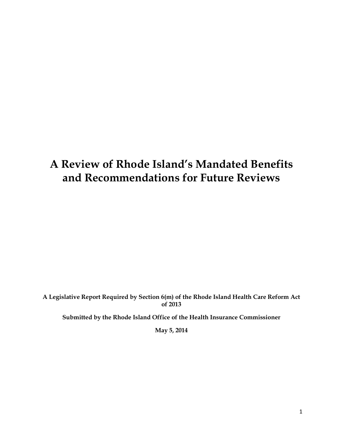# **A Review of Rhode Island's Mandated Benefits and Recommendations for Future Reviews**

**A Legislative Report Required by Section 6(m) of the Rhode Island Health Care Reform Act of 2013**

**Submitted by the Rhode Island Office of the Health Insurance Commissioner**

**May 5, 2014**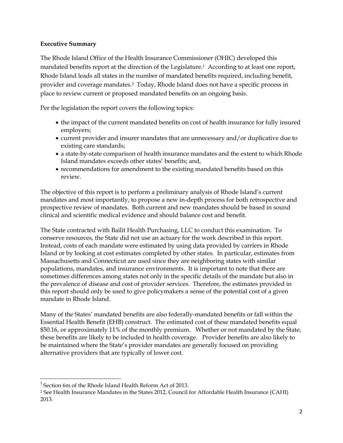## **Executive Summary**

The Rhode Island Office of the Health Insurance Commissioner (OHIC) developed this mandated benefits report at the direction of the Legislature.<sup>1</sup> According to at least one report, Rhode Island leads all states in the number of mandated benefits required, including benefit, provider and coverage mandates.2 Today, Rhode Island does not have a specific process in place to review current or proposed mandated benefits on an ongoing basis.

Per the legislation the report covers the following topics:

- the impact of the current mandated benefits on cost of health insurance for fully insured employers;
- current provider and insurer mandates that are unnecessary and/or duplicative due to existing care standards;
- a state-by-state comparison of health insurance mandates and the extent to which Rhode Island mandates exceeds other states' benefits; and,
- recommendations for amendment to the existing mandated benefits based on this review.

The objective of this report is to perform a preliminary analysis of Rhode Island's current mandates and most importantly, to propose a new in-depth process for both retrospective and prospective review of mandates. Both current and new mandates should be based in sound clinical and scientific medical evidence and should balance cost and benefit.

The State contracted with Bailit Health Purchasing, LLC to conduct this examination. To conserve resources, the State did not use an actuary for the work described in this report. Instead, costs of each mandate were estimated by using data provided by carriers in Rhode Island or by looking at cost estimates completed by other states. In particular, estimates from Massachusetts and Connecticut are used since they are neighboring states with similar populations, mandates, and insurance environments. It is important to note that there are sometimes differences among states not only in the specific details of the mandate but also in the prevalence of disease and cost of provider services. Therefore, the estimates provided in this report should only be used to give policymakers a sense of the potential cost of a given mandate in Rhode Island.

Many of the States' mandated benefits are also federally-mandated benefits or fall within the Essential Health Benefit (EHB) construct. The estimated cost of these mandated benefits equal \$50.16, or approximately 11% of the monthly premium. Whether or not mandated by the State, these benefits are likely to be included in health coverage. Provider benefits are also likely to be maintained where the State's provider mandates are generally focused on providing alternative providers that are typically of lower cost.

<sup>&</sup>lt;sup>1</sup> Section 6m of the Rhode Island Health Reform Act of 2013.

<sup>2</sup> See Health Insurance Mandates in the States 2012, Council for Affordable Health Insurance (CAHI) 2013.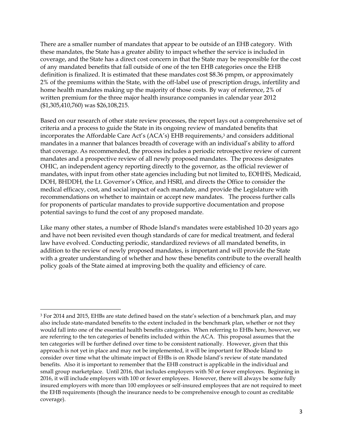There are a smaller number of mandates that appear to be outside of an EHB category. With these mandates, the State has a greater ability to impact whether the service is included in coverage, and the State has a direct cost concern in that the State may be responsible for the cost of any mandated benefits that fall outside of one of the ten EHB categories once the EHB definition is finalized. It is estimated that these mandates cost \$8.36 pmpm, or approximately 2% of the premiums within the State, with the off-label use of prescription drugs, infertility and home health mandates making up the majority of those costs. By way of reference, 2% of written premium for the three major health insurance companies in calendar year 2012 (\$1,305,410,760) was \$26,108,215.

Based on our research of other state review processes, the report lays out a comprehensive set of criteria and a process to guide the State in its ongoing review of mandated benefits that incorporates the Affordable Care Act's (ACA's) EHB requirements, <sup>3</sup> and considers additional mandates in a manner that balances breadth of coverage with an individual's ability to afford that coverage. As recommended, the process includes a periodic retrospective review of current mandates and a prospective review of all newly proposed mandates. The process designates OHIC, an independent agency reporting directly to the governor, as the official reviewer of mandates, with input from other state agencies including but not limited to, EOHHS, Medicaid, DOH, BHDDH, the Lt. Governor's Office, and HSRI, and directs the Office to consider the medical efficacy, cost, and social impact of each mandate, and provide the Legislature with recommendations on whether to maintain or accept new mandates. The process further calls for proponents of particular mandates to provide supportive documentation and propose potential savings to fund the cost of any proposed mandate.

Like many other states, a number of Rhode Island's mandates were established 10-20 years ago and have not been revisited even though standards of care for medical treatment, and federal law have evolved. Conducting periodic, standardized reviews of all mandated benefits, in addition to the review of newly proposed mandates, is important and will provide the State with a greater understanding of whether and how these benefits contribute to the overall health policy goals of the State aimed at improving both the quality and efficiency of care.

<sup>3</sup> For 2014 and 2015, EHBs are state defined based on the state's selection of a benchmark plan, and may also include state-mandated benefits to the extent included in the benchmark plan, whether or not they would fall into one of the essential health benefits categories. When referring to EHBs here, however, we are referring to the ten categories of benefits included within the ACA. This proposal assumes that the ten categories will be further defined over time to be consistent nationally. However, given that this approach is not yet in place and may not be implemented, it will be important for Rhode Island to consider over time what the ultimate impact of EHBs is on Rhode Island's review of state mandated benefits. Also it is important to remember that the EHB construct is applicable in the individual and small group marketplace. Until 2016, that includes employers with 50 or fewer employees. Beginning in 2016, it will include employers with 100 or fewer employees. However, there will always be some fully insured employers with more than 100 employees or self-insured employees that are not required to meet the EHB requirements (though the insurance needs to be comprehensive enough to count as creditable coverage).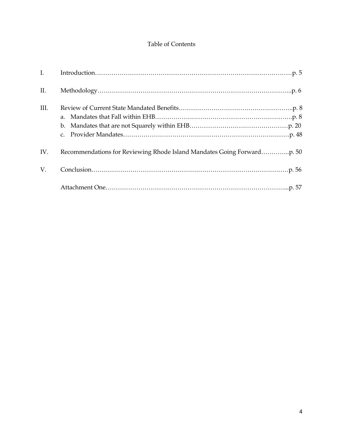# Table of Contents

| $\mathbf{I}$ . |             |
|----------------|-------------|
| II.            |             |
| III.           | $C_{\star}$ |
| IV.            |             |
| V.             |             |
|                |             |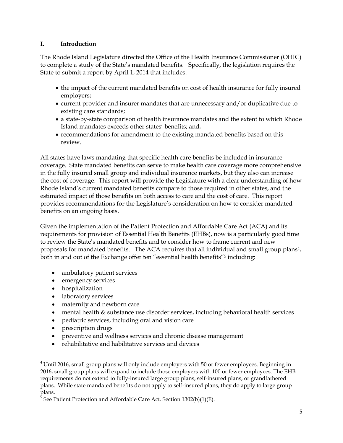## **I. Introduction**

The Rhode Island Legislature directed the Office of the Health Insurance Commissioner (OHIC) to complete a study of the State's mandated benefits. Specifically, the legislation requires the State to submit a report by April 1, 2014 that includes:

- the impact of the current mandated benefits on cost of health insurance for fully insured employers;
- current provider and insurer mandates that are unnecessary and/or duplicative due to existing care standards;
- a state-by-state comparison of health insurance mandates and the extent to which Rhode Island mandates exceeds other states' benefits; and,
- recommendations for amendment to the existing mandated benefits based on this review.

All states have laws mandating that specific health care benefits be included in insurance coverage. State mandated benefits can serve to make health care coverage more comprehensive in the fully insured small group and individual insurance markets, but they also can increase the cost of coverage. This report will provide the Legislature with a clear understanding of how Rhode Island's current mandated benefits compare to those required in other states, and the estimated impact of those benefits on both access to care and the cost of care. This report provides recommendations for the Legislature's consideration on how to consider mandated benefits on an ongoing basis.

Given the implementation of the Patient Protection and Affordable Care Act (ACA) and its requirements for provision of Essential Health Benefits (EHBs), now is a particularly good time to review the State's mandated benefits and to consider how to frame current and new proposals for mandated benefits. The ACA requires that all individual and small group plans<sup>4</sup>, both in and out of the Exchange offer ten "essential health benefits"<sup>5</sup> including:

- ambulatory patient services
- emergency services
- hospitalization
- laboratory services
- maternity and newborn care
- mental health & substance use disorder services, including behavioral health services
- pediatric services, including oral and vision care
- prescription drugs
- preventive and wellness services and chronic disease management
- rehabilitative and habilitative services and devices

 $\overline{\phantom{a}}$  $4$  Until 2016, small group plans will only include employers with 50 or fewer employees. Beginning in 2016, small group plans will expand to include those employers with 100 or fewer employees. The EHB requirements do not extend to fully-insured large group plans, self-insured plans, or grandfathered plans. While state mandated benefits do not apply to self-insured plans, they do apply to large group plans.<br>5 Cee I

See Patient Protection and Affordable Care Act. Section 1302(b)(1)(E).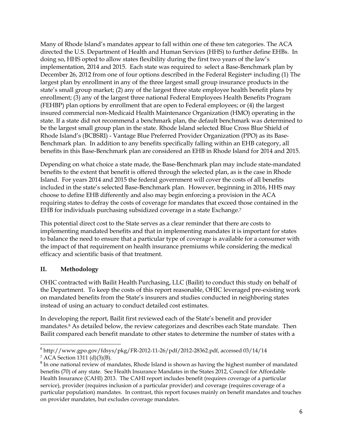Many of Rhode Island's mandates appear to fall within one of these ten categories. The ACA directed the U.S. Department of Health and Human Services (HHS) to further define EHBs. In doing so, HHS opted to allow states flexibility during the first two years of the law's implementation, 2014 and 2015. Each state was required to select a Base-Benchmark plan by December 26, 2012 from one of four options described in the Federal Register<sup>6</sup> including (1) The largest plan by enrollment in any of the three largest small group insurance products in the state's small group market; (2) any of the largest three state employee health benefit plans by enrollment; (3) any of the largest three national Federal Employees Health Benefits Program (FEHBP) plan options by enrollment that are open to Federal employees; or (4) the largest insured commercial non-Medicaid Health Maintenance Organization (HMO) operating in the state. If a state did not recommend a benchmark plan, the default benchmark was determined to be the largest small group plan in the state. Rhode Island selected Blue Cross Blue Shield of Rhode Island's (BCBSRI) - Vantage Blue Preferred Provider Organization (PPO) as its Base-Benchmark plan. In addition to any benefits specifically falling within an EHB category, all benefits in this Base-Benchmark plan are considered an EHB in Rhode Island for 2014 and 2015.

Depending on what choice a state made, the Base-Benchmark plan may include state-mandated benefits to the extent that benefit is offered through the selected plan, as is the case in Rhode Island. For years 2014 and 2015 the federal government will cover the costs of all benefits included in the state's selected Base-Benchmark plan. However, beginning in 2016, HHS may choose to define EHB differently and also may begin enforcing a provision in the ACA requiring states to defray the costs of coverage for mandates that exceed those contained in the EHB for individuals purchasing subsidized coverage in a state Exchange. 7

This potential direct cost to the State serves as a clear reminder that there are costs to implementing mandated benefits and that in implementing mandates it is important for states to balance the need to ensure that a particular type of coverage is available for a consumer with the impact of that requirement on health insurance premiums while considering the medical efficacy and scientific basis of that treatment.

# **II. Methodology**

OHIC contracted with Bailit Health Purchasing, LLC (Bailit) to conduct this study on behalf of the Department. To keep the costs of this report reasonable, OHIC leveraged pre-existing work on mandated benefits from the State's insurers and studies conducted in neighboring states instead of using an actuary to conduct detailed cost estimates.

In developing the report, Bailit first reviewed each of the State's benefit and provider mandates.<sup>8</sup> As detailed below, the review categorizes and describes each State mandate. Then Bailit compared each benefit mandate to other states to determine the number of states with a

l 6 http://www.gpo.gov/fdsys/pkg/FR-2012-11-26/pdf/2012-28362.pdf, accessed 03/14/14

<sup>7</sup> ACA Section 1311 (d)(3)(B).

 $8$ In one national review of mandates, Rhode Island is shown as having the highest number of mandated benefits (70) of any state. See Health Insurance Mandates in the States 2012, Council for Affordable Health Insurance (CAHI) 2013. The CAHI report includes benefit (requires coverage of a particular service), provider (requires inclusion of a particular provider) and coverage (requires coverage of a particular population) mandates. In contrast, this report focuses mainly on benefit mandates and touches on provider mandates, but excludes coverage mandates.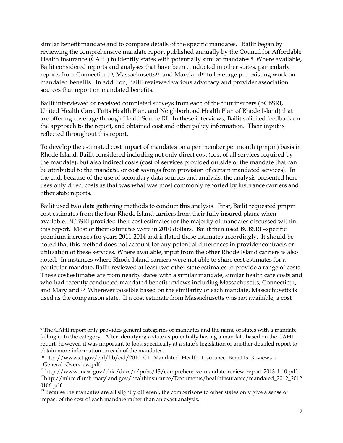similar benefit mandate and to compare details of the specific mandates. Bailit began by reviewing the comprehensive mandate report published annually by the Council for Affordable Health Insurance (CAHI) to identify states with potentially similar mandates.<sup>9</sup> Where available, Bailit considered reports and analyses that have been conducted in other states, particularly reports from Connecticut<sup>10</sup>, Massachusetts<sup>11</sup>, and Maryland<sup>12</sup> to leverage pre-existing work on mandated benefits. In addition, Bailit reviewed various advocacy and provider association sources that report on mandated benefits.

Bailit interviewed or received completed surveys from each of the four insurers (BCBSRI, United Health Care, Tufts Health Plan, and Neighborhood Health Plan of Rhode Island) that are offering coverage through HealthSource RI. In these interviews, Bailit solicited feedback on the approach to the report, and obtained cost and other policy information. Their input is reflected throughout this report.

To develop the estimated cost impact of mandates on a per member per month (pmpm) basis in Rhode Island, Bailit considered including not only direct cost (cost of all services required by the mandate), but also indirect costs (cost of services provided outside of the mandate that can be attributed to the mandate, or cost savings from provision of certain mandated services). In the end, because of the use of secondary data sources and analysis, the analysis presented here uses only direct costs as that was what was most commonly reported by insurance carriers and other state reports.

Bailit used two data gathering methods to conduct this analysis. First, Bailit requested pmpm cost estimates from the four Rhode Island carriers from their fully insured plans, when available. BCBSRI provided their cost estimates for the majority of mandates discussed within this report. Most of their estimates were in 2010 dollars. Bailit then used BCBSRI –specific premium increases for years 2011-2014 and inflated these estimates accordingly. It should be noted that this method does not account for any potential differences in provider contracts or utilization of these services. Where available, input from the other Rhode Island carriers is also noted. In instances where Rhode Island carriers were not able to share cost estimates for a particular mandate, Bailit reviewed at least two other state estimates to provide a range of costs. These cost estimates are from nearby states with a similar mandate, similar health care costs and who had recently conducted mandated benefit reviews including Massachusetts, Connecticut, and Maryland.<sup>13</sup> Wherever possible based on the similarity of each mandate, Massachusetts is used as the comparison state. If a cost estimate from Massachusetts was not available, a cost

<sup>9</sup> The CAHI report only provides general categories of mandates and the name of states with a mandate falling in to the category. After identifying a state as potentially having a mandate based on the CAHI report, however, it was important to look specifically at a state's legislation or another detailed report to obtain more information on each of the mandates.

<sup>10</sup> http://www.ct.gov/cid/lib/cid/2010\_CT\_Mandated\_Health\_Insurance\_Benefits\_Reviews\_- \_General\_Overview.pdf.

<sup>&</sup>lt;sup>11</sup> http://www.mass.gov/chia/docs/r/pubs/13/comprehensive-mandate-review-report-2013-1-10.pdf. <sup>12</sup>http://mhcc.dhmh.maryland.gov/healthinsurance/Documents/healthinsurance/mandated\_2012\_2012 0106.pdf.

<sup>&</sup>lt;sup>13</sup> Because the mandates are all slightly different, the comparisons to other states only give a sense of impact of the cost of each mandate rather than an exact analysis.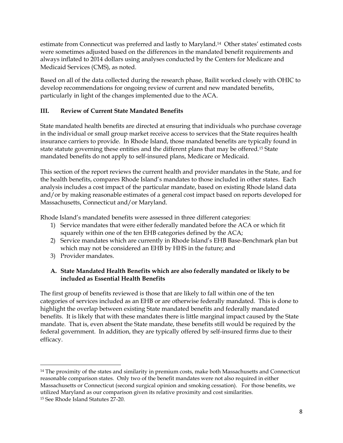estimate from Connecticut was preferred and lastly to Maryland.14 Other states' estimated costs were sometimes adjusted based on the differences in the mandated benefit requirements and always inflated to 2014 dollars using analyses conducted by the Centers for Medicare and Medicaid Services (CMS), as noted.

Based on all of the data collected during the research phase, Bailit worked closely with OHIC to develop recommendations for ongoing review of current and new mandated benefits, particularly in light of the changes implemented due to the ACA.

# **III. Review of Current State Mandated Benefits**

State mandated health benefits are directed at ensuring that individuals who purchase coverage in the individual or small group market receive access to services that the State requires health insurance carriers to provide. In Rhode Island, those mandated benefits are typically found in state statute governing these entities and the different plans that may be offered.<sup>15</sup> State mandated benefits do not apply to self-insured plans, Medicare or Medicaid.

This section of the report reviews the current health and provider mandates in the State, and for the health benefits, compares Rhode Island's mandates to those included in other states. Each analysis includes a cost impact of the particular mandate, based on existing Rhode Island data and/or by making reasonable estimates of a general cost impact based on reports developed for Massachusetts, Connecticut and/or Maryland.

Rhode Island's mandated benefits were assessed in three different categories:

- 1) Service mandates that were either federally mandated before the ACA or which fit squarely within one of the ten EHB categories defined by the ACA;
- 2) Service mandates which are currently in Rhode Island's EHB Base-Benchmark plan but which may not be considered an EHB by HHS in the future; and
- 3) Provider mandates.

# **A. State Mandated Health Benefits which are also federally mandated or likely to be included as Essential Health Benefits**

The first group of benefits reviewed is those that are likely to fall within one of the ten categories of services included as an EHB or are otherwise federally mandated. This is done to highlight the overlap between existing State mandated benefits and federally mandated benefits. It is likely that with these mandates there is little marginal impact caused by the State mandate. That is, even absent the State mandate, these benefits still would be required by the federal government. In addition, they are typically offered by self-insured firms due to their efficacy.

 $\overline{\phantom{a}}$ <sup>14</sup> The proximity of the states and similarity in premium costs, make both Massachusetts and Connecticut reasonable comparison states. Only two of the benefit mandates were not also required in either Massachusetts or Connecticut (second surgical opinion and smoking cessation). For those benefits, we utilized Maryland as our comparison given its relative proximity and cost similarities. <sup>15</sup> See Rhode Island Statutes 27-20.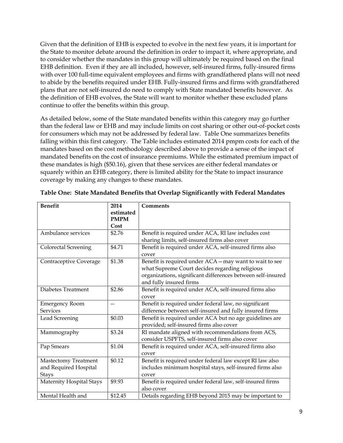Given that the definition of EHB is expected to evolve in the next few years, it is important for the State to monitor debate around the definition in order to impact it, where appropriate, and to consider whether the mandates in this group will ultimately be required based on the final EHB definition. Even if they are all included, however, self-insured firms, fully-insured firms with over 100 full-time equivalent employees and firms with grandfathered plans will not need to abide by the benefits required under EHB. Fully-insured firms and firms with grandfathered plans that are not self-insured do need to comply with State mandated benefits however. As the definition of EHB evolves, the State will want to monitor whether these excluded plans continue to offer the benefits within this group.

As detailed below, some of the State mandated benefits within this category may go further than the federal law or EHB and may include limits on cost sharing or other out-of-pocket costs for consumers which may not be addressed by federal law. Table One summarizes benefits falling within this first category. The Table includes estimated 2014 pmpm costs for each of the mandates based on the cost methodology described above to provide a sense of the impact of mandated benefits on the cost of insurance premiums. While the estimated premium impact of these mandates is high (\$50.16), given that these services are either federal mandates or squarely within an EHB category, there is limited ability for the State to impact insurance coverage by making any changes to these mandates.

| <b>Benefit</b>                                                | 2014                     | Comments                                                                                                                                                                                            |
|---------------------------------------------------------------|--------------------------|-----------------------------------------------------------------------------------------------------------------------------------------------------------------------------------------------------|
|                                                               | estimated<br><b>PMPM</b> |                                                                                                                                                                                                     |
|                                                               | Cost                     |                                                                                                                                                                                                     |
| Ambulance services                                            | \$2.76                   | Benefit is required under ACA, RI law includes cost<br>sharing limits, self-insured firms also cover                                                                                                |
| <b>Colorectal Screening</b>                                   | \$4.71                   | Benefit is required under ACA, self-insured firms also<br>cover                                                                                                                                     |
| Contraceptive Coverage                                        | \$1.38                   | Benefit is required under ACA - may want to wait to see<br>what Supreme Court decides regarding religious<br>organizations, significant differences between self-insured<br>and fully insured firms |
| Diabetes Treatment                                            | \$2.86                   | Benefit is required under ACA, self-insured firms also<br>cover                                                                                                                                     |
| <b>Emergency Room</b><br><b>Services</b>                      | $-$                      | Benefit is required under federal law, no significant<br>difference between self-insured and fully insured firms                                                                                    |
| Lead Screening                                                | \$0.03                   | Benefit is required under ACA but no age guidelines are<br>provided; self-insured firms also cover                                                                                                  |
| Mammography                                                   | \$3.24                   | RI mandate aligned with recommendations from ACS,<br>consider USPFTS, self-insured firms also cover                                                                                                 |
| Pap Smears                                                    | \$1.04                   | Benefit is required under ACA, self-insured firms also<br>cover                                                                                                                                     |
| Mastectomy Treatment<br>and Required Hospital<br><b>Stays</b> | \$0.12                   | Benefit is required under federal law except RI law also<br>includes minimum hospital stays, self-insured firms also<br>cover                                                                       |
| Maternity Hospital Stays                                      | \$9.93                   | Benefit is required under federal law, self-insured firms<br>also cover                                                                                                                             |
| Mental Health and                                             | \$12.45                  | Details regarding EHB beyond 2015 may be important to                                                                                                                                               |

**Table One: State Mandated Benefits that Overlap Significantly with Federal Mandates**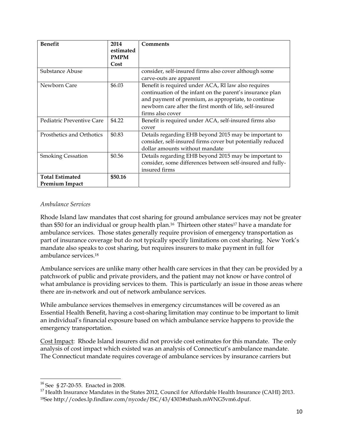| <b>Benefit</b>                           | 2014<br>estimated<br><b>PMPM</b><br>Cost | <b>Comments</b>                                                                                                                                                                                                                                         |
|------------------------------------------|------------------------------------------|---------------------------------------------------------------------------------------------------------------------------------------------------------------------------------------------------------------------------------------------------------|
| Substance Abuse                          |                                          | consider, self-insured firms also cover although some<br>carve-outs are apparent                                                                                                                                                                        |
| Newborn Care                             | \$6.03                                   | Benefit is required under ACA, RI law also requires<br>continuation of the infant on the parent's insurance plan<br>and payment of premium, as appropriate, to continue<br>newborn care after the first month of life, self-insured<br>firms also cover |
| Pediatric Preventive Care                | \$4.22                                   | Benefit is required under ACA, self-insured firms also<br>cover                                                                                                                                                                                         |
| Prosthetics and Orthotics                | \$0.83                                   | Details regarding EHB beyond 2015 may be important to<br>consider, self-insured firms cover but potentially reduced<br>dollar amounts without mandate                                                                                                   |
| <b>Smoking Cessation</b>                 | \$0.56                                   | Details regarding EHB beyond 2015 may be important to<br>consider, some differences between self-insured and fully-<br>insured firms                                                                                                                    |
| <b>Total Estimated</b><br>Premium Impact | \$50.16                                  |                                                                                                                                                                                                                                                         |

## *Ambulance Services*

Rhode Island law mandates that cost sharing for ground ambulance services may not be greater than \$50 for an individual or group health plan.<sup>16</sup> Thirteen other states<sup>17</sup> have a mandate for ambulance services. Those states generally require provision of emergency transportation as part of insurance coverage but do not typically specify limitations on cost sharing. New York's mandate also speaks to cost sharing, but requires insurers to make payment in full for ambulance services.<sup>18</sup>

Ambulance services are unlike many other health care services in that they can be provided by a patchwork of public and private providers, and the patient may not know or have control of what ambulance is providing services to them. This is particularly an issue in those areas where there are in-network and out of network ambulance services.

While ambulance services themselves in emergency circumstances will be covered as an Essential Health Benefit, having a cost-sharing limitation may continue to be important to limit an individual's financial exposure based on which ambulance service happens to provide the emergency transportation.

Cost Impact: Rhode Island insurers did not provide cost estimates for this mandate. The only analysis of cost impact which existed was an analysis of Connecticut's ambulance mandate. The Connecticut mandate requires coverage of ambulance services by insurance carriers but

<sup>16</sup> See § 27-20-55. Enacted in 2008.

<sup>&</sup>lt;sup>17</sup> Health Insurance Mandates in the States 2012, Council for Affordable Health Insurance (CAHI) 2013. 18See http://codes.lp.findlaw.com/nycode/ISC/43/4303#sthash.mWNG5vm6.dpuf.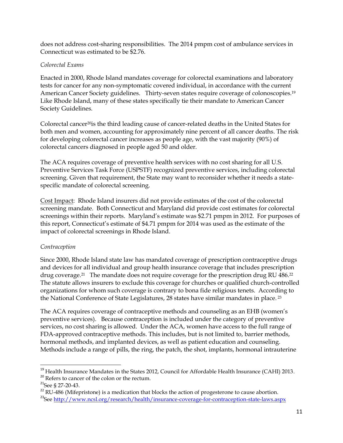does not address cost-sharing responsibilities. The 2014 pmpm cost of ambulance services in Connecticut was estimated to be \$2.76.

## *Colorectal Exams*

Enacted in 2000, Rhode Island mandates coverage for colorectal examinations and laboratory tests for cancer for any non-symptomatic covered individual, in accordance with the current American Cancer Society guidelines. Thirty-seven states require coverage of colonoscopies.<sup>19</sup> Like Rhode Island, many of these states specifically tie their mandate to American Cancer Society Guidelines.

Colorectal cancer20is the third leading cause of cancer-related deaths in the United States for both men and women, accounting for approximately nine percent of all cancer deaths. The risk for developing colorectal cancer increases as people age, with the vast majority (90%) of colorectal cancers diagnosed in people aged 50 and older.

The ACA requires coverage of preventive health services with no cost sharing for all U.S. Preventive Services Task Force (USPSTF) recognized preventive services, including colorectal screening. Given that requirement, the State may want to reconsider whether it needs a statespecific mandate of colorectal screening.

Cost Impact: Rhode Island insurers did not provide estimates of the cost of the colorectal screening mandate. Both Connecticut and Maryland did provide cost estimates for colorectal screenings within their reports. Maryland's estimate was \$2.71 pmpm in 2012. For purposes of this report, Connecticut's estimate of \$4.71 pmpm for 2014 was used as the estimate of the impact of colorectal screenings in Rhode Island.

# *Contraception*

Since 2000, Rhode Island state law has mandated coverage of prescription contraceptive drugs and devices for all individual and group health insurance coverage that includes prescription drug coverage.<sup>21</sup> The mandate does not require coverage for the prescription drug RU 486.<sup>22</sup> The statute allows insurers to exclude this coverage for churches or qualified church-controlled organizations for whom such coverage is contrary to bona fide religious tenets. According to the National Conference of State Legislatures, 28 states have similar mandates in place. <sup>23</sup>

The ACA requires coverage of contraceptive methods and counseling as an EHB (women's preventive services). Because contraception is included under the category of preventive services, no cost sharing is allowed. Under the ACA, women have access to the full range of FDA-approved contraceptive methods. This includes, but is not limited to, barrier methods, hormonal methods, and implanted devices, as well as patient education and counseling. Methods include a range of pills, the ring, the patch, the shot, implants, hormonal intrauterine

<sup>&</sup>lt;sup>19</sup> Health Insurance Mandates in the States 2012, Council for Affordable Health Insurance (CAHI) 2013.

 $^{20}$  Refers to cancer of the colon or the rectum.

 $^{21}$ See § 27-20-43.

<sup>&</sup>lt;sup>22</sup> RU-486 (Mifepristone) is a medication that blocks the action of progesterone to cause abortion. <sup>23</sup>See<http://www.ncsl.org/research/health/insurance-coverage-for-contraception-state-laws.aspx>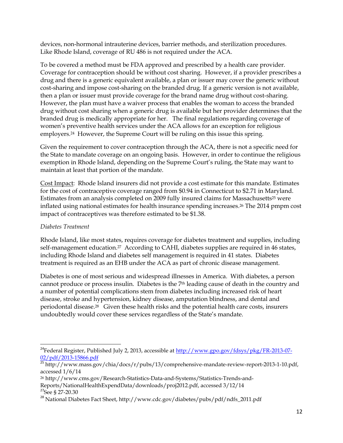devices, non-hormonal intrauterine devices, barrier methods, and sterilization procedures. Like Rhode Island, coverage of RU 486 is not required under the ACA.

To be covered a method must be FDA approved and prescribed by a health care provider. Coverage for contraception should be without cost sharing. However, if a provider prescribes a drug and there is a generic equivalent available, a plan or issuer may cover the generic without cost-sharing and impose cost-sharing on the branded drug. If a generic version is not available, then a plan or issuer must provide coverage for the brand name drug without cost-sharing. However, the plan must have a waiver process that enables the woman to access the branded drug without cost sharing when a generic drug is available but her provider determines that the branded drug is medically appropriate for her. The final regulations regarding coverage of women's preventive health services under the ACA allows for an exception for religious employers. <sup>24</sup> However, the Supreme Court will be ruling on this issue this spring.

Given the requirement to cover contraception through the ACA, there is not a specific need for the State to mandate coverage on an ongoing basis. However, in order to continue the religious exemption in Rhode Island, depending on the Supreme Court's ruling, the State may want to maintain at least that portion of the mandate.

Cost Impact: Rhode Island insurers did not provide a cost estimate for this mandate. Estimates for the cost of contraceptive coverage ranged from \$0.94 in Connecticut to \$2.71 in Maryland. Estimates from an analysis completed on 2009 fully insured claims for Massachusetts<sup>25</sup> were inflated using national estimates for health insurance spending increases.<sup>26</sup> The 2014 pmpm cost impact of contraceptives was therefore estimated to be \$1.38.

# *Diabetes Treatment*

Rhode Island, like most states, requires coverage for diabetes treatment and supplies, including self-management education.<sup>27</sup> According to CAHI, diabetes supplies are required in 46 states, including Rhode Island and diabetes self management is required in 41 states. Diabetes treatment is required as an EHB under the ACA as part of chronic disease management.

Diabetes is one of most serious and widespread illnesses in America. With diabetes, a person cannot produce or process insulin. Diabetes is the 7th leading cause of death in the country and a number of potential complications stem from diabetes including increased risk of heart disease, stroke and hypertension, kidney disease, amputation blindness, and dental and periodontal disease.28 Given these health risks and the potential health care costs, insurers undoubtedly would cover these services regardless of the State's mandate.

l <sup>24</sup>Federal Register, Published July 2, 2013, accessible at [http://www.gpo.gov/fdsys/pkg/FR-2013-07-](http://www.gpo.gov/fdsys/pkg/FR-2013-07-02/pdf/2013-15866.pdf) 02/pdf/2013-15866.pdf

<sup>&</sup>lt;sup>25</sup> http://www.mass.gov/chia/docs/r/pubs/13/comprehensive-mandate-review-report-2013-1-10.pdf, accessed 1/6/14

<sup>26</sup> http://www.cms.gov/Research-Statistics-Data-and-Systems/Statistics-Trends-and-

Reports/NationalHealthExpendData/downloads/proj2012.pdf, accessed 3/12/14

<sup>&</sup>lt;sup>27</sup>See § 27-20.30

<sup>&</sup>lt;sup>28</sup> National Diabetes Fact Sheet, http://www.cdc.gov/diabetes/pubs/pdf/ndfs\_2011.pdf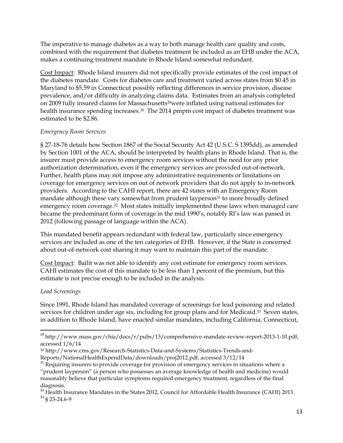The imperative to manage diabetes as a way to both manage health care quality and costs, combined with the requirement that diabetes treatment be included as an EHB under the ACA, makes a continuing treatment mandate in Rhode Island somewhat redundant.

Cost Impact: Rhode Island insurers did not specifically provide estimates of the cost impact of the diabetes mandate. Costs for diabetes care and treatment varied across states from \$0.45 in Maryland to \$5.59 in Connecticut possibly reflecting differences in service provision, disease prevalence, and/or difficulty in analyzing claims data. Estimates from an analysis completed on 2009 fully insured claims for Massachusetts<sup>29</sup>were inflated using national estimates for health insurance spending increases.<sup>30</sup> The 2014 pmpm cost impact of diabetes treatment was estimated to be \$2.86.

# *Emergency Room Services*

§ 27-18-76 details how Section 1867 of the Social Security Act 42 (U.S.C. S 1395dd), as amended by Section 1001 of the ACA, should be interpreted by health plans in Rhode Island. That is, the insurer must provide access to emergency room services without the need for any prior authorization determination, even if the emergency services are provided out-of-network. Further, health plans may not impose any administrative requirements or limitations on coverage for emergency services on out of network providers that do not apply to in-network providers. According to the CAHI report, there are 42 states with an Emergency Room mandate although these vary somewhat from prudent layperson<sup>31</sup> to more broadly defined emergency room coverage.32 Most states initially implemented these laws when managed care became the predominant form of coverage in the mid 1990's, notably RI's law was passed in 2012 (following passage of language within the ACA).

This mandated benefit appears redundant with federal law, particularly since emergency services are included as one of the ten categories of EHB. However, if the State is concerned about out-of-network cost sharing it may want to maintain this part of the mandate.

Cost Impact: Bailit was not able to identify any cost estimate for emergency room services. CAHI estimates the cost of this mandate to be less than 1 percent of the premium, but this estimate is not precise enough to be included in the analysis.

# *Lead Screenings*

 $\overline{a}$ 

Since 1991, Rhode Island has mandated coverage of screenings for lead poisoning and related services for children under age six, including for group plans and for Medicaid.<sup>33</sup> Seven states, in addition to Rhode Island, have enacted similar mandates, including California, Connecticut,

 $^{29}$ http://www.mass.gov/chia/docs/r/pubs/13/comprehensive-mandate-review-report-2013-1-10.pdf, accessed 1/6/14

<sup>30</sup> http://www.cms.gov/Research-Statistics-Data-and-Systems/Statistics-Trends-and-Reports/NationalHealthExpendData/downloads/proj2012.pdf, accessed 3/12/14

 $31$  Requiring insurers to provide coverage for provision of emergency services in situations where a "prudent layperson" (a person who possesses an average knowledge of health and medicine) would reasonably believe that particular symptoms required emergency treatment, regardless of the final diagnosis.

 $32$  Health Insurance Mandates in the States 2012, Council for Affordable Health Insurance (CAHI) 2013. <sup>33</sup> § 23-24.6-9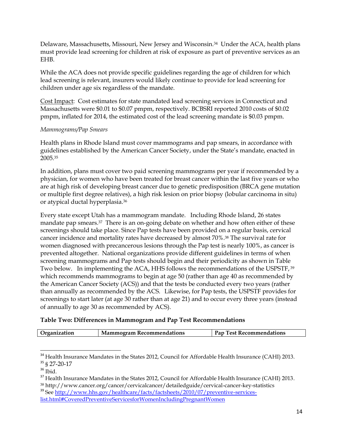Delaware, Massachusetts, Missouri, New Jersey and Wisconsin.34 Under the ACA, health plans must provide lead screening for children at risk of exposure as part of preventive services as an EHB.

While the ACA does not provide specific guidelines regarding the age of children for which lead screening is relevant, insurers would likely continue to provide for lead screening for children under age six regardless of the mandate.

Cost Impact: Cost estimates for state mandated lead screening services in Connecticut and Massachusetts were \$0.01 to \$0.07 pmpm, respectively. BCBSRI reported 2010 costs of \$0.02 pmpm, inflated for 2014, the estimated cost of the lead screening mandate is \$0.03 pmpm.

## *Mammograms/Pap Smears*

Health plans in Rhode Island must cover mammograms and pap smears, in accordance with guidelines established by the American Cancer Society, under the State's mandate, enacted in 2005.<sup>35</sup>

In addition, plans must cover two paid screening mammograms per year if recommended by a physician, for women who have been treated for breast cancer within the last five years or who are at high risk of developing breast cancer due to genetic predisposition (BRCA gene mutation or multiple first degree relatives), a high risk lesion on prior biopsy (lobular carcinoma in situ) or atypical ductal hyperplasia.<sup>36</sup>

Every state except Utah has a mammogram mandate. Including Rhode Island, 26 states mandate pap smears.37 There is an on-going debate on whether and how often either of these screenings should take place. Since Pap tests have been provided on a regular basis, cervical cancer incidence and mortality rates have decreased by almost 70%. <sup>38</sup> The survival rate for women diagnosed with precancerous lesions through the Pap test is nearly 100%, as cancer is prevented altogether. National organizations provide different guidelines in terms of when screening mammograms and Pap tests should begin and their periodicity as shown in Table Two below. In implementing the ACA, HHS follows the recommendations of the USPSTF, 39 which recommends mammograms to begin at age 50 (rather than age 40 as recommended by the American Cancer Society (ACS)) and that the tests be conducted every two years (rather than annually as recommended by the ACS. Likewise, for Pap tests, the USPSTF provides for screenings to start later (at age 30 rather than at age 21) and to occur every three years (instead of annually to age 30 as recommended by ACS).

# **Table Two: Differences in Mammogram and Pap Test Recommendations**

| <b>Test Recommendations</b><br>Organization<br><b>Mammogram Recommendations</b><br>$P_{AD}$ |
|---------------------------------------------------------------------------------------------|
|---------------------------------------------------------------------------------------------|

 $^{34}$  Health Insurance Mandates in the States 2012, Council for Affordable Health Insurance (CAHI) 2013. <sup>35</sup> § 27-20-17

 $\overline{a}$ 

 $36$  Ibid.

<sup>&</sup>lt;sup>37</sup> Health Insurance Mandates in the States 2012, Council for Affordable Health Insurance (CAHI) 2013. <sup>38</sup> http://www.cancer.org/cancer/cervicalcancer/detailedguide/cervical-cancer-key-statistics

<sup>&</sup>lt;sup>39</sup> See [http://www.hhs.gov/healthcare/facts/factsheets/2010/07/preventive-services](http://www.hhs.gov/healthcare/facts/factsheets/2010/07/preventive-services-list.html#CoveredPreventiveServicesforWomenIncludingPregnantWomen)[list.html#CoveredPreventiveServicesforWomenIncludingPregnantWomen](http://www.hhs.gov/healthcare/facts/factsheets/2010/07/preventive-services-list.html#CoveredPreventiveServicesforWomenIncludingPregnantWomen)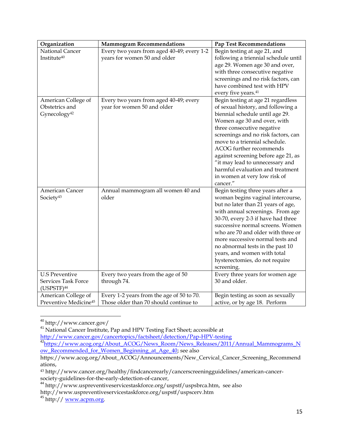| Organization                                                           | <b>Mammogram Recommendations</b>                                                    | <b>Pap Test Recommendations</b>                                                                                                                                                                                                                                                                                                                                                                                                       |
|------------------------------------------------------------------------|-------------------------------------------------------------------------------------|---------------------------------------------------------------------------------------------------------------------------------------------------------------------------------------------------------------------------------------------------------------------------------------------------------------------------------------------------------------------------------------------------------------------------------------|
| National Cancer<br>Institute <sup>40</sup>                             | Every two years from aged 40-49; every 1-2<br>years for women 50 and older          | Begin testing at age 21, and<br>following a triennial schedule until<br>age 29. Women age 30 and over,<br>with three consecutive negative<br>screenings and no risk factors, can<br>have combined test with HPV                                                                                                                                                                                                                       |
|                                                                        |                                                                                     | every five years. <sup>41</sup>                                                                                                                                                                                                                                                                                                                                                                                                       |
| American College of<br>Obstetrics and<br>Gynecology <sup>42</sup>      | Every two years from aged 40-49; every<br>year for women 50 and older               | Begin testing at age 21 regardless<br>of sexual history, and following a<br>biennial schedule until age 29.<br>Women age 30 and over, with<br>three consecutive negative<br>screenings and no risk factors, can<br>move to a triennial schedule.<br>ACOG further recommends<br>against screening before age 21, as<br>"it may lead to unnecessary and<br>harmful evaluation and treatment<br>in women at very low risk of<br>cancer." |
| American Cancer<br>Society <sup>43</sup>                               | Annual mammogram all women 40 and<br>older                                          | Begin testing three years after a<br>woman begins vaginal intercourse,<br>but no later than 21 years of age,<br>with annual screenings. From age<br>30-70, every 2-3 if have had three<br>successive normal screens. Women<br>who are 70 and older with three or<br>more successive normal tests and<br>no abnormal tests in the past 10<br>years, and women with total<br>hysterectomies, do not require<br>screening.               |
| <b>U.S Preventive</b><br>Services Task Force<br>(USPSTF) <sup>44</sup> | Every two years from the age of 50<br>through 74.                                   | Every three years for women age<br>30 and older.                                                                                                                                                                                                                                                                                                                                                                                      |
| American College of<br>Preventive Medicine <sup>45</sup>               | Every 1-2 years from the age of 50 to 70.<br>Those older than 70 should continue to | Begin testing as soon as sexually<br>active, or by age 18. Perform                                                                                                                                                                                                                                                                                                                                                                    |

 $\overline{\phantom{a}}$ <sup>40</sup> http://www.cancer.gov/

<sup>&</sup>lt;sup>41</sup> National Cancer Institute, Pap and HPV Testing Fact Sheet; accessible at <http://www.cancer.gov/cancertopics/factsheet/detection/Pap-HPV-testing>

<sup>&</sup>lt;sup>42</sup>[https://www.acog.org/About\\_ACOG/News\\_Room/News\\_Releases/2011/Annual\\_Mammograms\\_N](https://www.acog.org/About_ACOG/News_Room/News_Releases/2011/Annual_Mammograms_Now_Recommended_for_Women_Beginning_at_Age_40) [ow\\_Recommended\\_for\\_Women\\_Beginning\\_at\\_Age\\_40;](https://www.acog.org/About_ACOG/News_Room/News_Releases/2011/Annual_Mammograms_Now_Recommended_for_Women_Beginning_at_Age_40) see also

https://www.acog.org/About\_ACOG/Announcements/New\_Cervical\_Cancer\_Screening\_Recommend ations,

<sup>43</sup> http://www.cancer.org/healthy/findcancerearly/cancerscreeningguidelines/american-cancersociety-guidelines-for-the-early-detection-of-cancer,

<sup>44</sup> http://www.uspreventiveservicestaskforce.org/uspstf/uspsbrca.htm, see also

http://www.uspreventiveservicestaskforce.org/uspstf/uspscerv.htm

<sup>45</sup> http:// [www.acpm.org.](http://www.acpm.org/)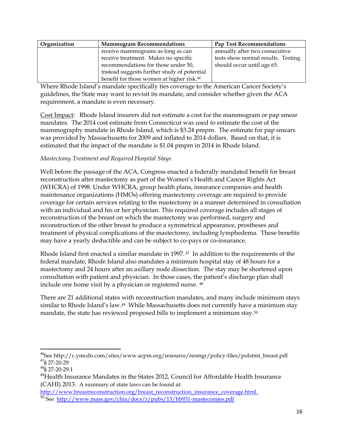| Organization | <b>Mammogram Recommendations</b>                      | <b>Pap Test Recommendations</b>    |
|--------------|-------------------------------------------------------|------------------------------------|
|              | receive mammograms as long as can                     | annually after two consecutive     |
|              | receive treatment. Makes no specific                  | tests show normal results. Testing |
|              | recommendations for those under 50,                   | should occur until age 65.         |
|              | instead suggests further study of potential           |                                    |
|              | benefit for those women at higher risk. <sup>46</sup> |                                    |

Where Rhode Island's mandate specifically ties coverage to the American Cancer Society's guidelines, the State may want to revisit its mandate, and consider whether given the ACA requirement, a mandate is even necessary.

Cost Impact: Rhode Island insurers did not estimate a cost for the mammogram or pap smear mandates. The 2014 cost estimate from Connecticut was used to estimate the cost of the mammography mandate in Rhode Island, which is \$3.24 pmpm. The estimate for pap smears was provided by Massachusetts for 2009 and inflated to 2014 dollars. Based on that, it is estimated that the impact of the mandate is \$1.04 pmpm in 2014 in Rhode Island.

# *Mastectomy Treatment and Required Hospital Stays*

Well before the passage of the ACA, Congress enacted a federally mandated benefit for breast reconstruction after mastectomy as part of the Women's Health and Cancer Rights Act (WHCRA) of 1998. Under WHCRA, group health plans, insurance companies and health maintenance organizations (HMOs) offering mastectomy coverage are required to provide coverage for certain services relating to the mastectomy in a manner determined in consultation with an individual and his or her physician. This required coverage includes all stages of reconstruction of the breast on which the mastectomy was performed, surgery and reconstruction of the other breast to produce a symmetrical appearance, prostheses and treatment of physical complications of the mastectomy, including lymphedema. These benefits may have a yearly deductible and can be subject to co-pays or co-insurance.

Rhode Island first enacted a similar mandate in 1997. <sup>47</sup> In addition to the requirements of the federal mandate, Rhode Island also mandates a minimum hospital stay of 48 hours for a mastectomy and 24 hours after an axillary node dissection. The stay may be shortened upon consultation with patient and physician. In those cases, the patient's discharge plan shall include one home visit by a physician or registered nurse. <sup>48</sup>

There are 21 additional states with reconstruction mandates, and many include minimum stays similar to Rhode Island's law. <sup>49</sup> While Massachusetts does not currently have a minimum stay mandate, the state has reviewed proposed bills to implement a minimum stay.<sup>50</sup>

 $\overline{a}$  $46$ See http://c.ymcdn.com/sites/www.acpm.org/resource/resmgr/policy-files/polstmt\_breast.pdf <sup>47</sup>§ 27-20-29

 $48\overline{\text{S}}$  27-20-29.1

<sup>&</sup>lt;sup>49</sup>Health Insurance Mandates in the States 2012, Council for Affordable Health Insurance (CAHI) 2013. A summary of state laws can be found at:

[http://www.breastreconstruction.org/breast\\_reconstruction\\_insurance\\_coverage.html.](http://www.breastreconstruction.org/breast_reconstruction_insurance_coverage.html)

<sup>50</sup> See <http://www.mass.gov/chia/docs/r/pubs/13/hb931-mastecomies.pdf>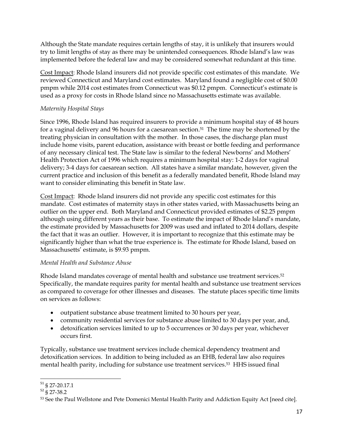Although the State mandate requires certain lengths of stay, it is unlikely that insurers would try to limit lengths of stay as there may be unintended consequences. Rhode Island's law was implemented before the federal law and may be considered somewhat redundant at this time.

Cost Impact: Rhode Island insurers did not provide specific cost estimates of this mandate. We reviewed Connecticut and Maryland cost estimates. Maryland found a negligible cost of \$0.00 pmpm while 2014 cost estimates from Connecticut was \$0.12 pmpm. Connecticut's estimate is used as a proxy for costs in Rhode Island since no Massachusetts estimate was available.

# *Maternity Hospital Stays*

Since 1996, Rhode Island has required insurers to provide a minimum hospital stay of 48 hours for a vaginal delivery and 96 hours for a caesarean section. <sup>51</sup> The time may be shortened by the treating physician in consultation with the mother. In those cases, the discharge plan must include home visits, parent education, assistance with breast or bottle feeding and performance of any necessary clinical test. The State law is similar to the federal Newborns' and Mothers' Health Protection Act of 1996 which requires a minimum hospital stay: 1-2 days for vaginal delivery; 3-4 days for caesarean section. All states have a similar mandate, however, given the current practice and inclusion of this benefit as a federally mandated benefit, Rhode Island may want to consider eliminating this benefit in State law.

Cost Impact: Rhode Island insurers did not provide any specific cost estimates for this mandate. Cost estimates of maternity stays in other states varied, with Massachusetts being an outlier on the upper end. Both Maryland and Connecticut provided estimates of \$2.25 pmpm although using different years as their base. To estimate the impact of Rhode Island's mandate, the estimate provided by Massachusetts for 2009 was used and inflated to 2014 dollars, despite the fact that it was an outlier. However, it is important to recognize that this estimate may be significantly higher than what the true experience is. The estimate for Rhode Island, based on Massachusetts' estimate, is \$9.93 pmpm.

# *Mental Health and Substance Abuse*

Rhode Island mandates coverage of mental health and substance use treatment services. 52 Specifically, the mandate requires parity for mental health and substance use treatment services as compared to coverage for other illnesses and diseases. The statute places specific time limits on services as follows:

- outpatient substance abuse treatment limited to 30 hours per year,
- community residential services for substance abuse limited to 30 days per year, and,
- detoxification services limited to up to 5 occurrences or 30 days per year, whichever occurs first.

Typically, substance use treatment services include chemical dependency treatment and detoxification services. In addition to being included as an EHB, federal law also requires mental health parity, including for substance use treatment services.53 HHS issued final

 $\overline{\phantom{a}}$ <sup>51</sup> § 27-20.17.1

 $52$  § 27-38.2

<sup>53</sup> See the Paul Wellstone and Pete Domenici Mental Health Parity and Addiction Equity Act [need cite].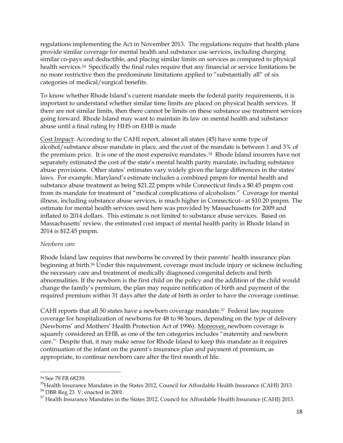regulations implementing the Act in November 2013. The regulations require that health plans provide similar coverage for mental health and substance use services, including charging similar co-pays and deductible, and placing similar limits on services as compared to physical health services.<sup>54</sup> Specifically the final rules require that any financial or service limitations be no more restrictive then the predominate limitations applied to "substantially all" of six categories of medical/surgical benefits.

To know whether Rhode Island's current mandate meets the federal parity requirements, it is important to understand whether similar time limits are placed on physical health services. If there are not similar limits, then there cannot be limits on these substance use treatment services going forward. Rhode Island may want to maintain its law on mental health and substance abuse until a final ruling by HHS on EHB is made

Cost Impact: According to the CAHI report, almost all states (45) have some type of alcohol/substance abuse mandate in place, and the cost of the mandate is between 1 and 3% of the premium price. It is one of the most expensive mandates. <sup>55</sup> Rhode Island insurers have not separately estimated the cost of the state's mental health parity mandate, including substance abuse provisions. Other states' estimates vary widely given the large differences in the states' laws. For example, Maryland's estimate includes a combined pmpm for mental health and substance abuse treatment as being \$21.22 pmpm while Connecticut finds a \$0.45 pmpm cost from its mandate for treatment of "medical complications of alcoholism." Coverage for mental illness, including substance abuse services, is much higher in Connecticut– at \$10.20 pmpm. The estimate for mental health services used here was provided by Massachusetts for 2009 and inflated to 2014 dollars. This estimate is not limited to substance abuse services. Based on Massachusetts' review, the estimated cost impact of mental health parity in Rhode Island in 2014 is \$12.45 pmpm.

## *Newborn care*

Rhode Island law requires that newborns be covered by their parents' health insurance plan beginning at birth.<sup>56</sup> Under this requirement, coverage must include injury or sickness including the necessary care and treatment of medically diagnosed congenital defects and birth abnormalities. If the newborn is the first child on the policy and the addition of the child would change the family's premium, the plan may require notification of birth and payment of the required premium within 31 days after the date of birth in order to have the coverage continue.

CAHI reports that all 50 states have a newborn coverage mandate.57 Federal law requires coverage for hospitalization of newborns for 48 to 96 hours, depending on the type of delivery (Newborns' and Mothers' Health Protection Act of 1996). Moreover, newborn coverage is squarely considered an EHB, as one of the ten categories includes "maternity and newborn care." Despite that, it may make sense for Rhode Island to keep this mandate as it requires continuation of the infant on the parent's insurance plan and payment of premium, as appropriate, to continue newborn care after the first month of life.

<sup>54</sup> See 78 FR 68239.

<sup>&</sup>lt;sup>55</sup>Health Insurance Mandates in the States 2012, Council for Affordable Health Insurance (CAHI) 2013.

<sup>56</sup> DBR Reg 23. V; enacted in 2001.

<sup>&</sup>lt;sup>57</sup> Health Insurance Mandates in the States 2012, Council for Affordable Health Insurance (CAHI) 2013.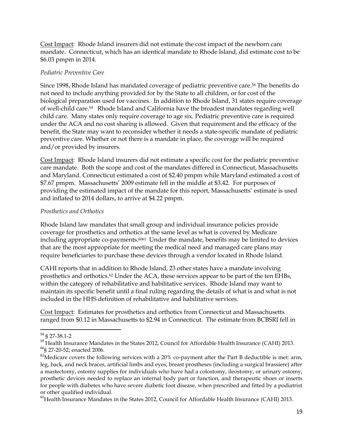Cost Impact: Rhode Island insurers did not estimate the cost impact of the newborn care mandate. Connecticut, which has an identical mandate to Rhode Island, did estimate cost to be \$6.03 pmpm in 2014.

# *Pediatric Preventive Care*

Since 1998, Rhode Island has mandated coverage of pediatric preventive care.<sup>58</sup> The benefits do not need to include anything provided for by the State to all children, or for cost of the biological preparation used for vaccines. In addition to Rhode Island, 31 states require coverage of well-child care.59 Rhode Island and California have the broadest mandates regarding well child care. Many states only require coverage to age six. Pediatric preventive care is required under the ACA and no cost sharing is allowed. Given that requirement and the efficacy of the benefit, the State may want to reconsider whether it needs a state-specific mandate of pediatric preventive care. Whether or not there is a mandate in place, the coverage will be required and/or provided by insurers.

Cost Impact: Rhode Island insurers did not estimate a specific cost for the pediatric preventive care mandate. Both the scope and cost of the mandates differed in Connecticut, Massachusetts and Maryland. Connecticut estimated a cost of \$2.40 pmpm while Maryland estimated a cost of \$7.67 pmpm. Massachusetts' 2009 estimate fell in the middle at \$3.42. For purposes of providing the estimated impact of the mandate for this report, Massachusetts' estimate is used and inflated to 2014 dollars, to arrive at \$4.22 pmpm.

# *Prosthetics and Orthotics*

Rhode Island law mandates that small group and individual insurance policies provide coverage for prosthetics and orthotics at the same level as what is covered by Medicare including appropriate co-payments.<sup>6061</sup> Under the mandate, benefits may be limited to devices that are the most appropriate for meeting the medical need and managed care plans may require beneficiaries to purchase these devices through a vendor located in Rhode Island.

CAHI reports that in addition to Rhode Island, 23 other states have a mandate involving prosthetics and orthotics.<sup>62</sup> Under the ACA, these services appear to be part of the ten EHBs, within the category of rehabilitative and habilitative services. Rhode Island may want to maintain its specific benefit until a final ruling regarding the details of what is and what is not included in the HHS definition of rehabilitative and habilitative services.

Cost Impact: Estimates for prosthetics and orthotics from Connecticut and Massachusetts ranged from \$0.12 in Massachusetts to \$2.94 in Connecticut. The estimate from BCBSRI fell in

 $\overline{a}$ <sup>58</sup> § 27-38.1-2

<sup>&</sup>lt;sup>59</sup> Health Insurance Mandates in the States 2012, Council for Affordable Health Insurance (CAHI) 2013. <sup>60</sup>§ 27-20-52; enacted 2006.

 $61$ Medicare covers the following services with a 20% co-payment after the Part B deductible is met: arm, leg, back, and neck braces, artificial limbs and eyes, breast prostheses (including a surgical brassiere) after a mastectomy, ostomy supplies for individuals who have had a colostomy, ileostomy, or urinary ostomy, prosthetic devices needed to replace an internal body part or function, and therapeutic shoes or inserts for people with diabetes who have severe diabetic foot disease, when prescribed and fitted by a podiatrist or other qualified individual.

 $^{62}$ Health Insurance Mandates in the States 2012, Council for Affordable Health Insurance (CAHI) 2013.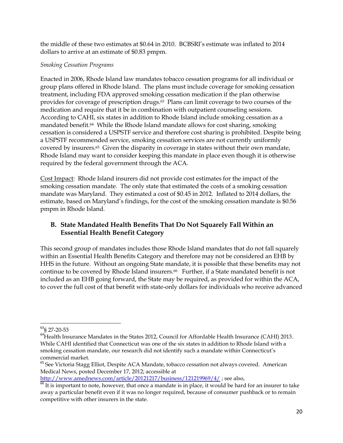the middle of these two estimates at \$0.64 in 2010. BCBSRI's estimate was inflated to 2014 dollars to arrive at an estimate of \$0.83 pmpm.

## *Smoking Cessation Programs*

Enacted in 2006, Rhode Island law mandates tobacco cessation programs for all individual or group plans offered in Rhode Island. The plans must include coverage for smoking cessation treatment, including FDA approved smoking cessation medication if the plan otherwise provides for coverage of prescription drugs. <sup>63</sup> Plans can limit coverage to two courses of the medication and require that it be in combination with outpatient counseling sessions. According to CAHI, six states in addition to Rhode Island include smoking cessation as a mandated benefit.64 While the Rhode Island mandate allows for cost sharing, smoking cessation is considered a USPSTF service and therefore cost sharing is prohibited. Despite being a USPSTF recommended service, smoking cessation services are not currently uniformly covered by insurers.65 Given the disparity in coverage in states without their own mandate, Rhode Island may want to consider keeping this mandate in place even though it is otherwise required by the federal government through the ACA.

Cost Impact: Rhode Island insurers did not provide cost estimates for the impact of the smoking cessation mandate. The only state that estimated the costs of a smoking cessation mandate was Maryland. They estimated a cost of \$0.45 in 2012. Inflated to 2014 dollars, the estimate, based on Maryland's findings, for the cost of the smoking cessation mandate is \$0.56 pmpm in Rhode Island.

# **B. State Mandated Health Benefits That Do Not Squarely Fall Within an Essential Health Benefit Category**

This second group of mandates includes those Rhode Island mandates that do not fall squarely within an Essential Health Benefits Category and therefore may not be considered an EHB by HHS in the future. Without an ongoing State mandate, it is possible that these benefits may not continue to be covered by Rhode Island insurers.<sup>66</sup> Further, if a State mandated benefit is not included as an EHB going forward, the State may be required, as provided for within the ACA, to cover the full cost of that benefit with state-only dollars for individuals who receive advanced

<http://www.amednews.com/article/20121217/business/121219969/4/>; see also,

 $\overline{\phantom{a}}$ <sup>63</sup>§ 27-20-53

<sup>&</sup>lt;sup>64</sup>Health Insurance Mandates in the States 2012, Council for Affordable Health Insurance (CAHI) 2013. While CAHI identified that Connecticut was one of the six states in addition to Rhode Island with a smoking cessation mandate, our research did not identify such a mandate within Connecticut's commercial market.

<sup>&</sup>lt;sup>65</sup> See Victoria Stagg Elliot, Despite ACA Mandate, tobacco cessation not always covered. American Medical News, posted December 17, 2012; accessible at

 $\frac{66}{66}$  It is important to note, however, that once a mandate is in place, it would be hard for an insurer to take away a particular benefit even if it was no longer required, because of consumer pushback or to remain competitive with other insurers in the state.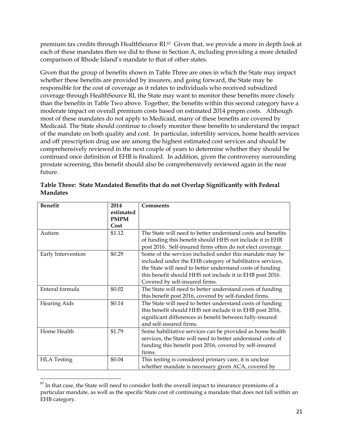premium tax credits through HealthSource RI. <sup>67</sup> Given that, we provide a more in depth look at each of these mandates then we did to those in Section A, including providing a more detailed comparison of Rhode Island's mandate to that of other states.

Given that the group of benefits shown in Table Three are ones in which the State may impact whether these benefits are provided by insurers, and going forward, the State may be responsible for the cost of coverage as it relates to individuals who received subsidized coverage through HealthSource RI, the State may want to monitor these benefits more closely than the benefits in Table Two above. Together, the benefits within this second category have a moderate impact on overall premium costs based on estimated 2014 pmpm costs. Although most of these mandates do not apply to Medicaid, many of these benefits are covered by Medicaid. The State should continue to closely monitor these benefits to understand the impact of the mandate on both quality and cost. In particular, infertility services, home health services and off prescription drug use are among the highest estimated cost services and should be comprehensively reviewed in the next couple of years to determine whether they should be continued once definition of EHB is finalized. In addition, given the controversy surrounding prostate screening, this benefit should also be comprehensively reviewed again in the near future.

| <b>Benefit</b>      | 2014                             | <b>Comments</b>                                                                                                                                                                                                                                                                 |
|---------------------|----------------------------------|---------------------------------------------------------------------------------------------------------------------------------------------------------------------------------------------------------------------------------------------------------------------------------|
|                     | estimated<br><b>PMPM</b><br>Cost |                                                                                                                                                                                                                                                                                 |
| Autism              | \$1.12                           | The State will need to better understand costs and benefits<br>of funding this benefit should HHS not include it in EHB<br>post 2016. Self-insured firms often do not elect coverage.                                                                                           |
| Early Intervention  | \$0.29                           | Some of the services included under this mandate may be<br>included under the EHB category of habilitative services,<br>the State will need to better understand costs of funding<br>this benefit should HHS not include it in EHB post 2016.<br>Covered by self-insured firms. |
| Enteral formula     | \$0.02                           | The State will need to better understand costs of funding<br>this benefit post 2016, covered by self-funded firms.                                                                                                                                                              |
| <b>Hearing Aids</b> | \$0.14                           | The State will need to better understand costs of funding<br>this benefit should HHS not include it in EHB post 2016,<br>significant differences in benefit between fully-insured<br>and self-insured firms.                                                                    |
| Home Health         | \$1.79                           | Some habilitative services can be provided as home health<br>services, the State will need to better understand costs of<br>funding this benefit post 2016, covered by self-insured<br>firms.                                                                                   |
| <b>HLA</b> Testing  | \$0.04                           | This testing is considered primary care, it is unclear<br>whether mandate is necessary given ACA, covered by                                                                                                                                                                    |

|                 | Table Three: State Mandated Benefits that do not Overlap Significantly with Federal |  |
|-----------------|-------------------------------------------------------------------------------------|--|
| <b>Mandates</b> |                                                                                     |  |

 $67$  In that case, the State will need to consider both the overall impact to insurance premiums of a particular mandate, as well as the specific State cost of continuing a mandate that does not fall within an EHB category.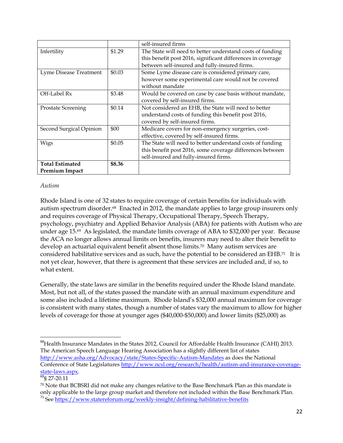|                           |        | self-insured firms                                          |  |
|---------------------------|--------|-------------------------------------------------------------|--|
| Infertility               | \$1.29 | The State will need to better understand costs of funding   |  |
|                           |        | this benefit post 2016, significant differences in coverage |  |
|                           |        | between self-insured and fully-insured firms.               |  |
| Lyme Disease Treatment    | \$0.03 | Some Lyme disease care is considered primary care,          |  |
|                           |        | however some experimental care would not be covered         |  |
|                           |        | without mandate                                             |  |
| Off-Label Rx              | \$3.48 | Would be covered on case by case basis without mandate,     |  |
|                           |        | covered by self-insured firms.                              |  |
| <b>Prostate Screening</b> | \$0.14 | Not considered an EHB, the State will need to better        |  |
|                           |        | understand costs of funding this benefit post 2016,         |  |
|                           |        | covered by self-insured firms.                              |  |
| Second Surgical Opinion   | \$00   | Medicare covers for non-emergency surgeries, cost-          |  |
|                           |        | effective, covered by self-insured firms.                   |  |
| Wigs                      | \$0.05 | The State will need to better understand costs of funding   |  |
|                           |        | this benefit post 2016, some coverage differences between   |  |
|                           |        | self-insured and fully-insured firms.                       |  |
| <b>Total Estimated</b>    | \$8.36 |                                                             |  |
| <b>Premium Impact</b>     |        |                                                             |  |

## *Autism*

Rhode Island is one of 32 states to require coverage of certain benefits for individuals with autism spectrum disorder.<sup>68</sup> Enacted in 2012, the mandate applies to large group insurers only and requires coverage of Physical Therapy, Occupational Therapy, Speech Therapy, psychology, psychiatry and Applied Behavior Analysis (ABA) for patients with Autism who are under age 15. <sup>69</sup>As legislated, the mandate limits coverage of ABA to \$32,000 per year. Because the ACA no longer allows annual limits on benefits, insurers may need to alter their benefit to develop an actuarial equivalent benefit absent those limits.70 Many autism services are considered habilitative services and as such, have the potential to be considered an EHB. <sup>71</sup> It is not yet clear, however, that there is agreement that these services are included and, if so, to what extent.

Generally, the state laws are similar in the benefits required under the Rhode Island mandate. Most, but not all, of the states passed the mandate with an annual maximum expenditure and some also included a lifetime maximum. Rhode Island's \$32,000 annual maximum for coverage is consistent with many states, though a number of states vary the maximum to allow for higher levels of coverage for those at younger ages (\$40,000-\$50,000) and lower limits (\$25,000) as

 $\overline{\phantom{a}}$ <sup>68</sup>Health Insurance Mandates in the States 2012, Council for Affordable Health Insurance (CAHI) 2013. The American Speech Language Hearing Association has a slightly different list of states <http://www.asha.org/Advocacy/state/States-Specific-Autism-Mandates> as does the National Conference of State Legislatures [http://www.ncsl.org/research/health/autism-and-insurance-coverage](http://www.ncsl.org/research/health/autism-and-insurance-coverage-state-laws.aspx)[state-laws.aspx.](http://www.ncsl.org/research/health/autism-and-insurance-coverage-state-laws.aspx)

 $\frac{69}{69}$ § 27-20.11

<sup>70</sup> Note that BCBSRI did not make any changes relative to the Base Benchmark Plan as this mandate is only applicable to the large group market and therefore not included within the Base Benchmark Plan. <sup>71</sup> See<https://www.statereforum.org/weekly-insight/defining-habilitative-benefits>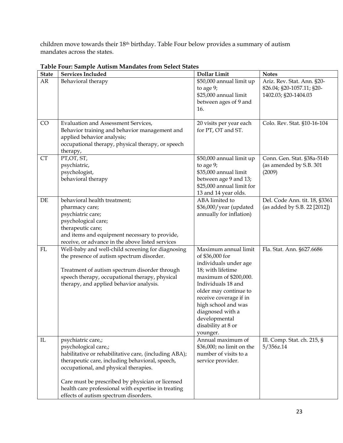children move towards their 18th birthday. Table Four below provides a summary of autism mandates across the states.

| <b>State</b> | <b>Services Included</b>                                                                                                                                                                                                                                                                                                                            | <b>Dollar Limit</b>                                                                                                                                                                                                                                                                   | <b>Notes</b>                                                                    |
|--------------|-----------------------------------------------------------------------------------------------------------------------------------------------------------------------------------------------------------------------------------------------------------------------------------------------------------------------------------------------------|---------------------------------------------------------------------------------------------------------------------------------------------------------------------------------------------------------------------------------------------------------------------------------------|---------------------------------------------------------------------------------|
| AR           | Behavioral therapy                                                                                                                                                                                                                                                                                                                                  | \$50,000 annual limit up<br>to age 9;<br>\$25,000 annual limit<br>between ages of 9 and<br>16.                                                                                                                                                                                        | Ariz. Rev. Stat. Ann. §20-<br>826.04; §20-1057.11; §20-<br>1402.03; §20-1404.03 |
| CO           | Evaluation and Assessment Services,<br>Behavior training and behavior management and<br>applied behavior analysis;<br>occupational therapy, physical therapy, or speech<br>therapy,                                                                                                                                                                 | 20 visits per year each<br>for PT, OT and ST.                                                                                                                                                                                                                                         | Colo. Rev. Stat. §10-16-104                                                     |
| <b>CT</b>    | PT,OT, ST,<br>psychiatric,<br>psychologist,<br>behavioral therapy                                                                                                                                                                                                                                                                                   | \$50,000 annual limit up<br>to age 9;<br>\$35,000 annual limit<br>between age 9 and 13;<br>\$25,000 annual limit for<br>13 and 14 year olds.                                                                                                                                          | Conn. Gen. Stat. §38a-514b<br>(as amended by S.B. 301<br>(2009)                 |
| DE           | behavioral health treatment;<br>pharmacy care;<br>psychiatric care;<br>psychological care;<br>therapeutic care;<br>and items and equipment necessary to provide,<br>receive, or advance in the above listed services                                                                                                                                | ABA limited to<br>\$36,000/year (updated<br>annually for inflation)                                                                                                                                                                                                                   | Del. Code Ann. tit. 18, §3361<br>(as added by S.B. 22 [2012])                   |
| ${\rm FL}$   | Well-baby and well-child screening for diagnosing<br>the presence of autism spectrum disorder.<br>Treatment of autism spectrum disorder through<br>speech therapy, occupational therapy, physical<br>therapy, and applied behavior analysis.                                                                                                        | Maximum annual limit<br>of \$36,000 for<br>individuals under age<br>18; with lifetime<br>maximum of \$200,000.<br>Individuals 18 and<br>older may continue to<br>receive coverage if in<br>high school and was<br>diagnosed with a<br>developmental<br>disability at 8 or<br>younger. | Fla. Stat. Ann. §627.6686                                                       |
| ${\rm IL}$   | psychiatric care,;<br>psychological care,;<br>habilitative or rehabilitative care, (including ABA);<br>therapeutic care, including behavioral, speech,<br>occupational, and physical therapies.<br>Care must be prescribed by physician or licensed<br>health care professional with expertise in treating<br>effects of autism spectrum disorders. | Annual maximum of<br>\$36,000; no limit on the<br>number of visits to a<br>service provider.                                                                                                                                                                                          | Ill. Comp. Stat. ch. 215, §<br>5/356z.14                                        |

# **Table Four: Sample Autism Mandates from Select States**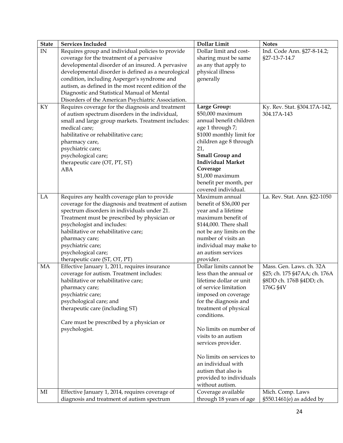| $\ensuremath{\text{IN}}$<br>Requires group and individual policies to provide<br>Dollar limit and cost-<br>Ind. Code Ann. §27-8-14.2;<br>coverage for the treatment of a pervasive<br>sharing must be same<br>§27-13-7-14.7<br>developmental disorder of an insured. A pervasive<br>as any that apply to<br>developmental disorder is defined as a neurological<br>physical illness<br>condition, including Asperger's syndrome and<br>generally<br>autism, as defined in the most recent edition of the<br>Diagnostic and Statistical Manual of Mental<br>Disorders of the American Psychiatric Association.<br>Large Group:<br>KY<br>Requires coverage for the diagnosis and treatment<br>Ky. Rev. Stat. §304.17A-142,<br>\$50,000 maximum<br>of autism spectrum disorders in the individual,<br>304.17A-143<br>annual benefit children<br>small and large group markets. Treatment includes:<br>medical care;<br>age 1 through 7;<br>\$1000 monthly limit for<br>habilitative or rehabilitative care;<br>children age 8 through<br>pharmacy care,<br>psychiatric care;<br>21,<br><b>Small Group and</b><br>psychological care;<br><b>Individual Market</b><br>therapeutic care (OT, PT, ST)<br>Coverage<br><b>ABA</b><br>\$1,000 maximum<br>benefit per month, per<br>covered individual.<br>LA<br>Requires any health coverage plan to provide<br>Maximum annual<br>La. Rev. Stat. Ann. §22-1050<br>coverage for the diagnosis and treatment of autism<br>benefit of \$36,000 per<br>spectrum disorders in individuals under 21.<br>year and a lifetime<br>Treatment must be prescribed by physician or<br>maximum benefit of<br>psychologist and includes:<br>\$144,000. There shall<br>habilitative or rehabilitative care;<br>not be any limits on the<br>number of visits an<br>pharmacy care;<br>individual may make to<br>psychiatric care;<br>psychological care;<br>an autism services<br>therapeutic care (ST, OT, PT)<br>provider.<br>Effective January 1, 2011, requires insurance<br>MA<br>Dollar limits cannot be<br>Mass. Gen. Laws. ch. 32A<br>coverage for autism. Treatment includes:<br>§25; ch. 175 §47AA; ch. 176A<br>less than the annual or<br>habilitative or rehabilitative care;<br>lifetime dollar or unit<br>§8DD ch. 176B §4DD; ch.<br>176G §4V<br>of service limitation<br>pharmacy care;<br>psychiatric care;<br>imposed on coverage<br>psychological care; and<br>for the diagnosis and<br>therapeutic care (including ST)<br>treatment of physical<br>conditions.<br>Care must be prescribed by a physician or<br>psychologist.<br>No limits on number of<br>visits to an autism<br>services provider.<br>No limits on services to<br>an individual with<br>autism that also is<br>provided to individuals<br>without autism.<br>Effective January 1, 2014, requires coverage of<br>Coverage available<br>Mich. Comp. Laws<br>$\rm MI$<br>diagnosis and treatment of autism spectrum<br>through 18 years of age<br>§550.1461(e) as added by | <b>State</b> | <b>Services Included</b> | <b>Dollar Limit</b> | <b>Notes</b> |
|---------------------------------------------------------------------------------------------------------------------------------------------------------------------------------------------------------------------------------------------------------------------------------------------------------------------------------------------------------------------------------------------------------------------------------------------------------------------------------------------------------------------------------------------------------------------------------------------------------------------------------------------------------------------------------------------------------------------------------------------------------------------------------------------------------------------------------------------------------------------------------------------------------------------------------------------------------------------------------------------------------------------------------------------------------------------------------------------------------------------------------------------------------------------------------------------------------------------------------------------------------------------------------------------------------------------------------------------------------------------------------------------------------------------------------------------------------------------------------------------------------------------------------------------------------------------------------------------------------------------------------------------------------------------------------------------------------------------------------------------------------------------------------------------------------------------------------------------------------------------------------------------------------------------------------------------------------------------------------------------------------------------------------------------------------------------------------------------------------------------------------------------------------------------------------------------------------------------------------------------------------------------------------------------------------------------------------------------------------------------------------------------------------------------------------------------------------------------------------------------------------------------------------------------------------------------------------------------------------------------------------------------------------------------------------------------------------------------------------------------------------------------------------------------------------------------------------------------------------------------------------------------------------------------------------------------------------------------------------|--------------|--------------------------|---------------------|--------------|
|                                                                                                                                                                                                                                                                                                                                                                                                                                                                                                                                                                                                                                                                                                                                                                                                                                                                                                                                                                                                                                                                                                                                                                                                                                                                                                                                                                                                                                                                                                                                                                                                                                                                                                                                                                                                                                                                                                                                                                                                                                                                                                                                                                                                                                                                                                                                                                                                                                                                                                                                                                                                                                                                                                                                                                                                                                                                                                                                                                                 |              |                          |                     |              |
|                                                                                                                                                                                                                                                                                                                                                                                                                                                                                                                                                                                                                                                                                                                                                                                                                                                                                                                                                                                                                                                                                                                                                                                                                                                                                                                                                                                                                                                                                                                                                                                                                                                                                                                                                                                                                                                                                                                                                                                                                                                                                                                                                                                                                                                                                                                                                                                                                                                                                                                                                                                                                                                                                                                                                                                                                                                                                                                                                                                 |              |                          |                     |              |
|                                                                                                                                                                                                                                                                                                                                                                                                                                                                                                                                                                                                                                                                                                                                                                                                                                                                                                                                                                                                                                                                                                                                                                                                                                                                                                                                                                                                                                                                                                                                                                                                                                                                                                                                                                                                                                                                                                                                                                                                                                                                                                                                                                                                                                                                                                                                                                                                                                                                                                                                                                                                                                                                                                                                                                                                                                                                                                                                                                                 |              |                          |                     |              |
|                                                                                                                                                                                                                                                                                                                                                                                                                                                                                                                                                                                                                                                                                                                                                                                                                                                                                                                                                                                                                                                                                                                                                                                                                                                                                                                                                                                                                                                                                                                                                                                                                                                                                                                                                                                                                                                                                                                                                                                                                                                                                                                                                                                                                                                                                                                                                                                                                                                                                                                                                                                                                                                                                                                                                                                                                                                                                                                                                                                 |              |                          |                     |              |
|                                                                                                                                                                                                                                                                                                                                                                                                                                                                                                                                                                                                                                                                                                                                                                                                                                                                                                                                                                                                                                                                                                                                                                                                                                                                                                                                                                                                                                                                                                                                                                                                                                                                                                                                                                                                                                                                                                                                                                                                                                                                                                                                                                                                                                                                                                                                                                                                                                                                                                                                                                                                                                                                                                                                                                                                                                                                                                                                                                                 |              |                          |                     |              |
|                                                                                                                                                                                                                                                                                                                                                                                                                                                                                                                                                                                                                                                                                                                                                                                                                                                                                                                                                                                                                                                                                                                                                                                                                                                                                                                                                                                                                                                                                                                                                                                                                                                                                                                                                                                                                                                                                                                                                                                                                                                                                                                                                                                                                                                                                                                                                                                                                                                                                                                                                                                                                                                                                                                                                                                                                                                                                                                                                                                 |              |                          |                     |              |
|                                                                                                                                                                                                                                                                                                                                                                                                                                                                                                                                                                                                                                                                                                                                                                                                                                                                                                                                                                                                                                                                                                                                                                                                                                                                                                                                                                                                                                                                                                                                                                                                                                                                                                                                                                                                                                                                                                                                                                                                                                                                                                                                                                                                                                                                                                                                                                                                                                                                                                                                                                                                                                                                                                                                                                                                                                                                                                                                                                                 |              |                          |                     |              |
|                                                                                                                                                                                                                                                                                                                                                                                                                                                                                                                                                                                                                                                                                                                                                                                                                                                                                                                                                                                                                                                                                                                                                                                                                                                                                                                                                                                                                                                                                                                                                                                                                                                                                                                                                                                                                                                                                                                                                                                                                                                                                                                                                                                                                                                                                                                                                                                                                                                                                                                                                                                                                                                                                                                                                                                                                                                                                                                                                                                 |              |                          |                     |              |
|                                                                                                                                                                                                                                                                                                                                                                                                                                                                                                                                                                                                                                                                                                                                                                                                                                                                                                                                                                                                                                                                                                                                                                                                                                                                                                                                                                                                                                                                                                                                                                                                                                                                                                                                                                                                                                                                                                                                                                                                                                                                                                                                                                                                                                                                                                                                                                                                                                                                                                                                                                                                                                                                                                                                                                                                                                                                                                                                                                                 |              |                          |                     |              |
|                                                                                                                                                                                                                                                                                                                                                                                                                                                                                                                                                                                                                                                                                                                                                                                                                                                                                                                                                                                                                                                                                                                                                                                                                                                                                                                                                                                                                                                                                                                                                                                                                                                                                                                                                                                                                                                                                                                                                                                                                                                                                                                                                                                                                                                                                                                                                                                                                                                                                                                                                                                                                                                                                                                                                                                                                                                                                                                                                                                 |              |                          |                     |              |
|                                                                                                                                                                                                                                                                                                                                                                                                                                                                                                                                                                                                                                                                                                                                                                                                                                                                                                                                                                                                                                                                                                                                                                                                                                                                                                                                                                                                                                                                                                                                                                                                                                                                                                                                                                                                                                                                                                                                                                                                                                                                                                                                                                                                                                                                                                                                                                                                                                                                                                                                                                                                                                                                                                                                                                                                                                                                                                                                                                                 |              |                          |                     |              |
|                                                                                                                                                                                                                                                                                                                                                                                                                                                                                                                                                                                                                                                                                                                                                                                                                                                                                                                                                                                                                                                                                                                                                                                                                                                                                                                                                                                                                                                                                                                                                                                                                                                                                                                                                                                                                                                                                                                                                                                                                                                                                                                                                                                                                                                                                                                                                                                                                                                                                                                                                                                                                                                                                                                                                                                                                                                                                                                                                                                 |              |                          |                     |              |
|                                                                                                                                                                                                                                                                                                                                                                                                                                                                                                                                                                                                                                                                                                                                                                                                                                                                                                                                                                                                                                                                                                                                                                                                                                                                                                                                                                                                                                                                                                                                                                                                                                                                                                                                                                                                                                                                                                                                                                                                                                                                                                                                                                                                                                                                                                                                                                                                                                                                                                                                                                                                                                                                                                                                                                                                                                                                                                                                                                                 |              |                          |                     |              |
|                                                                                                                                                                                                                                                                                                                                                                                                                                                                                                                                                                                                                                                                                                                                                                                                                                                                                                                                                                                                                                                                                                                                                                                                                                                                                                                                                                                                                                                                                                                                                                                                                                                                                                                                                                                                                                                                                                                                                                                                                                                                                                                                                                                                                                                                                                                                                                                                                                                                                                                                                                                                                                                                                                                                                                                                                                                                                                                                                                                 |              |                          |                     |              |
|                                                                                                                                                                                                                                                                                                                                                                                                                                                                                                                                                                                                                                                                                                                                                                                                                                                                                                                                                                                                                                                                                                                                                                                                                                                                                                                                                                                                                                                                                                                                                                                                                                                                                                                                                                                                                                                                                                                                                                                                                                                                                                                                                                                                                                                                                                                                                                                                                                                                                                                                                                                                                                                                                                                                                                                                                                                                                                                                                                                 |              |                          |                     |              |
|                                                                                                                                                                                                                                                                                                                                                                                                                                                                                                                                                                                                                                                                                                                                                                                                                                                                                                                                                                                                                                                                                                                                                                                                                                                                                                                                                                                                                                                                                                                                                                                                                                                                                                                                                                                                                                                                                                                                                                                                                                                                                                                                                                                                                                                                                                                                                                                                                                                                                                                                                                                                                                                                                                                                                                                                                                                                                                                                                                                 |              |                          |                     |              |
|                                                                                                                                                                                                                                                                                                                                                                                                                                                                                                                                                                                                                                                                                                                                                                                                                                                                                                                                                                                                                                                                                                                                                                                                                                                                                                                                                                                                                                                                                                                                                                                                                                                                                                                                                                                                                                                                                                                                                                                                                                                                                                                                                                                                                                                                                                                                                                                                                                                                                                                                                                                                                                                                                                                                                                                                                                                                                                                                                                                 |              |                          |                     |              |
|                                                                                                                                                                                                                                                                                                                                                                                                                                                                                                                                                                                                                                                                                                                                                                                                                                                                                                                                                                                                                                                                                                                                                                                                                                                                                                                                                                                                                                                                                                                                                                                                                                                                                                                                                                                                                                                                                                                                                                                                                                                                                                                                                                                                                                                                                                                                                                                                                                                                                                                                                                                                                                                                                                                                                                                                                                                                                                                                                                                 |              |                          |                     |              |
|                                                                                                                                                                                                                                                                                                                                                                                                                                                                                                                                                                                                                                                                                                                                                                                                                                                                                                                                                                                                                                                                                                                                                                                                                                                                                                                                                                                                                                                                                                                                                                                                                                                                                                                                                                                                                                                                                                                                                                                                                                                                                                                                                                                                                                                                                                                                                                                                                                                                                                                                                                                                                                                                                                                                                                                                                                                                                                                                                                                 |              |                          |                     |              |
|                                                                                                                                                                                                                                                                                                                                                                                                                                                                                                                                                                                                                                                                                                                                                                                                                                                                                                                                                                                                                                                                                                                                                                                                                                                                                                                                                                                                                                                                                                                                                                                                                                                                                                                                                                                                                                                                                                                                                                                                                                                                                                                                                                                                                                                                                                                                                                                                                                                                                                                                                                                                                                                                                                                                                                                                                                                                                                                                                                                 |              |                          |                     |              |
|                                                                                                                                                                                                                                                                                                                                                                                                                                                                                                                                                                                                                                                                                                                                                                                                                                                                                                                                                                                                                                                                                                                                                                                                                                                                                                                                                                                                                                                                                                                                                                                                                                                                                                                                                                                                                                                                                                                                                                                                                                                                                                                                                                                                                                                                                                                                                                                                                                                                                                                                                                                                                                                                                                                                                                                                                                                                                                                                                                                 |              |                          |                     |              |
|                                                                                                                                                                                                                                                                                                                                                                                                                                                                                                                                                                                                                                                                                                                                                                                                                                                                                                                                                                                                                                                                                                                                                                                                                                                                                                                                                                                                                                                                                                                                                                                                                                                                                                                                                                                                                                                                                                                                                                                                                                                                                                                                                                                                                                                                                                                                                                                                                                                                                                                                                                                                                                                                                                                                                                                                                                                                                                                                                                                 |              |                          |                     |              |
|                                                                                                                                                                                                                                                                                                                                                                                                                                                                                                                                                                                                                                                                                                                                                                                                                                                                                                                                                                                                                                                                                                                                                                                                                                                                                                                                                                                                                                                                                                                                                                                                                                                                                                                                                                                                                                                                                                                                                                                                                                                                                                                                                                                                                                                                                                                                                                                                                                                                                                                                                                                                                                                                                                                                                                                                                                                                                                                                                                                 |              |                          |                     |              |
|                                                                                                                                                                                                                                                                                                                                                                                                                                                                                                                                                                                                                                                                                                                                                                                                                                                                                                                                                                                                                                                                                                                                                                                                                                                                                                                                                                                                                                                                                                                                                                                                                                                                                                                                                                                                                                                                                                                                                                                                                                                                                                                                                                                                                                                                                                                                                                                                                                                                                                                                                                                                                                                                                                                                                                                                                                                                                                                                                                                 |              |                          |                     |              |
|                                                                                                                                                                                                                                                                                                                                                                                                                                                                                                                                                                                                                                                                                                                                                                                                                                                                                                                                                                                                                                                                                                                                                                                                                                                                                                                                                                                                                                                                                                                                                                                                                                                                                                                                                                                                                                                                                                                                                                                                                                                                                                                                                                                                                                                                                                                                                                                                                                                                                                                                                                                                                                                                                                                                                                                                                                                                                                                                                                                 |              |                          |                     |              |
|                                                                                                                                                                                                                                                                                                                                                                                                                                                                                                                                                                                                                                                                                                                                                                                                                                                                                                                                                                                                                                                                                                                                                                                                                                                                                                                                                                                                                                                                                                                                                                                                                                                                                                                                                                                                                                                                                                                                                                                                                                                                                                                                                                                                                                                                                                                                                                                                                                                                                                                                                                                                                                                                                                                                                                                                                                                                                                                                                                                 |              |                          |                     |              |
|                                                                                                                                                                                                                                                                                                                                                                                                                                                                                                                                                                                                                                                                                                                                                                                                                                                                                                                                                                                                                                                                                                                                                                                                                                                                                                                                                                                                                                                                                                                                                                                                                                                                                                                                                                                                                                                                                                                                                                                                                                                                                                                                                                                                                                                                                                                                                                                                                                                                                                                                                                                                                                                                                                                                                                                                                                                                                                                                                                                 |              |                          |                     |              |
|                                                                                                                                                                                                                                                                                                                                                                                                                                                                                                                                                                                                                                                                                                                                                                                                                                                                                                                                                                                                                                                                                                                                                                                                                                                                                                                                                                                                                                                                                                                                                                                                                                                                                                                                                                                                                                                                                                                                                                                                                                                                                                                                                                                                                                                                                                                                                                                                                                                                                                                                                                                                                                                                                                                                                                                                                                                                                                                                                                                 |              |                          |                     |              |
|                                                                                                                                                                                                                                                                                                                                                                                                                                                                                                                                                                                                                                                                                                                                                                                                                                                                                                                                                                                                                                                                                                                                                                                                                                                                                                                                                                                                                                                                                                                                                                                                                                                                                                                                                                                                                                                                                                                                                                                                                                                                                                                                                                                                                                                                                                                                                                                                                                                                                                                                                                                                                                                                                                                                                                                                                                                                                                                                                                                 |              |                          |                     |              |
|                                                                                                                                                                                                                                                                                                                                                                                                                                                                                                                                                                                                                                                                                                                                                                                                                                                                                                                                                                                                                                                                                                                                                                                                                                                                                                                                                                                                                                                                                                                                                                                                                                                                                                                                                                                                                                                                                                                                                                                                                                                                                                                                                                                                                                                                                                                                                                                                                                                                                                                                                                                                                                                                                                                                                                                                                                                                                                                                                                                 |              |                          |                     |              |
|                                                                                                                                                                                                                                                                                                                                                                                                                                                                                                                                                                                                                                                                                                                                                                                                                                                                                                                                                                                                                                                                                                                                                                                                                                                                                                                                                                                                                                                                                                                                                                                                                                                                                                                                                                                                                                                                                                                                                                                                                                                                                                                                                                                                                                                                                                                                                                                                                                                                                                                                                                                                                                                                                                                                                                                                                                                                                                                                                                                 |              |                          |                     |              |
|                                                                                                                                                                                                                                                                                                                                                                                                                                                                                                                                                                                                                                                                                                                                                                                                                                                                                                                                                                                                                                                                                                                                                                                                                                                                                                                                                                                                                                                                                                                                                                                                                                                                                                                                                                                                                                                                                                                                                                                                                                                                                                                                                                                                                                                                                                                                                                                                                                                                                                                                                                                                                                                                                                                                                                                                                                                                                                                                                                                 |              |                          |                     |              |
|                                                                                                                                                                                                                                                                                                                                                                                                                                                                                                                                                                                                                                                                                                                                                                                                                                                                                                                                                                                                                                                                                                                                                                                                                                                                                                                                                                                                                                                                                                                                                                                                                                                                                                                                                                                                                                                                                                                                                                                                                                                                                                                                                                                                                                                                                                                                                                                                                                                                                                                                                                                                                                                                                                                                                                                                                                                                                                                                                                                 |              |                          |                     |              |
|                                                                                                                                                                                                                                                                                                                                                                                                                                                                                                                                                                                                                                                                                                                                                                                                                                                                                                                                                                                                                                                                                                                                                                                                                                                                                                                                                                                                                                                                                                                                                                                                                                                                                                                                                                                                                                                                                                                                                                                                                                                                                                                                                                                                                                                                                                                                                                                                                                                                                                                                                                                                                                                                                                                                                                                                                                                                                                                                                                                 |              |                          |                     |              |
|                                                                                                                                                                                                                                                                                                                                                                                                                                                                                                                                                                                                                                                                                                                                                                                                                                                                                                                                                                                                                                                                                                                                                                                                                                                                                                                                                                                                                                                                                                                                                                                                                                                                                                                                                                                                                                                                                                                                                                                                                                                                                                                                                                                                                                                                                                                                                                                                                                                                                                                                                                                                                                                                                                                                                                                                                                                                                                                                                                                 |              |                          |                     |              |
|                                                                                                                                                                                                                                                                                                                                                                                                                                                                                                                                                                                                                                                                                                                                                                                                                                                                                                                                                                                                                                                                                                                                                                                                                                                                                                                                                                                                                                                                                                                                                                                                                                                                                                                                                                                                                                                                                                                                                                                                                                                                                                                                                                                                                                                                                                                                                                                                                                                                                                                                                                                                                                                                                                                                                                                                                                                                                                                                                                                 |              |                          |                     |              |
|                                                                                                                                                                                                                                                                                                                                                                                                                                                                                                                                                                                                                                                                                                                                                                                                                                                                                                                                                                                                                                                                                                                                                                                                                                                                                                                                                                                                                                                                                                                                                                                                                                                                                                                                                                                                                                                                                                                                                                                                                                                                                                                                                                                                                                                                                                                                                                                                                                                                                                                                                                                                                                                                                                                                                                                                                                                                                                                                                                                 |              |                          |                     |              |
|                                                                                                                                                                                                                                                                                                                                                                                                                                                                                                                                                                                                                                                                                                                                                                                                                                                                                                                                                                                                                                                                                                                                                                                                                                                                                                                                                                                                                                                                                                                                                                                                                                                                                                                                                                                                                                                                                                                                                                                                                                                                                                                                                                                                                                                                                                                                                                                                                                                                                                                                                                                                                                                                                                                                                                                                                                                                                                                                                                                 |              |                          |                     |              |
|                                                                                                                                                                                                                                                                                                                                                                                                                                                                                                                                                                                                                                                                                                                                                                                                                                                                                                                                                                                                                                                                                                                                                                                                                                                                                                                                                                                                                                                                                                                                                                                                                                                                                                                                                                                                                                                                                                                                                                                                                                                                                                                                                                                                                                                                                                                                                                                                                                                                                                                                                                                                                                                                                                                                                                                                                                                                                                                                                                                 |              |                          |                     |              |
|                                                                                                                                                                                                                                                                                                                                                                                                                                                                                                                                                                                                                                                                                                                                                                                                                                                                                                                                                                                                                                                                                                                                                                                                                                                                                                                                                                                                                                                                                                                                                                                                                                                                                                                                                                                                                                                                                                                                                                                                                                                                                                                                                                                                                                                                                                                                                                                                                                                                                                                                                                                                                                                                                                                                                                                                                                                                                                                                                                                 |              |                          |                     |              |
|                                                                                                                                                                                                                                                                                                                                                                                                                                                                                                                                                                                                                                                                                                                                                                                                                                                                                                                                                                                                                                                                                                                                                                                                                                                                                                                                                                                                                                                                                                                                                                                                                                                                                                                                                                                                                                                                                                                                                                                                                                                                                                                                                                                                                                                                                                                                                                                                                                                                                                                                                                                                                                                                                                                                                                                                                                                                                                                                                                                 |              |                          |                     |              |
|                                                                                                                                                                                                                                                                                                                                                                                                                                                                                                                                                                                                                                                                                                                                                                                                                                                                                                                                                                                                                                                                                                                                                                                                                                                                                                                                                                                                                                                                                                                                                                                                                                                                                                                                                                                                                                                                                                                                                                                                                                                                                                                                                                                                                                                                                                                                                                                                                                                                                                                                                                                                                                                                                                                                                                                                                                                                                                                                                                                 |              |                          |                     |              |
|                                                                                                                                                                                                                                                                                                                                                                                                                                                                                                                                                                                                                                                                                                                                                                                                                                                                                                                                                                                                                                                                                                                                                                                                                                                                                                                                                                                                                                                                                                                                                                                                                                                                                                                                                                                                                                                                                                                                                                                                                                                                                                                                                                                                                                                                                                                                                                                                                                                                                                                                                                                                                                                                                                                                                                                                                                                                                                                                                                                 |              |                          |                     |              |
|                                                                                                                                                                                                                                                                                                                                                                                                                                                                                                                                                                                                                                                                                                                                                                                                                                                                                                                                                                                                                                                                                                                                                                                                                                                                                                                                                                                                                                                                                                                                                                                                                                                                                                                                                                                                                                                                                                                                                                                                                                                                                                                                                                                                                                                                                                                                                                                                                                                                                                                                                                                                                                                                                                                                                                                                                                                                                                                                                                                 |              |                          |                     |              |
|                                                                                                                                                                                                                                                                                                                                                                                                                                                                                                                                                                                                                                                                                                                                                                                                                                                                                                                                                                                                                                                                                                                                                                                                                                                                                                                                                                                                                                                                                                                                                                                                                                                                                                                                                                                                                                                                                                                                                                                                                                                                                                                                                                                                                                                                                                                                                                                                                                                                                                                                                                                                                                                                                                                                                                                                                                                                                                                                                                                 |              |                          |                     |              |
|                                                                                                                                                                                                                                                                                                                                                                                                                                                                                                                                                                                                                                                                                                                                                                                                                                                                                                                                                                                                                                                                                                                                                                                                                                                                                                                                                                                                                                                                                                                                                                                                                                                                                                                                                                                                                                                                                                                                                                                                                                                                                                                                                                                                                                                                                                                                                                                                                                                                                                                                                                                                                                                                                                                                                                                                                                                                                                                                                                                 |              |                          |                     |              |
|                                                                                                                                                                                                                                                                                                                                                                                                                                                                                                                                                                                                                                                                                                                                                                                                                                                                                                                                                                                                                                                                                                                                                                                                                                                                                                                                                                                                                                                                                                                                                                                                                                                                                                                                                                                                                                                                                                                                                                                                                                                                                                                                                                                                                                                                                                                                                                                                                                                                                                                                                                                                                                                                                                                                                                                                                                                                                                                                                                                 |              |                          |                     |              |
|                                                                                                                                                                                                                                                                                                                                                                                                                                                                                                                                                                                                                                                                                                                                                                                                                                                                                                                                                                                                                                                                                                                                                                                                                                                                                                                                                                                                                                                                                                                                                                                                                                                                                                                                                                                                                                                                                                                                                                                                                                                                                                                                                                                                                                                                                                                                                                                                                                                                                                                                                                                                                                                                                                                                                                                                                                                                                                                                                                                 |              |                          |                     |              |
|                                                                                                                                                                                                                                                                                                                                                                                                                                                                                                                                                                                                                                                                                                                                                                                                                                                                                                                                                                                                                                                                                                                                                                                                                                                                                                                                                                                                                                                                                                                                                                                                                                                                                                                                                                                                                                                                                                                                                                                                                                                                                                                                                                                                                                                                                                                                                                                                                                                                                                                                                                                                                                                                                                                                                                                                                                                                                                                                                                                 |              |                          |                     |              |
|                                                                                                                                                                                                                                                                                                                                                                                                                                                                                                                                                                                                                                                                                                                                                                                                                                                                                                                                                                                                                                                                                                                                                                                                                                                                                                                                                                                                                                                                                                                                                                                                                                                                                                                                                                                                                                                                                                                                                                                                                                                                                                                                                                                                                                                                                                                                                                                                                                                                                                                                                                                                                                                                                                                                                                                                                                                                                                                                                                                 |              |                          |                     |              |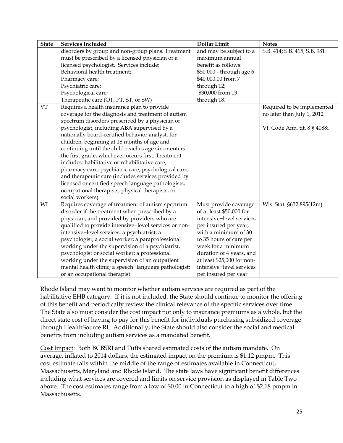| <b>State</b> | <b>Services Included</b>                              | <b>Dollar Limit</b>        | <b>Notes</b>                 |
|--------------|-------------------------------------------------------|----------------------------|------------------------------|
|              | disorders by group and non-group plans. Treatment     | and may be subject to a    | S.B. 414; S.B. 415; S.B. 981 |
|              | must be prescribed by a licensed physician or a       | maximum annual             |                              |
|              | licensed psychologist. Services include:              | benefit as follows:        |                              |
|              | Behavioral health treatment;                          | \$50,000 - through age 6   |                              |
|              | Pharmacy care;                                        | \$40,000.00 from 7         |                              |
|              | Psychiatric care;                                     | through 12;                |                              |
|              | Psychological care;                                   | \$30,000 from 13           |                              |
|              | Therapeutic care (OT, PT, ST, or SW)                  | through 18.                |                              |
| <b>VT</b>    | Requires a health insurance plan to provide           |                            | Required to be implemented   |
|              | coverage for the diagnosis and treatment of autism    |                            | no later than July 1, 2012   |
|              | spectrum disorders prescribed by a physician or       |                            |                              |
|              | psychologist, including ABA supervised by a           |                            | Vt. Code Ann. tit. 8 § 4088i |
|              | nationally board-certified behavior analyst, for      |                            |                              |
|              | children, beginning at 18 months of age and           |                            |                              |
|              | continuing until the child reaches age six or enters  |                            |                              |
|              | the first grade, whichever occurs first. Treatment    |                            |                              |
|              | includes: habilitative or rehabilitative care;        |                            |                              |
|              | pharmacy care; psychiatric care; psychological care;  |                            |                              |
|              | and therapeutic care (includes services provided by   |                            |                              |
|              | licensed or certified speech language pathologists,   |                            |                              |
|              | occupational therapists, physical therapists, or      |                            |                              |
|              | social workers)                                       |                            |                              |
| WI           | Requires coverage of treatment of autism spectrum     | Must provide coverage      | Wis. Stat. §632.895(12m)     |
|              | disorder if the treatment when prescribed by a        | of at least \$50,000 for   |                              |
|              | physician, and provided by providers who are          | intensive-level services   |                              |
|              | qualified to provide intensive-level services or non- | per insured per year,      |                              |
|              | intensive-level services: a psychiatrist; a           | with a minimum of 30       |                              |
|              | psychologist; a social worker; a paraprofessional     | to 35 hours of care per    |                              |
|              | working under the supervision of a psychiatrist,      | week for a minimum         |                              |
|              | psychologist or social worker; a professional         | duration of 4 years, and   |                              |
|              | working under the supervision of an outpatient        | at least \$25,000 for non- |                              |
|              | mental health clinic; a speech-language pathologist;  | intensive-level services   |                              |
|              | or an occupational therapist.                         | per insured per year       |                              |

Rhode Island may want to monitor whether autism services are required as part of the habilitative EHB category. If it is not included, the State should continue to monitor the offering of this benefit and periodically review the clinical relevance of the specific services over time. The State also must consider the cost impact not only to insurance premiums as a whole, but the direct state cost of having to pay for this benefit for individuals purchasing subsidized coverage through HealthSource RI. Additionally, the State should also consider the social and medical benefits from including autism services as a mandated benefit.

Cost Impact: Both BCBSRI and Tufts shared estimated costs of the autism mandate. On average, inflated to 2014 dollars, the estimated impact on the premium is \$1.12 pmpm. This cost estimate falls within the middle of the range of estimates available in Connecticut, Massachusetts, Maryland and Rhode Island. The state laws have significant benefit differences including what services are covered and limits on service provision as displayed in Table Two above. The cost estimates range from a low of \$0.00 in Connecticut to a high of \$2.18 pmpm in Massachusetts.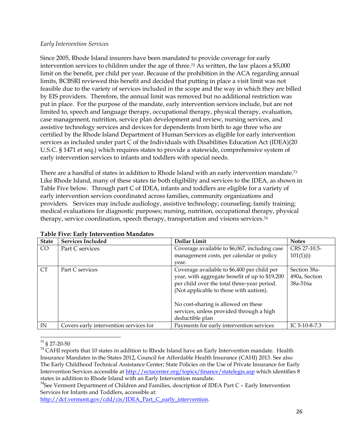#### *Early Intervention Services*

Since 2005, Rhode Island insurers have been mandated to provide coverage for early intervention services to children under the age of three. <sup>72</sup> As written, the law places a \$5,000 limit on the benefit, per child per year. Because of the prohibition in the ACA regarding annual limits, BCBSRI reviewed this benefit and decided that putting in place a visit limit was not feasible due to the variety of services included in the scope and the way in which they are billed by EIS providers. Therefore, the annual limit was removed but no additional restriction was put in place. For the purpose of the mandate, early intervention services include, but are not limited to, speech and language therapy, occupational therapy, physical therapy, evaluation, case management, nutrition, service plan development and review, nursing services, and assistive technology services and devices for dependents from birth to age three who are certified by the Rhode Island Department of Human Services as eligible for early intervention services as included under part C of the Individuals with Disabilities Education Act (IDEA)(20 U.S.C. § 1471 et seq.) which requires states to provide a statewide, comprehensive system of early intervention services to infants and toddlers with special needs.

There are a handful of states in addition to Rhode Island with an early intervention mandate.<sup>73</sup> Like Rhode Island, many of these states tie both eligibility and services to the IDEA, as shown in Table Five below. Through part C of IDEA, infants and toddlers are eligible for a variety of early intervention services coordinated across families, community organizations and providers. Services may include audiology, assistive technology; counseling; family training; medical evaluations for diagnostic purposes; nursing, nutrition, occupational therapy, physical therapy, service coordination, speech therapy, transportation and visions services.<sup>74</sup>

| <b>State</b>    | <b>Services Included</b>               | Dollar Limit                                   | <b>Notes</b>  |
|-----------------|----------------------------------------|------------------------------------------------|---------------|
| CO <sub>1</sub> | Part C services                        | Coverage available to \$6,067, including case  | CRS 27-10.5-  |
|                 |                                        | management costs, per calendar or policy       | 101(1)(i)     |
|                 |                                        | vear.                                          |               |
| <b>CT</b>       | Part C services                        | Coverage available to \$6,400 per child per    | Section 38a-  |
|                 |                                        | year, with aggregate benefit of up to \$19,200 | 490a, Section |
|                 |                                        | per child over the total three-year period.    | 38a-516a      |
|                 |                                        | (Not applicable to those with autism).         |               |
|                 |                                        | No cost-sharing is allowed on these            |               |
|                 |                                        | services, unless provided through a high       |               |
|                 |                                        | deductible plan                                |               |
| IN              | Covers early intervention services for | Payments for early intervention services       | IC 5-10-8-7.3 |

## **Table Five: Early Intervention Mandates**

 $\overline{\phantom{a}}$ <sup>72</sup> § 27-20-50

<sup>73</sup> CAHI reports that 10 states in addition to Rhode Island have an Early Intervention mandate. Health Insurance Mandates in the States 2012, Council for Affordable Health Insurance (CAHI) 2013. See also The Early Childhood Technical Assistance Center; State Policies on the Use of Private Insurance for Early Intervention Services accessible at<http://ectacenter.org/topics/finance/statelegis.asp> which identifies 8 states in addition to Rhode Island with an Early Intervention mandate.

 $74$ See Vermont Department of Children and Families, description of IDEA Part C - Early Intervention Services for Infants and Toddlers, accessible at:

[http://dcf.vermont.gov/cdd/cis/IDEA\\_Part\\_C\\_early\\_intervention.](http://dcf.vermont.gov/cdd/cis/IDEA_Part_C_early_intervention)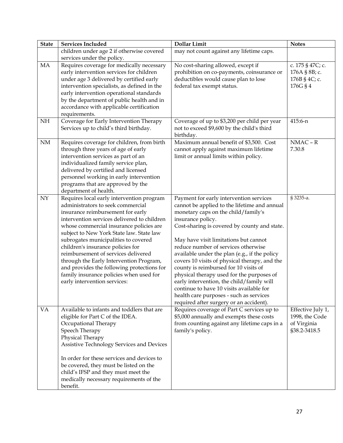| <b>State</b> | <b>Services Included</b>                                                                                                                                                                                                                                                                                                                                                                                                                                                                                                                          | Dollar Limit                                                                                                                                                                                                                                                                                                                                                                                                                                                                                                                                                                                                                                               | <b>Notes</b>                                                       |
|--------------|---------------------------------------------------------------------------------------------------------------------------------------------------------------------------------------------------------------------------------------------------------------------------------------------------------------------------------------------------------------------------------------------------------------------------------------------------------------------------------------------------------------------------------------------------|------------------------------------------------------------------------------------------------------------------------------------------------------------------------------------------------------------------------------------------------------------------------------------------------------------------------------------------------------------------------------------------------------------------------------------------------------------------------------------------------------------------------------------------------------------------------------------------------------------------------------------------------------------|--------------------------------------------------------------------|
|              | children under age 2 if otherwise covered<br>services under the policy.                                                                                                                                                                                                                                                                                                                                                                                                                                                                           | may not count against any lifetime caps.                                                                                                                                                                                                                                                                                                                                                                                                                                                                                                                                                                                                                   |                                                                    |
| MA           | Requires coverage for medically necessary<br>early intervention services for children<br>under age 3 delivered by certified early<br>intervention specialists, as defined in the<br>early intervention operational standards<br>by the department of public health and in<br>accordance with applicable certification<br>requirements.                                                                                                                                                                                                            | No cost-sharing allowed, except if<br>prohibition on co-payments, coinsurance or<br>deductibles would cause plan to lose<br>federal tax exempt status.                                                                                                                                                                                                                                                                                                                                                                                                                                                                                                     | c. 175 § 47C; c.<br>176A § 8B; c.<br>176B § 4C; c.<br>176G § 4     |
| NH           | Coverage for Early Intervention Therapy<br>Services up to child's third birthday.                                                                                                                                                                                                                                                                                                                                                                                                                                                                 | Coverage of up to \$3,200 per child per year<br>not to exceed \$9,600 by the child's third<br>birthday.                                                                                                                                                                                                                                                                                                                                                                                                                                                                                                                                                    | 415:6-n                                                            |
| $\rm{NM}$    | Requires coverage for children, from birth<br>through three years of age of early<br>intervention services as part of an<br>individualized family service plan,<br>delivered by certified and licensed<br>personnel working in early intervention<br>programs that are approved by the<br>department of health.                                                                                                                                                                                                                                   | Maximum annual benefit of \$3,500. Cost<br>cannot apply against maximum lifetime<br>limit or annual limits within policy.                                                                                                                                                                                                                                                                                                                                                                                                                                                                                                                                  | $NMAC - R$<br>7.30.8                                               |
| ${\rm NY}$   | Requires local early intervention program<br>administrators to seek commercial<br>insurance reimbursement for early<br>intervention services delivered to children<br>whose commercial insurance policies are<br>subject to New York State law. State law<br>subrogates municipalities to covered<br>children's insurance policies for<br>reimbursement of services delivered<br>through the Early Intervention Program,<br>and provides the following protections for<br>family insurance policies when used for<br>early intervention services: | Payment for early intervention services<br>cannot be applied to the lifetime and annual<br>monetary caps on the child/family's<br>insurance policy.<br>Cost-sharing is covered by county and state.<br>May have visit limitations but cannot<br>reduce number of services otherwise<br>available under the plan (e.g., if the policy<br>covers 10 visits of physical therapy, and the<br>county is reimbursed for 10 visits of<br>physical therapy used for the purposes of<br>early intervention, the child/family will<br>continue to have 10 visits available for<br>health care purposes - such as services<br>required after surgery or an accident). | § 3235-a.                                                          |
| <b>VA</b>    | Available to infants and toddlers that are<br>eligible for Part C of the IDEA.<br>Occupational Therapy<br>Speech Therapy<br>Physical Therapy<br>Assistive Technology Services and Devices<br>In order for these services and devices to<br>be covered, they must be listed on the<br>child's IFSP and they must meet the<br>medically necessary requirements of the<br>benefit.                                                                                                                                                                   | Requires coverage of Part C services up to<br>\$5,000 annually and exempts these costs<br>from counting against any lifetime caps in a<br>family's policy.                                                                                                                                                                                                                                                                                                                                                                                                                                                                                                 | Effective July 1,<br>1998, the Code<br>of Virginia<br>§38.2-3418.5 |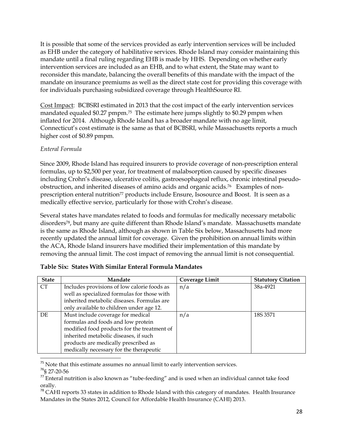It is possible that some of the services provided as early intervention services will be included as EHB under the category of habilitative services. Rhode Island may consider maintaining this mandate until a final ruling regarding EHB is made by HHS. Depending on whether early intervention services are included as an EHB, and to what extent, the State may want to reconsider this mandate, balancing the overall benefits of this mandate with the impact of the mandate on insurance premiums as well as the direct state cost for providing this coverage with for individuals purchasing subsidized coverage through HealthSource RI.

Cost Impact: BCBSRI estimated in 2013 that the cost impact of the early intervention services mandated equaled \$0.27 pmpm.75 The estimate here jumps slightly to \$0.29 pmpm when inflated for 2014. Although Rhode Island has a broader mandate with no age limit, Connecticut's cost estimate is the same as that of BCBSRI, while Massachusetts reports a much higher cost of \$0.89 pmpm.

## *Enteral Formula*

Since 2009, Rhode Island has required insurers to provide coverage of non-prescription enteral formulas, up to \$2,500 per year, for treatment of malabsorption caused by specific diseases including Crohn's disease, ulcerative colitis, gastroesophageal reflux, chronic intestinal pseudoobstruction, and inherited diseases of amino acids and organic acids.76 Examples of nonprescription enteral nutrition<sup>77</sup> products include Ensure, Isosource and Boost. It is seen as a medically effective service, particularly for those with Crohn's disease.

Several states have mandates related to foods and formulas for medically necessary metabolic disorders78, but many are quite different than Rhode Island's mandate. Massachusetts mandate is the same as Rhode Island, although as shown in Table Six below, Massachusetts had more recently updated the annual limit for coverage. Given the prohibition on annual limits within the ACA, Rhode Island insurers have modified their implementation of this mandate by removing the annual limit. The cost impact of removing the annual limit is not consequential.

| <b>State</b> | Mandate                                     | Coverage Limit | <b>Statutory Citation</b> |
|--------------|---------------------------------------------|----------------|---------------------------|
| <b>CT</b>    | Includes provisions of low calorie foods as | n/a            | 38a-4921                  |
|              | well as specialized formulas for those with |                |                           |
|              | inherited metabolic diseases. Formulas are  |                |                           |
|              | only available to children under age 12.    |                |                           |
| DE.          | Must include coverage for medical           | n/a            | 18S 3571                  |
|              | formulas and foods and low protein          |                |                           |
|              | modified food products for the treatment of |                |                           |
|              | inherited metabolic diseases, if such       |                |                           |
|              | products are medically prescribed as        |                |                           |
|              | medically necessary for the therapeutic     |                |                           |
|              |                                             |                |                           |

|  |  | Table Six: States With Similar Enteral Formula Mandates |  |  |  |  |
|--|--|---------------------------------------------------------|--|--|--|--|
|--|--|---------------------------------------------------------|--|--|--|--|

 $75$  Note that this estimate assumes no annual limit to early intervention services.

<sup>76</sup>§ 27-20-56

 $17$  Enteral nutrition is also known as "tube-feeding" and is used when an individual cannot take food orally.

 $78$  CAHI reports 33 states in addition to Rhode Island with this category of mandates. Health Insurance Mandates in the States 2012, Council for Affordable Health Insurance (CAHI) 2013.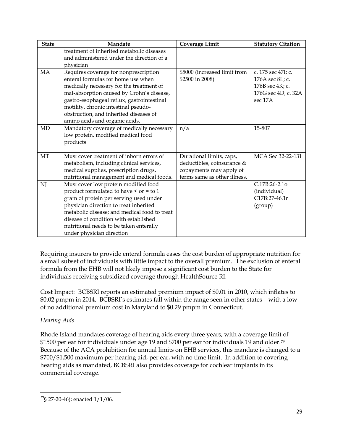| <b>State</b> | Mandate                                                                                                                                                                                                                                                                                                                                | Coverage Limit                                                                                                    | <b>Statutory Citation</b>                                                                  |
|--------------|----------------------------------------------------------------------------------------------------------------------------------------------------------------------------------------------------------------------------------------------------------------------------------------------------------------------------------------|-------------------------------------------------------------------------------------------------------------------|--------------------------------------------------------------------------------------------|
|              | treatment of inherited metabolic diseases<br>and administered under the direction of a<br>physician                                                                                                                                                                                                                                    |                                                                                                                   |                                                                                            |
| <b>MA</b>    | Requires coverage for nonprescription<br>enteral formulas for home use when<br>medically necessary for the treatment of<br>mal-absorption caused by Crohn's disease,<br>gastro-esophageal reflux, gastrointestinal<br>motility, chronic intestinal pseudo-<br>obstruction, and inherited diseases of<br>amino acids and organic acids. | \$5000 (increased limit from<br>\$2500 in 2008)                                                                   | c. 175 sec 47I; c.<br>176A sec 8L; c.<br>176B sec 4K; c.<br>176G sec 4D; c. 32A<br>sec 17A |
| <b>MD</b>    | Mandatory coverage of medically necessary<br>low protein, modified medical food<br>products                                                                                                                                                                                                                                            | n/a                                                                                                               | 15-807                                                                                     |
| MT           | Must cover treatment of inborn errors of<br>metabolism, including clinical services,<br>medical supplies, prescription drugs,<br>nutritional management and medical foods.                                                                                                                                                             | Durational limits, caps,<br>deductibles, coinsurance &<br>copayments may apply of<br>terms same as other illness. | MCA Sec 32-22-131                                                                          |
| NJ           | Must cover low protein modified food<br>product formulated to have < or = to 1<br>gram of protein per serving used under<br>physician direction to treat inherited<br>metabolic disease; and medical food to treat<br>disease of condition with established<br>nutritional needs to be taken enterally<br>under physician direction    |                                                                                                                   | C.17B:26-2.1o<br>(individual)<br>C17B:27-46.1r<br>(group)                                  |

Requiring insurers to provide enteral formula eases the cost burden of appropriate nutrition for a small subset of individuals with little impact to the overall premium. The exclusion of enteral formula from the EHB will not likely impose a significant cost burden to the State for individuals receiving subsidized coverage through HealthSource RI.

Cost Impact: BCBSRI reports an estimated premium impact of \$0.01 in 2010, which inflates to \$0.02 pmpm in 2014. BCBSRI's estimates fall within the range seen in other states – with a low of no additional premium cost in Maryland to \$0.29 pmpm in Connecticut.

# *Hearing Aids*

Rhode Island mandates coverage of hearing aids every three years, with a coverage limit of \$1500 per ear for individuals under age 19 and \$700 per ear for individuals 19 and older.<sup>79</sup> Because of the ACA prohibition for annual limits on EHB services, this mandate is changed to a \$700/\$1,500 maximum per hearing aid, per ear, with no time limit. In addition to covering hearing aids as mandated, BCBSRI also provides coverage for cochlear implants in its commercial coverage.

l  $79$ § 27-20-46); enacted  $1/1/06$ .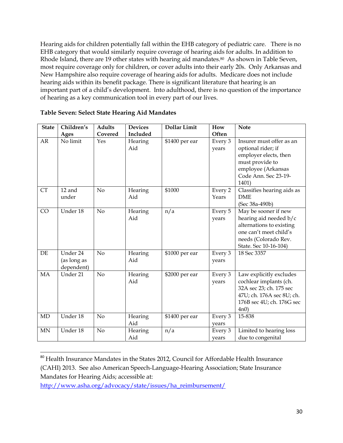Hearing aids for children potentially fall within the EHB category of pediatric care. There is no EHB category that would similarly require coverage of hearing aids for adults. In addition to Rhode Island, there are 19 other states with hearing aid mandates.<sup>80</sup> As shown in Table Seven, most require coverage only for children, or cover adults into their early 20s. Only Arkansas and New Hampshire also require coverage of hearing aids for adults. Medicare does not include hearing aids within its benefit package. There is significant literature that hearing is an important part of a child's development. Into adulthood, there is no question of the importance of hearing as a key communication tool in every part of our lives.

| <b>State</b> | Children's                            | <b>Adults</b>  | <b>Devices</b> | <b>Dollar Limit</b> | How              | <b>Note</b>                                                                                                                                           |
|--------------|---------------------------------------|----------------|----------------|---------------------|------------------|-------------------------------------------------------------------------------------------------------------------------------------------------------|
|              | Ages                                  | Covered        | Included       |                     | Often            |                                                                                                                                                       |
| AR           | No limit                              | Yes            | Hearing<br>Aid | \$1400 per ear      | Every 3<br>years | Insurer must offer as an<br>optional rider; if<br>employer elects, then<br>must provide to<br>employee (Arkansas<br>Code Ann. Sec 23-19-<br>1401)     |
| <b>CT</b>    | 12 and<br>under                       | No             | Hearing<br>Aid | \$1000              | Every 2<br>Years | Classifies hearing aids as<br><b>DME</b><br>(Sec 38a-490b)                                                                                            |
| CO           | Under 18                              | No             | Hearing<br>Aid | n/a                 | Every 5<br>years | May be sooner if new<br>hearing aid needed b/c<br>alternations to existing<br>one can't meet child's<br>needs (Colorado Rev.<br>State. Sec 10-16-104) |
| DE           | Under 24<br>(as long as<br>dependent) | N <sub>o</sub> | Hearing<br>Aid | \$1000 per ear      | Every 3<br>years | 18 Sec 3357                                                                                                                                           |
| MA           | Under 21                              | No             | Hearing<br>Aid | \$2000 per ear      | Every 3<br>years | Law explicitly excludes<br>cochlear implants (ch.<br>32A sec 23; ch. 175 sec<br>47U; ch. 176A sec 8U; ch.<br>176B sec 4U; ch. 176G sec<br>4n0         |
| MD           | Under 18                              | $\rm No$       | Hearing<br>Aid | \$1400 per ear      | Every 3<br>years | 15-838                                                                                                                                                |
| <b>MN</b>    | Under 18                              | N <sub>o</sub> | Hearing<br>Aid | n/a                 | Every 3<br>vears | Limited to hearing loss<br>due to congenital                                                                                                          |

## **Table Seven: Select State Hearing Aid Mandates**

l

<sup>&</sup>lt;sup>80</sup> Health Insurance Mandates in the States 2012, Council for Affordable Health Insurance (CAHI) 2013. See also American Speech-Language-Hearing Association; State Insurance Mandates for Hearing Aids; accessible at:

[http://www.asha.org/advocacy/state/issues/ha\\_reimbursement/](http://www.asha.org/advocacy/state/issues/ha_reimbursement/)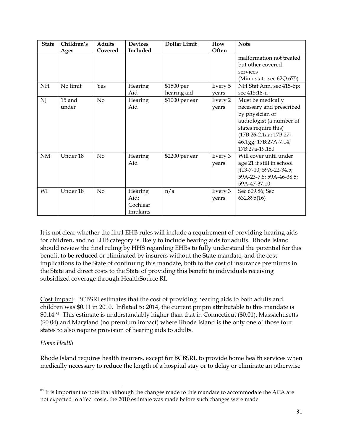| <b>State</b> | Children's      | <b>Adults</b>  | <b>Devices</b>                          | <b>Dollar Limit</b>       | How              | <b>Note</b>                                                                                                                                                                               |
|--------------|-----------------|----------------|-----------------------------------------|---------------------------|------------------|-------------------------------------------------------------------------------------------------------------------------------------------------------------------------------------------|
|              | Ages            | Covered        | Included                                |                           | Often            |                                                                                                                                                                                           |
|              |                 |                |                                         |                           |                  | malformation not treated<br>but other covered<br>services<br>(Minn stat. sec 62Q.675)                                                                                                     |
| NH           | No limit        | Yes            | Hearing<br>Aid                          | \$1500 per<br>hearing aid | Every 5<br>vears | NH Stat Ann. sec 415-6p;<br>sec 415:18-u                                                                                                                                                  |
| NJ           | 15 and<br>under | N <sub>o</sub> | Hearing<br>Aid                          | \$1000 per ear            | Every 2<br>years | Must be medically<br>necessary and prescribed<br>by physician or<br>audiologist (a number of<br>states require this)<br>(17B:26-2.1aa; 17B:27-<br>46.1gg; 17B:27A-7.14;<br>17B:27a-19.180 |
| NM           | Under 18        | No             | Hearing<br>Aid                          | \$2200 per ear            | Every 3<br>years | Will cover until under<br>age 21 if still in school<br>$(13-7-10; 59A-22-34.5;$<br>59A-23-7.8; 59A-46-38.5;<br>59A-47-37.10                                                               |
| WI           | Under 18        | No             | Hearing<br>Aid;<br>Cochlear<br>Implants | n/a                       | Every 3<br>years | Sec 609.86; Sec<br>632.895(16)                                                                                                                                                            |

It is not clear whether the final EHB rules will include a requirement of providing hearing aids for children, and no EHB category is likely to include hearing aids for adults. Rhode Island should review the final ruling by HHS regarding EHBs to fully understand the potential for this benefit to be reduced or eliminated by insurers without the State mandate, and the cost implications to the State of continuing this mandate, both to the cost of insurance premiums in the State and direct costs to the State of providing this benefit to individuals receiving subsidized coverage through HealthSource RI.

Cost Impact: BCBSRI estimates that the cost of providing hearing aids to both adults and children was \$0.11 in 2010. Inflated to 2014, the current pmpm attributable to this mandate is \$0.14.<sup>81</sup> This estimate is understandably higher than that in Connecticut (\$0.01), Massachusetts (\$0.04) and Maryland (no premium impact) where Rhode Island is the only one of those four states to also require provision of hearing aids to adults.

# *Home Health*

 $\overline{a}$ 

Rhode Island requires health insurers, except for BCBSRI, to provide home health services when medically necessary to reduce the length of a hospital stay or to delay or eliminate an otherwise

 $81$  It is important to note that although the changes made to this mandate to accommodate the ACA are not expected to affect costs, the 2010 estimate was made before such changes were made.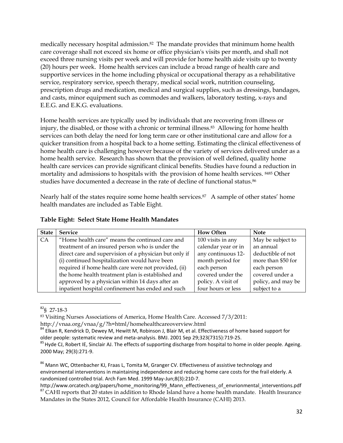medically necessary hospital admission.<sup>82</sup> The mandate provides that minimum home health care coverage shall not exceed six home or office physician's visits per month, and shall not exceed three nursing visits per week and will provide for home health aide visits up to twenty (20) hours per week. Home health services can include a broad range of health care and supportive services in the home including physical or occupational therapy as a rehabilitative service, respiratory service, speech therapy, medical social work, nutrition counseling, prescription drugs and medication, medical and surgical supplies, such as dressings, bandages, and casts, minor equipment such as commodes and walkers, laboratory testing, x-rays and E.E.G. and E.K.G. evaluations.

Home health services are typically used by individuals that are recovering from illness or injury, the disabled, or those with a chronic or terminal illness.<sup>83</sup> Allowing for home health services can both delay the need for long term care or other institutional care and allow for a quicker transition from a hospital back to a home setting. Estimating the clinical effectiveness of home health care is challenging however because of the variety of services delivered under as a home health service. Research has shown that the provision of well defined, quality home health care services can provide significant clinical benefits. Studies have found a reduction in mortality and admissions to hospitals with the provision of home health services. <sup>8485</sup> Other studies have documented a decrease in the rate of decline of functional status.<sup>86</sup>

Nearly half of the states require some home health services.<sup>87</sup> A sample of other states' home health mandates are included as Table Eight.

| <b>State</b> | <b>Service</b>                                         | <b>How Often</b>    | <b>Note</b>        |
|--------------|--------------------------------------------------------|---------------------|--------------------|
| CA.          | "Home health care" means the continued care and        | 100 visits in any   | May be subject to  |
|              | treatment of an insured person who is under the        | calendar year or in | an annual          |
|              | direct care and supervision of a physician but only if | any continuous 12-  | deductible of not  |
|              | (i) continued hospitalization would have been          | month period for    | more than \$50 for |
|              | required if home health care were not provided, (ii)   | each person         | each person        |
|              | the home health treatment plan is established and      | covered under the   | covered under a    |
|              | approved by a physician within 14 days after an        | policy. A visit of  | policy, and may be |
|              | inpatient hospital confinement has ended and such      | four hours or less  | subject to a       |

#### **Table Eight: Select State Home Health Mandates**

<sup>83</sup> Visiting Nurses Associations of America, Home Health Care. Accessed 7/3/2011:

 $\overline{\phantom{a}}$  $82$ § 27-18-3

http://vnaa.org/vnaa/g/?h=html/homehealthcareoverview.html

<sup>84</sup> Elkan R, Kendrick D, Dewey M, Hewitt M, Robinson J, Blair M, et al. Effectiveness of home based support for older people: systematic review and meta-analysis. BMJ. 2001 Sep 29;323(7315):719-25.

<sup>&</sup>lt;sup>85</sup> Hyde CJ, Robert IE, Sinclair AJ. The effects of supporting discharge from hospital to home in older people. Ageing. 2000 May; 29(3):271-9.

<sup>&</sup>lt;sup>86</sup> Mann WC, Ottenbacher KJ, Fraas L, Tomita M, Granger CV. Effectiveness of assistive technology and environmental interventions in maintaining independence and reducing home care costs for the frail elderly. A randomized controlled trial. Arch Fam Med. 1999 May-Jun;8(3):210-7.

http://www.orcatech.org/papers/home\_monitoring/99\_Mann\_effectiveness\_of\_envrionmental\_interventions.pdf <sup>87</sup> CAHI reports that 20 states in addition to Rhode Island have a home health mandate. Health Insurance Mandates in the States 2012, Council for Affordable Health Insurance (CAHI) 2013.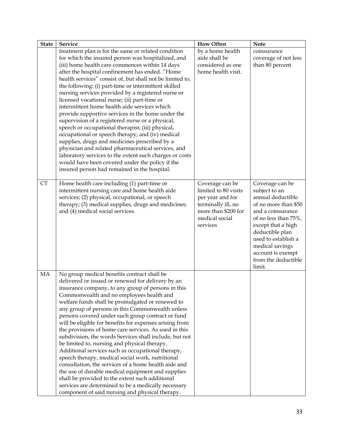| <b>State</b> | Service                                                                                                                                                                                                                                                                                                                                                                                                                                                                                                                                                                                                                                                                                                                                                                                                                                                                                                                                                                           | <b>How Often</b>                                                                                                                       | <b>Note</b>                                                                                                                                                                                                                                                         |
|--------------|-----------------------------------------------------------------------------------------------------------------------------------------------------------------------------------------------------------------------------------------------------------------------------------------------------------------------------------------------------------------------------------------------------------------------------------------------------------------------------------------------------------------------------------------------------------------------------------------------------------------------------------------------------------------------------------------------------------------------------------------------------------------------------------------------------------------------------------------------------------------------------------------------------------------------------------------------------------------------------------|----------------------------------------------------------------------------------------------------------------------------------------|---------------------------------------------------------------------------------------------------------------------------------------------------------------------------------------------------------------------------------------------------------------------|
|              | treatment plan is for the same or related condition<br>for which the insured person was hospitalized, and<br>(iii) home health care commences within 14 days<br>after the hospital confinement has ended. "Home<br>health services" consist of, but shall not be limited to,<br>the following: (i) part-time or intermittent skilled<br>nursing services provided by a registered nurse or<br>licensed vocational nurse; (ii) part-time or<br>intermittent home health aide services which<br>provide supportive services in the home under the<br>supervision of a registered nurse or a physical,<br>speech or occupational therapist; (iii) physical,<br>occupational or speech therapy; and (iv) medical<br>supplies, drugs and medicines prescribed by a<br>physician and related pharmaceutical services, and<br>laboratory services to the extent such charges or costs<br>would have been covered under the policy if the<br>insured person had remained in the hospital. | by a home health<br>aide shall be<br>considered as one<br>home health visit.                                                           | coinsurance<br>coverage of not less<br>than 80 percent                                                                                                                                                                                                              |
| <b>CT</b>    | Home health care including (1) part-time or<br>intermittent nursing care and home health aide<br>services; (2) physical, occupational, or speech<br>therapy; (3) medical supplies, drugs and medicines;<br>and (4) medical social services.                                                                                                                                                                                                                                                                                                                                                                                                                                                                                                                                                                                                                                                                                                                                       | Coverage can be<br>limited to 80 visits<br>per year and for<br>terminally ill, no<br>more than \$200 for<br>medical social<br>services | Coverage can be<br>subject to an<br>annual deductible<br>of no more than \$50<br>and a coinsurance<br>of no less than 75%,<br>except that a high<br>deductible plan<br>used to establish a<br>medical savings<br>account is exempt<br>from the deductible<br>limit. |
| MA           | No group medical benefits contract shall be<br>delivered or issued or renewed for delivery by an<br>insurance company, to any group of persons in this<br>Commonwealth and no employees health and<br>welfare funds shall be promulgated or renewed to<br>any group of persons in this Commonwealth unless<br>persons covered under such group contract or fund<br>will be eligible for benefits for expenses arising from<br>the provisions of home care services. As used in this<br>subdivision, the words Services shall include, but not<br>be limited to, nursing and physical therapy.<br>Additional services such as occupational therapy,<br>speech therapy, medical social work, nutritional<br>consultation, the services of a home health aide and<br>the use of durable medical equipment and supplies<br>shall be provided to the extent such additional<br>services are determined to be a medically necessary<br>component of said nursing and physical therapy.  |                                                                                                                                        |                                                                                                                                                                                                                                                                     |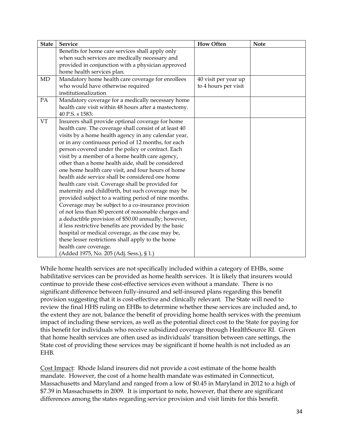| <b>State</b> | <b>Service</b>                                         | <b>How Often</b>     | <b>Note</b> |
|--------------|--------------------------------------------------------|----------------------|-------------|
|              | Benefits for home care services shall apply only       |                      |             |
|              | when such services are medically necessary and         |                      |             |
|              | provided in conjunction with a physician approved      |                      |             |
|              | home health services plan.                             |                      |             |
| MD           | Mandatory home health care coverage for enrollees      | 40 visit per year up |             |
|              | who would have otherwise required                      | to 4 hours per visit |             |
|              | institutionalization                                   |                      |             |
| PA           | Mandatory coverage for a medically necessary home      |                      |             |
|              | health care visit within 48 hours after a mastectomy.  |                      |             |
|              | 40 P.S. s 1583:                                        |                      |             |
| <b>VT</b>    | Insurers shall provide optional coverage for home      |                      |             |
|              | health care. The coverage shall consist of at least 40 |                      |             |
|              | visits by a home health agency in any calendar year,   |                      |             |
|              | or in any continuous period of 12 months, for each     |                      |             |
|              | person covered under the policy or contract. Each      |                      |             |
|              | visit by a member of a home health care agency,        |                      |             |
|              | other than a home health aide, shall be considered     |                      |             |
|              | one home health care visit, and four hours of home     |                      |             |
|              | health aide service shall be considered one home       |                      |             |
|              | health care visit. Coverage shall be provided for      |                      |             |
|              | maternity and childbirth, but such coverage may be     |                      |             |
|              | provided subject to a waiting period of nine months.   |                      |             |
|              | Coverage may be subject to a co-insurance provision    |                      |             |
|              | of not less than 80 percent of reasonable charges and  |                      |             |
|              | a deductible provision of \$50.00 annually; however,   |                      |             |
|              | if less restrictive benefits are provided by the basic |                      |             |
|              | hospital or medical coverage, as the case may be,      |                      |             |
|              | these lesser restrictions shall apply to the home      |                      |             |
|              | health care coverage.                                  |                      |             |
|              | (Added 1975, No. 205 (Adj. Sess.), § 1.)               |                      |             |

While home health services are not specifically included within a category of EHBs, some habilitative services can be provided as home health services. It is likely that insurers would continue to provide these cost-effective services even without a mandate. There is no significant difference between fully-insured and self-insured plans regarding this benefit provision suggesting that it is cost-effective and clinically relevant. The State will need to review the final HHS ruling on EHBs to determine whether these services are included and, to the extent they are not, balance the benefit of providing home health services with the premium impact of including these services, as well as the potential direct cost to the State for paying for this benefit for individuals who receive subsidized coverage through HealthSource RI. Given that home health services are often used as individuals' transition between care settings, the State cost of providing these services may be significant if home health is not included as an EHB.

Cost Impact: Rhode Island insurers did not provide a cost estimate of the home health mandate. However, the cost of a home health mandate was estimated in Connecticut, Massachusetts and Maryland and ranged from a low of \$0.45 in Maryland in 2012 to a high of \$7.39 in Massachusetts in 2009. It is important to note, however, that there are significant differences among the states regarding service provision and visit limits for this benefit.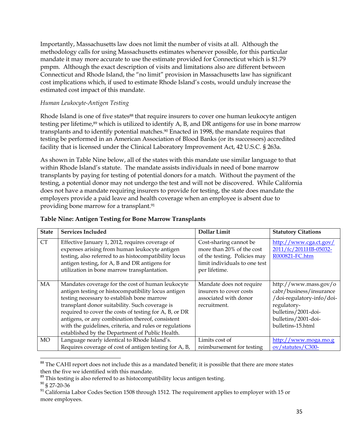Importantly, Massachusetts law does not limit the number of visits at all. Although the methodology calls for using Massachusetts estimates whenever possible, for this particular mandate it may more accurate to use the estimate provided for Connecticut which is \$1.79 pmpm. Although the exact description of visits and limitations also are different between Connecticut and Rhode Island, the "no limit" provision in Massachusetts law has significant cost implications which, if used to estimate Rhode Island's costs, would unduly increase the estimated cost impact of this mandate.

## *Human Leukocyte-Antigen Testing*

Rhode Island is one of five states<sup>88</sup> that require insurers to cover one human leukocyte antigen testing per lifetime, <sup>89</sup> which is utilized to identify A, B, and DR antigens for use in bone marrow transplants and to identify potential matches. <sup>90</sup> Enacted in 1998, the mandate requires that testing be performed in an American Association of Blood Banks (or its successors) accredited facility that is licensed under the Clinical Laboratory Improvement Act, 42 U.S.C. § 263a.

As shown in Table Nine below, all of the states with this mandate use similar language to that within Rhode Island's statute. The mandate assists individuals in need of bone marrow transplants by paying for testing of potential donors for a match. Without the payment of the testing, a potential donor may not undergo the test and will not be discovered. While California does not have a mandate requiring insurers to provide for testing, the state does mandate the employers provide a paid leave and health coverage when an employee is absent due to providing bone marrow for a transplant.<sup>91</sup>

| <b>State</b> | <b>Services Included</b>                                                                                                                                                                                                                                                                                                                                                                                                             | Dollar Limit                                                                                                                          | <b>Statutory Citations</b>                                                                                                                                      |
|--------------|--------------------------------------------------------------------------------------------------------------------------------------------------------------------------------------------------------------------------------------------------------------------------------------------------------------------------------------------------------------------------------------------------------------------------------------|---------------------------------------------------------------------------------------------------------------------------------------|-----------------------------------------------------------------------------------------------------------------------------------------------------------------|
| <b>CT</b>    | Effective January 1, 2012, requires coverage of<br>expenses arising from human leukocyte antigen<br>testing, also referred to as histocompatibility locus<br>antigen testing, for A, B and DR antigens for<br>utilization in bone marrow transplantation.                                                                                                                                                                            | Cost-sharing cannot be<br>more than 20% of the cost<br>of the testing. Policies may<br>limit individuals to one test<br>per lifetime. | http://www.cga.ct.gov/<br>2011/fc/2011HB-05032-<br>R000821-FC.htm                                                                                               |
| MA           | Mandates coverage for the cost of human leukocyte<br>antigen testing or histocompatibility locus antigen<br>testing necessary to establish bone marrow<br>transplant donor suitability. Such coverage is<br>required to cover the costs of testing for A, B, or DR<br>antigens, or any combination thereof, consistent<br>with the guidelines, criteria, and rules or regulations<br>established by the Department of Public Health. | Mandate does not require<br>insurers to cover costs<br>associated with donor<br>recruitment.                                          | http://www.mass.gov/o<br>cabr/business/insurance<br>/doi-regulatory-info/doi-<br>regulatory-<br>bulletins/2001-doi-<br>bulletins/2001-doi-<br>bulletins-15.html |
| <b>MO</b>    | Language nearly identical to Rhode Island's.                                                                                                                                                                                                                                                                                                                                                                                         | Limits cost of                                                                                                                        | http://www.moga.mo.g                                                                                                                                            |
|              | Requires coverage of cost of antigen testing for A, B,                                                                                                                                                                                                                                                                                                                                                                               | reimbursement for testing                                                                                                             | ov/statutes/C300-                                                                                                                                               |

## **Table Nine: Antigen Testing for Bone Marrow Transplants**

<sup>&</sup>lt;sup>88</sup> The CAHI report does not include this as a mandated benefit; it is possible that there are more states then the five we identified with this mandate.

 $89$  This testing is also referred to as histocompatibility locus antigen testing.

<sup>90</sup> § 27-20-36

<sup>&</sup>lt;sup>91</sup> California Labor Codes Section 1508 through 1512. The requirement applies to employer with 15 or more employees.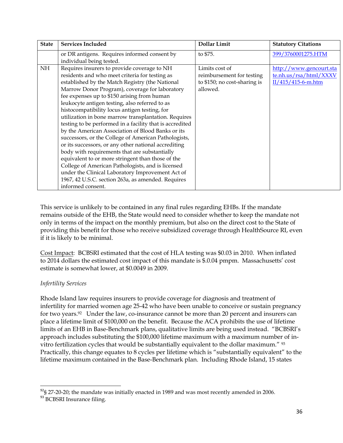| <b>State</b> | <b>Services Included</b>                                 | <b>Dollar Limit</b>          | <b>Statutory Citations</b> |
|--------------|----------------------------------------------------------|------------------------------|----------------------------|
|              | or DR antigens. Requires informed consent by             | to \$75.                     | 399/3760001275.HTM         |
|              | individual being tested.                                 |                              |                            |
| <b>NH</b>    | Requires insurers to provide coverage to NH              | Limits cost of               | http://www.gencourt.sta    |
|              | residents and who meet criteria for testing as           | reimbursement for testing    | te.nh.us/rsa/html/XXXV     |
|              | established by the Match Registry (the National          | to \$150; no cost-sharing is | II/415/415-6-m.htm         |
|              | Marrow Donor Program), coverage for laboratory           | allowed.                     |                            |
|              | fee expenses up to \$150 arising from human              |                              |                            |
|              | leukocyte antigen testing, also referred to as           |                              |                            |
|              | histocompatibility locus antigen testing, for            |                              |                            |
|              | utilization in bone marrow transplantation. Requires     |                              |                            |
|              | testing to be performed in a facility that is accredited |                              |                            |
|              | by the American Association of Blood Banks or its        |                              |                            |
|              | successors, or the College of American Pathologists,     |                              |                            |
|              | or its successors, or any other national accrediting     |                              |                            |
|              | body with requirements that are substantially            |                              |                            |
|              | equivalent to or more stringent than those of the        |                              |                            |
|              | College of American Pathologists, and is licensed        |                              |                            |
|              | under the Clinical Laboratory Improvement Act of         |                              |                            |
|              | 1967, 42 U.S.C. section 263a, as amended. Requires       |                              |                            |
|              | informed consent.                                        |                              |                            |

This service is unlikely to be contained in any final rules regarding EHBs. If the mandate remains outside of the EHB, the State would need to consider whether to keep the mandate not only in terms of the impact on the monthly premium, but also on the direct cost to the State of providing this benefit for those who receive subsidized coverage through HealthSource RI, even if it is likely to be minimal.

Cost Impact: BCBSRI estimated that the cost of HLA testing was \$0.03 in 2010. When inflated to 2014 dollars the estimated cost impact of this mandate is \$.0.04 pmpm. Massachusetts' cost estimate is somewhat lower, at \$0.0049 in 2009.

# *Infertility Services*

Rhode Island law requires insurers to provide coverage for diagnosis and treatment of infertility for married women age 25-42 who have been unable to conceive or sustain pregnancy for two years. <sup>92</sup> Under the law, co-insurance cannot be more than 20 percent and insurers can place a lifetime limit of \$100,000 on the benefit. Because the ACA prohibits the use of lifetime limits of an EHB in Base-Benchmark plans, qualitative limits are being used instead. "BCBSRI's approach includes substituting the \$100,000 lifetime maximum with a maximum number of invitro fertilization cycles that would be substantially equivalent to the dollar maximum." <sup>93</sup> Practically, this change equates to 8 cycles per lifetime which is "substantially equivalent" to the lifetime maximum contained in the Base-Benchmark plan. Including Rhode Island, 15 states

 $\overline{a}$ 

 $^{92}$ § 27-20-20; the mandate was initially enacted in 1989 and was most recently amended in 2006.

<sup>93</sup> BCBSRI Insurance filing.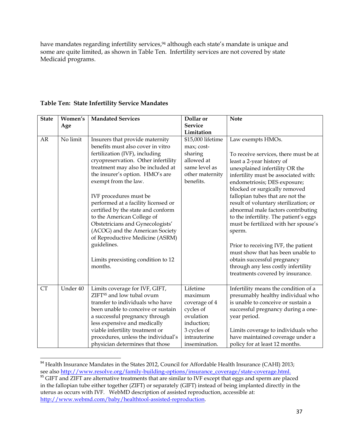have mandates regarding infertility services,<sup>94</sup> although each state's mandate is unique and some are quite limited, as shown in Table Ten. Infertility services are not covered by state Medicaid programs.

| <b>State</b> | Women's  | <b>Mandated Services</b>              | Dollar or         | <b>Note</b>                            |
|--------------|----------|---------------------------------------|-------------------|----------------------------------------|
|              | Age      |                                       | <b>Service</b>    |                                        |
|              |          |                                       | Limitation        |                                        |
| AR           | No limit | Insurers that provide maternity       | \$15,000 lifetime | Law exempts HMOs.                      |
|              |          | benefits must also cover in vitro     | max; cost-        |                                        |
|              |          | fertilization (IVF), including        | sharing           | To receive services, there must be at  |
|              |          | cryopreservation. Other infertility   | allowed at        | least a 2-year history of              |
|              |          | treatment may also be included at     | same level as     | unexplained infertility OR the         |
|              |          | the insurer's option. HMO's are       | other maternity   | infertility must be associated with:   |
|              |          | exempt from the law.                  | benefits.         | endometriosis; DES exposure;           |
|              |          |                                       |                   | blocked or surgically removed          |
|              |          | IVF procedures must be                |                   | fallopian tubes that are not the       |
|              |          | performed at a facility licensed or   |                   | result of voluntary sterilization; or  |
|              |          | certified by the state and conform    |                   | abnormal male factors contributing     |
|              |          | to the American College of            |                   | to the infertility. The patient's eggs |
|              |          | Obstetricians and Gynecologists'      |                   | must be fertilized with her spouse's   |
|              |          | (ACOG) and the American Society       |                   | sperm.                                 |
|              |          | of Reproductive Medicine (ASRM)       |                   |                                        |
|              |          | guidelines.                           |                   | Prior to receiving IVF, the patient    |
|              |          |                                       |                   | must show that has been unable to      |
|              |          | Limits preexisting condition to 12    |                   | obtain successful pregnancy            |
|              |          | months.                               |                   | through any less costly infertility    |
|              |          |                                       |                   | treatments covered by insurance.       |
|              |          |                                       |                   |                                        |
| <b>CT</b>    | Under 40 | Limits coverage for IVF, GIFT,        | Lifetime          | Infertility means the condition of a   |
|              |          | ZIFT <sup>95</sup> and low tubal ovum | maximum           | presumably healthy individual who      |
|              |          | transfer to individuals who have      | coverage of 4     | is unable to conceive or sustain a     |
|              |          | been unable to conceive or sustain    | cycles of         | successful pregnancy during a one-     |
|              |          | a successful pregnancy through        | ovulation         | year period.                           |
|              |          | less expensive and medically          | induction;        |                                        |
|              |          | viable infertility treatment or       | 3 cycles of       | Limits coverage to individuals who     |
|              |          | procedures, unless the individual's   | intrauterine      | have maintained coverage under a       |
|              |          | physician determines that those       | insemination.     | policy for at least 12 months.         |

# **Table Ten: State Infertility Service Mandates**

 $94$  Health Insurance Mandates in the States 2012, Council for Affordable Health Insurance (CAHI) 2013; see also [http://www.resolve.org/family-building-options/insurance\\_coverage/state-coverage.html.](http://www.resolve.org/family-building-options/insurance_coverage/state-coverage.html)

<sup>&</sup>lt;sup>95</sup> GIFT and ZIFT are alternative treatments that are similar to IVF except that eggs and sperm are placed in the fallopian tube either together (ZIFT) or separately (GIFT) instead of being implanted directly in the uterus as occurs with IVF. WebMD description of assisted reproduction, accessible at: [http://www.webmd.com/baby/healthtool-assisted-reproduction.](http://www.webmd.com/baby/healthtool-assisted-reproduction)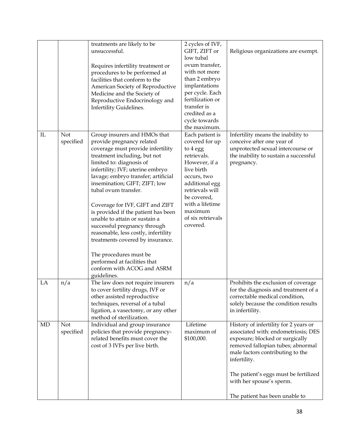|    |                  | treatments are likely to be<br>unsuccessful.                                                                                                                                                                                                                                                                                                                                                                                                                                                                                                                                                                  | 2 cycles of IVF,<br>GIFT, ZIFT or<br>low tubal<br>ovum transfer,                                                                                                                                                              | Religious organizations are exempt.                                                                                                                                                                                                                                           |
|----|------------------|---------------------------------------------------------------------------------------------------------------------------------------------------------------------------------------------------------------------------------------------------------------------------------------------------------------------------------------------------------------------------------------------------------------------------------------------------------------------------------------------------------------------------------------------------------------------------------------------------------------|-------------------------------------------------------------------------------------------------------------------------------------------------------------------------------------------------------------------------------|-------------------------------------------------------------------------------------------------------------------------------------------------------------------------------------------------------------------------------------------------------------------------------|
|    |                  | Requires infertility treatment or<br>procedures to be performed at<br>facilities that conform to the<br>American Society of Reproductive<br>Medicine and the Society of<br>Reproductive Endocrinology and<br>Infertility Guidelines.                                                                                                                                                                                                                                                                                                                                                                          | with not more<br>than 2 embryo<br>implantations<br>per cycle. Each<br>fertilization or<br>transfer is<br>credited as a<br>cycle towards<br>the maximum.                                                                       |                                                                                                                                                                                                                                                                               |
| IL | Not<br>specified | Group insurers and HMOs that<br>provide pregnancy related<br>coverage must provide infertility<br>treatment including, but not<br>limited to: diagnosis of<br>infertility; IVF; uterine embryo<br>lavage; embryo transfer; artificial<br>insemination; GIFT; ZIFT; low<br>tubal ovum transfer.<br>Coverage for IVF, GIFT and ZIFT<br>is provided if the patient has been<br>unable to attain or sustain a<br>successful pregnancy through<br>reasonable, less costly, infertility<br>treatments covered by insurance.<br>The procedures must be<br>performed at facilities that<br>conform with ACOG and ASRM | Each patient is<br>covered for up<br>to 4 egg<br>retrievals.<br>However, if a<br>live birth<br>occurs, two<br>additional egg<br>retrievals will<br>be covered,<br>with a lifetime<br>maximum<br>of six retrievals<br>covered. | Infertility means the inability to<br>conceive after one year of<br>unprotected sexual intercourse or<br>the inability to sustain a successful<br>pregnancy.                                                                                                                  |
| LA | n/a              | guidelines.<br>The law does not require insurers<br>to cover fertility drugs, IVF or<br>other assisted reproductive<br>techniques, reversal of a tubal<br>ligation, a vasectomy, or any other<br>method of sterilization.                                                                                                                                                                                                                                                                                                                                                                                     | n/a                                                                                                                                                                                                                           | Prohibits the exclusion of coverage<br>for the diagnosis and treatment of a<br>correctable medical condition,<br>solely because the condition results<br>in infertility.                                                                                                      |
| MD | Not<br>specified | Individual and group insurance<br>policies that provide pregnancy-<br>related benefits must cover the<br>cost of 3 IVFs per live birth.                                                                                                                                                                                                                                                                                                                                                                                                                                                                       | Lifetime<br>maximum of<br>\$100,000.                                                                                                                                                                                          | History of infertility for 2 years or<br>associated with: endometriosis; DES<br>exposure; blocked or surgically<br>removed fallopian tubes; abnormal<br>male factors contributing to the<br>infertility.<br>The patient's eggs must be fertilized<br>with her spouse's sperm. |
|    |                  |                                                                                                                                                                                                                                                                                                                                                                                                                                                                                                                                                                                                               |                                                                                                                                                                                                                               | The patient has been unable to                                                                                                                                                                                                                                                |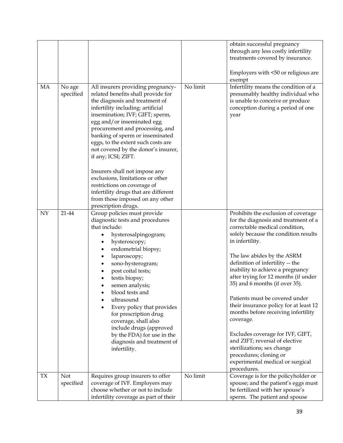|           |                         |                                                                                                                                                                                                                                                                                                                                                                                                                                                                                               |          | obtain successful pregnancy<br>through any less costly infertility<br>treatments covered by insurance.<br>Employers with <50 or religious are                                                                                                                                                                                                                                                                                                                                                                                                                                                                                                                             |
|-----------|-------------------------|-----------------------------------------------------------------------------------------------------------------------------------------------------------------------------------------------------------------------------------------------------------------------------------------------------------------------------------------------------------------------------------------------------------------------------------------------------------------------------------------------|----------|---------------------------------------------------------------------------------------------------------------------------------------------------------------------------------------------------------------------------------------------------------------------------------------------------------------------------------------------------------------------------------------------------------------------------------------------------------------------------------------------------------------------------------------------------------------------------------------------------------------------------------------------------------------------------|
| MA        | No age<br>specified     | All insurers providing pregnancy-<br>related benefits shall provide for<br>the diagnosis and treatment of<br>infertility including: artificial<br>insemination; IVF; GIFT; sperm,<br>egg and/or inseminated egg<br>procurement and processing, and<br>banking of sperm or inseminated<br>eggs, to the extent such costs are<br>not covered by the donor's insurer,<br>if any; ICSI; ZIFT.<br>Insurers shall not impose any<br>exclusions, limitations or other<br>restrictions on coverage of | No limit | exempt<br>Infertility means the condition of a<br>presumably healthy individual who<br>is unable to conceive or produce<br>conception during a period of one<br>year                                                                                                                                                                                                                                                                                                                                                                                                                                                                                                      |
|           |                         | infertility drugs that are different<br>from those imposed on any other<br>prescription drugs.                                                                                                                                                                                                                                                                                                                                                                                                |          |                                                                                                                                                                                                                                                                                                                                                                                                                                                                                                                                                                                                                                                                           |
| NY        | 21-44                   | Group policies must provide<br>diagnostic tests and procedures<br>that include:<br>hysterosalpingogram;<br>hysteroscopy;<br>endometrial biopsy;<br>٠<br>laparoscopy;<br>٠<br>sono-hysterogram;<br>post coital tests;<br>testis biopsy;<br>semen analysis;<br>blood tests and<br>ultrasound<br>Every policy that provides<br>for prescription drug<br>coverage, shall also<br>include drugs (approved<br>by the FDA) for use in the<br>diagnosis and treatment of<br>infertility.              |          | Prohibits the exclusion of coverage<br>for the diagnosis and treatment of a<br>correctable medical condition,<br>solely because the condition results<br>in infertility.<br>The law abides by the ASRM<br>definition of infertility -- the<br>inability to achieve a pregnancy<br>after trying for 12 months (if under<br>35) and 6 months (if over 35).<br>Patients must be covered under<br>their insurance policy for at least 12<br>months before receiving infertility<br>coverage.<br>Excludes coverage for IVF, GIFT,<br>and ZIFT; reversal of elective<br>sterilizations; sex change<br>procedures; cloning or<br>experimental medical or surgical<br>procedures. |
| <b>TX</b> | <b>Not</b><br>specified | Requires group insurers to offer<br>coverage of IVF. Employers may<br>choose whether or not to include<br>infertility coverage as part of their                                                                                                                                                                                                                                                                                                                                               | No limit | Coverage is for the policyholder or<br>spouse; and the patient's eggs must<br>be fertilized with her spouse's<br>sperm. The patient and spouse                                                                                                                                                                                                                                                                                                                                                                                                                                                                                                                            |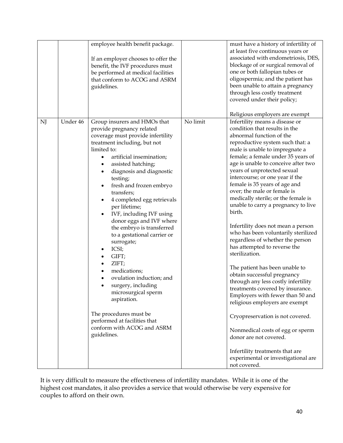| employee health benefit package.<br>at least five continuous years or<br>If an employer chooses to offer the<br>benefit, the IVF procedures must<br>one or both fallopian tubes or<br>be performed at medical facilities<br>that conform to ACOG and ASRM<br>guidelines.<br>through less costly treatment<br>covered under their policy;<br>Religious employers are exempt<br>No limit<br>Under 46<br>NJ<br>Group insurers and HMOs that<br>Infertility means a disease or<br>condition that results in the<br>provide pregnancy related<br>abnormal function of the<br>coverage must provide infertility<br>treatment including, but not<br>reproductive system such that: a<br>limited to:<br>male is unable to impregnate a<br>artificial insemination;<br>assisted hatching;<br>٠<br>years of unprotected sexual<br>diagnosis and diagnostic<br>٠<br>intercourse; or one year if the<br>testing;<br>female is 35 years of age and<br>fresh and frozen embryo<br>over; the male or female is<br>transfers;<br>4 completed egg retrievals<br>per lifetime;<br>birth.<br>IVF, including IVF using<br>donor eggs and IVF where<br>the embryo is transferred<br>to a gestational carrier or<br>surrogate;<br>has attempted to reverse the<br>ICSI;<br>٠<br>sterilization.<br>GIFT;<br>٠<br>ZIFT;<br>The patient has been unable to<br>medications;<br>٠<br>obtain successful pregnancy<br>ovulation induction; and<br>surgery, including<br>treatments covered by insurance.<br>microsurgical sperm<br>aspiration.<br>religious employers are exempt<br>The procedures must be<br>performed at facilities that<br>conform with ACOG and ASRM<br>guidelines.<br>donor are not covered.<br>Infertility treatments that are |  |  |                                                                                                                                                                                                                                                                                                                                                                                                                                                                    |
|-------------------------------------------------------------------------------------------------------------------------------------------------------------------------------------------------------------------------------------------------------------------------------------------------------------------------------------------------------------------------------------------------------------------------------------------------------------------------------------------------------------------------------------------------------------------------------------------------------------------------------------------------------------------------------------------------------------------------------------------------------------------------------------------------------------------------------------------------------------------------------------------------------------------------------------------------------------------------------------------------------------------------------------------------------------------------------------------------------------------------------------------------------------------------------------------------------------------------------------------------------------------------------------------------------------------------------------------------------------------------------------------------------------------------------------------------------------------------------------------------------------------------------------------------------------------------------------------------------------------------------------------------------------------------------------------------------------------------|--|--|--------------------------------------------------------------------------------------------------------------------------------------------------------------------------------------------------------------------------------------------------------------------------------------------------------------------------------------------------------------------------------------------------------------------------------------------------------------------|
|                                                                                                                                                                                                                                                                                                                                                                                                                                                                                                                                                                                                                                                                                                                                                                                                                                                                                                                                                                                                                                                                                                                                                                                                                                                                                                                                                                                                                                                                                                                                                                                                                                                                                                                         |  |  | must have a history of infertility of<br>associated with endometriosis, DES,<br>blockage of or surgical removal of<br>oligospermia; and the patient has<br>been unable to attain a pregnancy                                                                                                                                                                                                                                                                       |
| not covered.                                                                                                                                                                                                                                                                                                                                                                                                                                                                                                                                                                                                                                                                                                                                                                                                                                                                                                                                                                                                                                                                                                                                                                                                                                                                                                                                                                                                                                                                                                                                                                                                                                                                                                            |  |  | female; a female under 35 years of<br>age is unable to conceive after two<br>medically sterile; or the female is<br>unable to carry a pregnancy to live<br>Infertility does not mean a person<br>who has been voluntarily sterilized<br>regardless of whether the person<br>through any less costly infertility<br>Employers with fewer than 50 and<br>Cryopreservation is not covered.<br>Nonmedical costs of egg or sperm<br>experimental or investigational are |

It is very difficult to measure the effectiveness of infertility mandates. While it is one of the highest cost mandates, it also provides a service that would otherwise be very expensive for couples to afford on their own.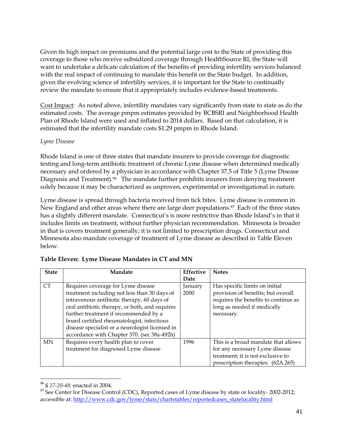Given its high impact on premiums and the potential large cost to the State of providing this coverage to those who receive subsidized coverage through HealthSource RI, the State will want to undertake a delicate calculation of the benefits of providing infertility services balanced with the real impact of continuing to mandate this benefit on the State budget. In addition, given the evolving science of infertility services, it is important for the State to continually review the mandate to ensure that it appropriately includes evidence-based treatments.

Cost Impact: As noted above, infertility mandates vary significantly from state to state as do the estimated costs. The average pmpm estimates provided by BCBSRI and Neighborhood Health Plan of Rhode Island were used and inflated to 2014 dollars. Based on that calculation, it is estimated that the infertility mandate costs \$1.29 pmpm in Rhode Island.

#### *Lyme Disease*

Rhode Island is one of three states that mandate insurers to provide coverage for diagnostic testing and long-term antibiotic treatment of chronic Lyme disease when determined medically necessary and ordered by a physician in accordance with Chapter 37.5 of Title 5 (Lyme Disease Diagnosis and Treatment).<sup>96</sup> The mandate further prohibits insurers from denying treatment solely because it may be characterized as unproven, experimental or investigational in nature.

Lyme disease is spread through bacteria received from tick bites. Lyme disease is common in New England and other areas where there are large deer populations. <sup>97</sup> Each of the three states has a slightly different mandate. Connecticut's is more restrictive than Rhode Island's in that it includes limits on treatment, without further physician recommendation. Minnesota is broader in that is covers treatment generally; it is not limited to prescription drugs. Connecticut and Minnesota also mandate coverage of treatment of Lyme disease as described in Table Eleven below.

| <b>State</b> | Mandate                                         | <b>Effective</b> | <b>Notes</b>                         |
|--------------|-------------------------------------------------|------------------|--------------------------------------|
|              |                                                 | Date             |                                      |
| <b>CT</b>    | Requires coverage for Lyme disease              | January          | Has specific limits on initial       |
|              | treatment including not less than 30 days of    | 2000             | provision of benefits; but overall   |
|              | intravenous antibiotic therapy, 60 days of      |                  | requires the benefits to continue as |
|              | oral antibiotic therapy, or both, and requires  |                  | long as needed if medically          |
|              | further treatment if recommended by a           |                  | necessary.                           |
|              | board certified rheumatologist, infectious      |                  |                                      |
|              | disease specialist or a neurologist licensed in |                  |                                      |
|              | accordance with Chapter 370. (sec 38a-492h)     |                  |                                      |
| <b>MN</b>    | Requires every health plan to cover             | 1996             | This is a broad mandate that allows  |
|              | treatment for diagnosed Lyme disease            |                  | for any necessary Lyme disease       |
|              |                                                 |                  | treatment; it is not exclusive to    |
|              |                                                 |                  | prescription therapies. (62A.265)    |

| Table Eleven: Lyme Disease Mandates in CT and MN |  |
|--------------------------------------------------|--|
|                                                  |  |

<sup>96</sup> § *27-20-48;* enacted in 2004.

<sup>&</sup>lt;sup>97</sup> See Center for Disease Control (CDC), Reported cases of Lyme disease by state or locality-2002-2012; accessible at: [http://www.cdc.gov/lyme/stats/chartstables/reportedcases\\_statelocality.html](http://www.cdc.gov/lyme/stats/chartstables/reportedcases_statelocality.html)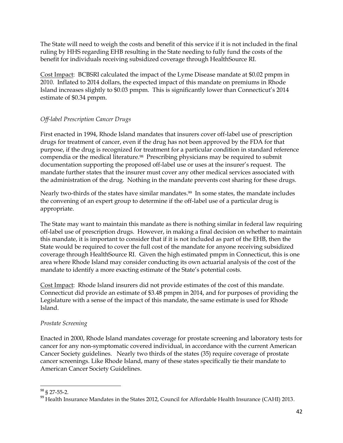The State will need to weigh the costs and benefit of this service if it is not included in the final ruling by HHS regarding EHB resulting in the State needing to fully fund the costs of the benefit for individuals receiving subsidized coverage through HealthSource RI.

Cost Impact: BCBSRI calculated the impact of the Lyme Disease mandate at \$0.02 pmpm in 2010. Inflated to 2014 dollars, the expected impact of this mandate on premiums in Rhode Island increases slightly to \$0.03 pmpm. This is significantly lower than Connecticut's 2014 estimate of \$0.34 pmpm.

# *Off-label Prescription Cancer Drugs*

First enacted in 1994, Rhode Island mandates that insurers cover off-label use of prescription drugs for treatment of cancer, even if the drug has not been approved by the FDA for that purpose, if the drug is recognized for treatment for a particular condition in standard reference compendia or the medical literature.98 Prescribing physicians may be required to submit documentation supporting the proposed off-label use or uses at the insurer's request. The mandate further states that the insurer must cover any other medical services associated with the administration of the drug. Nothing in the mandate prevents cost sharing for these drugs.

Nearly two-thirds of the states have similar mandates.99 In some states, the mandate includes the convening of an expert group to determine if the off-label use of a particular drug is appropriate.

The State may want to maintain this mandate as there is nothing similar in federal law requiring off-label use of prescription drugs. However, in making a final decision on whether to maintain this mandate, it is important to consider that if it is not included as part of the EHB, then the State would be required to cover the full cost of the mandate for anyone receiving subsidized coverage through HealthSource RI. Given the high estimated pmpm in Connecticut, this is one area where Rhode Island may consider conducting its own actuarial analysis of the cost of the mandate to identify a more exacting estimate of the State's potential costs.

Cost Impact: Rhode Island insurers did not provide estimates of the cost of this mandate. Connecticut did provide an estimate of \$3.48 pmpm in 2014, and for purposes of providing the Legislature with a sense of the impact of this mandate, the same estimate is used for Rhode Island.

# *Prostate Screening*

Enacted in 2000, Rhode Island mandates coverage for prostate screening and laboratory tests for cancer for any non-symptomatic covered individual, in accordance with the current American Cancer Society guidelines. Nearly two thirds of the states (35) require coverage of prostate cancer screenings. Like Rhode Island, many of these states specifically tie their mandate to American Cancer Society Guidelines.

 $\overline{a}$ <sup>98</sup> § 27-55-2.

<sup>&</sup>lt;sup>99</sup> Health Insurance Mandates in the States 2012, Council for Affordable Health Insurance (CAHI) 2013.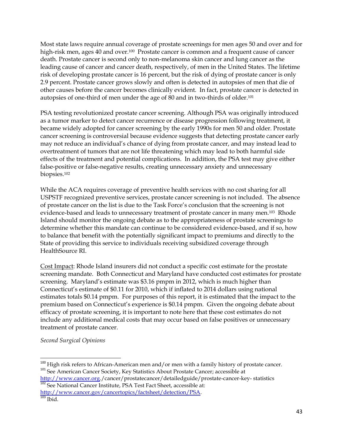Most state laws require annual coverage of prostate screenings for men ages 50 and over and for high-risk men, ages 40 and over.<sup>100</sup> Prostate cancer is common and a frequent cause of cancer death. Prostate cancer is second only to non-melanoma skin cancer and lung cancer as the leading cause of cancer and cancer death, respectively, of men in the United States. The lifetime risk of developing prostate cancer is 16 percent, but the risk of dying of prostate cancer is only 2.9 percent. Prostate cancer grows slowly and often is detected in autopsies of men that die of other causes before the cancer becomes clinically evident. In fact, prostate cancer is detected in autopsies of one-third of men under the age of 80 and in two-thirds of older.<sup>101</sup>

PSA testing revolutionized prostate cancer screening. Although PSA was originally introduced as a tumor marker to detect cancer recurrence or disease progression following treatment, it became widely adopted for cancer screening by the early 1990s for men 50 and older. Prostate cancer screening is controversial because evidence suggests that detecting prostate cancer early may not reduce an individual's chance of dying from prostate cancer, and may instead lead to overtreatment of tumors that are not life threatening which may lead to both harmful side effects of the treatment and potential complications. In addition, the PSA test may give either false-positive or false-negative results, creating unnecessary anxiety and unnecessary biopsies. 102

While the ACA requires coverage of preventive health services with no cost sharing for all USPSTF recognized preventive services, prostate cancer screening is not included. The absence of prostate cancer on the list is due to the Task Force's conclusion that the screening is not evidence-based and leads to unnecessary treatment of prostate cancer in many men.103 Rhode Island should monitor the ongoing debate as to the appropriateness of prostate screenings to determine whether this mandate can continue to be considered evidence-based, and if so, how to balance that benefit with the potentially significant impact to premiums and directly to the State of providing this service to individuals receiving subsidized coverage through HealthSource RI.

Cost Impact: Rhode Island insurers did not conduct a specific cost estimate for the prostate screening mandate. Both Connecticut and Maryland have conducted cost estimates for prostate screening. Maryland's estimate was \$3.16 pmpm in 2012, which is much higher than Connecticut's estimate of \$0.11 for 2010, which if inflated to 2014 dollars using national estimates totals \$0.14 pmpm. For purposes of this report, it is estimated that the impact to the premium based on Connecticut's experience is \$0.14 pmpm. Given the ongoing debate about efficacy of prostate screening, it is important to note here that these cost estimates do not include any additional medical costs that may occur based on false positives or unnecessary treatment of prostate cancer.

*Second Surgical Opinions*

[http://www.cancer.org./](http://www.cancer.org/)cancer/prostatecancer/detailedguide/prostate-cancer-key- statistics <sup>102</sup> See National Cancer Institute, PSA Test Fact Sheet, accessible at:

<http://www.cancer.gov/cancertopics/factsheet/detection/PSA>.  $103$  Ibid.

 $\overline{\phantom{a}}$  $100$  High risk refers to African-American men and/or men with a family history of prostate cancer. <sup>101</sup> See American Cancer Society, Key Statistics About Prostate Cancer; accessible at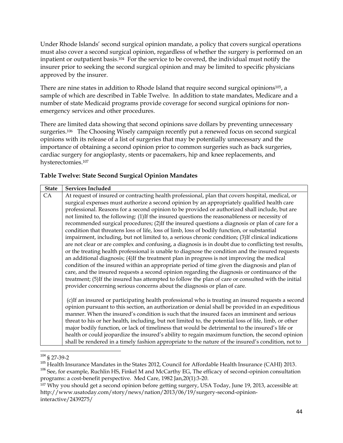Under Rhode Islands' second surgical opinion mandate, a policy that covers surgical operations must also cover a second surgical opinion, regardless of whether the surgery is performed on an inpatient or outpatient basis. <sup>104</sup> For the service to be covered, the individual must notify the insurer prior to seeking the second surgical opinion and may be limited to specific physicians approved by the insurer.

There are nine states in addition to Rhode Island that require second surgical opinions<sup>105</sup>, a sample of which are described in Table Twelve. In addition to state mandates, Medicare and a number of state Medicaid programs provide coverage for second surgical opinions for nonemergency services and other procedures.

There are limited data showing that second opinions save dollars by preventing unnecessary surgeries.<sup>106</sup> The Choosing Wisely campaign recently put a renewed focus on second surgical opinions with its release of a list of surgeries that may be potentially unnecessary and the importance of obtaining a second opinion prior to common surgeries such as back surgeries, cardiac surgery for angioplasty, stents or pacemakers, hip and knee replacements, and hysterectomies.<sup>107</sup>

# **Table Twelve: State Second Surgical Opinion Mandates**

| <b>State</b> | <b>Services Included</b>                                                                               |
|--------------|--------------------------------------------------------------------------------------------------------|
| CA           | At request of insured or contracting health professional, plan that covers hospital, medical, or       |
|              | surgical expenses must authorize a second opinion by an appropriately qualified health care            |
|              | professional. Reasons for a second opinion to be provided or authorized shall include, but are         |
|              | not limited to, the following: (1)If the insured questions the reasonableness or necessity of          |
|              | recommended surgical procedures; (2)If the insured questions a diagnosis or plan of care for a         |
|              | condition that threatens loss of life, loss of limb, loss of bodily function, or substantial           |
|              | impairment, including, but not limited to, a serious chronic condition; (3)If clinical indications     |
|              | are not clear or are complex and confusing, a diagnosis is in doubt due to conflicting test results,   |
|              | or the treating health professional is unable to diagnose the condition and the insured requests       |
|              | an additional diagnosis; (4)If the treatment plan in progress is not improving the medical             |
|              | condition of the insured within an appropriate period of time given the diagnosis and plan of          |
|              | care, and the insured requests a second opinion regarding the diagnosis or continuance of the          |
|              | treatment; (5)If the insured has attempted to follow the plan of care or consulted with the initial    |
|              | provider concerning serious concerns about the diagnosis or plan of care.                              |
|              |                                                                                                        |
|              | (c)If an insured or participating health professional who is treating an insured requests a second     |
|              | opinion pursuant to this section, an authorization or denial shall be provided in an expeditious       |
|              | manner. When the insured's condition is such that the insured faces an imminent and serious            |
|              | threat to his or her health, including, but not limited to, the potential loss of life, limb, or other |
|              | major bodily function, or lack of timeliness that would be detrimental to the insured's life or        |
|              | health or could jeopardize the insured's ability to regain maximum function, the second opinion        |
|              | shall be rendered in a timely fashion appropriate to the nature of the insured's condition, not to     |

l <sup>104</sup> § 27-39-2

 $105$  Health Insurance Mandates in the States 2012, Council for Affordable Health Insurance (CAHI) 2013.

<sup>&</sup>lt;sup>106</sup> See, for example, Ruchlin HS, Finkel M and McCarthy EG, The efficacy of second-opinion consultation programs: a cost-benefit perspective. Med Care, 1982 Jan,20(1):3-20.

<sup>107</sup> Why you should get a second opinion before getting surgery, USA Today, June 19, 2013, accessible at: http://www.usatoday.com/story/news/nation/2013/06/19/surgery-second-opinioninteractive/2439275/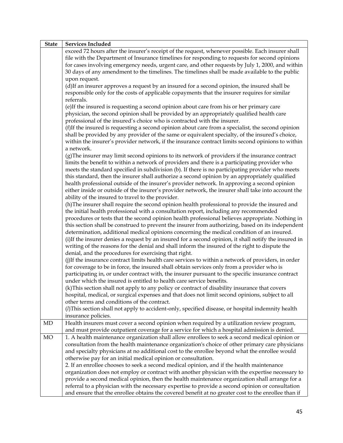| <b>State</b> | <b>Services Included</b>                                                                                                                                                                                                                                                                                                                                                                                                                                                                                                                                                                                                                                           |  |  |  |
|--------------|--------------------------------------------------------------------------------------------------------------------------------------------------------------------------------------------------------------------------------------------------------------------------------------------------------------------------------------------------------------------------------------------------------------------------------------------------------------------------------------------------------------------------------------------------------------------------------------------------------------------------------------------------------------------|--|--|--|
|              | exceed 72 hours after the insurer's receipt of the request, whenever possible. Each insurer shall<br>file with the Department of Insurance timelines for responding to requests for second opinions<br>for cases involving emergency needs, urgent care, and other requests by July 1, 2000, and within<br>30 days of any amendment to the timelines. The timelines shall be made available to the public<br>upon request.                                                                                                                                                                                                                                         |  |  |  |
|              | (d)If an insurer approves a request by an insured for a second opinion, the insured shall be<br>responsible only for the costs of applicable copayments that the insurer requires for similar<br>referrals.                                                                                                                                                                                                                                                                                                                                                                                                                                                        |  |  |  |
|              | (e)If the insured is requesting a second opinion about care from his or her primary care<br>physician, the second opinion shall be provided by an appropriately qualified health care<br>professional of the insured's choice who is contracted with the insurer.                                                                                                                                                                                                                                                                                                                                                                                                  |  |  |  |
|              | (f)If the insured is requesting a second opinion about care from a specialist, the second opinion<br>shall be provided by any provider of the same or equivalent specialty, of the insured's choice,<br>within the insurer's provider network, if the insurance contract limits second opinions to within<br>a network.                                                                                                                                                                                                                                                                                                                                            |  |  |  |
|              | (g) The insurer may limit second opinions to its network of providers if the insurance contract<br>limits the benefit to within a network of providers and there is a participating provider who<br>meets the standard specified in subdivision (b). If there is no participating provider who meets<br>this standard, then the insurer shall authorize a second opinion by an appropriately qualified<br>health professional outside of the insurer's provider network. In approving a second opinion<br>either inside or outside of the insurer's provider network, the insurer shall take into account the<br>ability of the insured to travel to the provider. |  |  |  |
|              | (h) The insurer shall require the second opinion health professional to provide the insured and<br>the initial health professional with a consultation report, including any recommended<br>procedures or tests that the second opinion health professional believes appropriate. Nothing in<br>this section shall be construed to prevent the insurer from authorizing, based on its independent                                                                                                                                                                                                                                                                  |  |  |  |
|              | determination, additional medical opinions concerning the medical condition of an insured.<br>(i)If the insurer denies a request by an insured for a second opinion, it shall notify the insured in<br>writing of the reasons for the denial and shall inform the insured of the right to dispute the<br>denial, and the procedures for exercising that right.                                                                                                                                                                                                                                                                                                     |  |  |  |
|              | (j)If the insurance contract limits health care services to within a network of providers, in order<br>for coverage to be in force, the insured shall obtain services only from a provider who is<br>participating in, or under contract with, the insurer pursuant to the specific insurance contract<br>under which the insured is entitled to health care service benefits.                                                                                                                                                                                                                                                                                     |  |  |  |
|              | (k) This section shall not apply to any policy or contract of disability insurance that covers<br>hospital, medical, or surgical expenses and that does not limit second opinions, subject to all<br>other terms and conditions of the contract.<br>( <i>l</i> )This section shall not apply to accident-only, specified disease, or hospital indemnity health                                                                                                                                                                                                                                                                                                     |  |  |  |
| MD           | insurance policies.<br>Health insurers must cover a second opinion when required by a utilization review program,<br>and must provide outpatient coverage for a service for which a hospital admission is denied.                                                                                                                                                                                                                                                                                                                                                                                                                                                  |  |  |  |
| MO           | 1. A health maintenance organization shall allow enrollees to seek a second medical opinion or<br>consultation from the health maintenance organization's choice of other primary care physicians<br>and specialty physicians at no additional cost to the enrollee beyond what the enrollee would<br>otherwise pay for an initial medical opinion or consultation.                                                                                                                                                                                                                                                                                                |  |  |  |
|              | 2. If an enrollee chooses to seek a second medical opinion, and if the health maintenance<br>organization does not employ or contract with another physician with the expertise necessary to<br>provide a second medical opinion, then the health maintenance organization shall arrange for a<br>referral to a physician with the necessary expertise to provide a second opinion or consultation<br>and ensure that the enrollee obtains the covered benefit at no greater cost to the enrollee than if                                                                                                                                                          |  |  |  |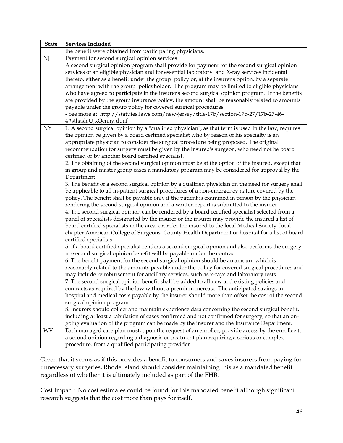| <b>State</b> | <b>Services Included</b>                                                                            |  |  |  |
|--------------|-----------------------------------------------------------------------------------------------------|--|--|--|
|              | the benefit were obtained from participating physicians.                                            |  |  |  |
| NJ           | Payment for second surgical opinion services                                                        |  |  |  |
|              | A second surgical opinion program shall provide for payment for the second surgical opinion         |  |  |  |
|              | services of an eligible physician and for essential laboratory and X-ray services incidental        |  |  |  |
|              | thereto, either as a benefit under the group policy or, at the insurer's option, by a separate      |  |  |  |
|              | arrangement with the group policyholder. The program may be limited to eligible physicians          |  |  |  |
|              | who have agreed to participate in the insurer's second surgical opinion program. If the benefits    |  |  |  |
|              | are provided by the group insurance policy, the amount shall be reasonably related to amounts       |  |  |  |
|              | payable under the group policy for covered surgical procedures.                                     |  |  |  |
|              | - See more at: http://statutes.laws.com/new-jersey/title-17b/section-17b-27/17b-27-46-              |  |  |  |
|              | 4#sthash.UJxQcnny.dpuf                                                                              |  |  |  |
| NY           | 1. A second surgical opinion by a "qualified physician", as that term is used in the law, requires  |  |  |  |
|              | the opinion be given by a board certified specialist who by reason of his specialty is an           |  |  |  |
|              | appropriate physician to consider the surgical procedure being proposed. The original               |  |  |  |
|              | recommendation for surgery must be given by the insured's surgeon, who need not be board            |  |  |  |
|              | certified or by another board certified specialist.                                                 |  |  |  |
|              | 2. The obtaining of the second surgical opinion must be at the option of the insured, except that   |  |  |  |
|              | in group and master group cases a mandatory program may be considered for approval by the           |  |  |  |
|              | Department.                                                                                         |  |  |  |
|              | 3. The benefit of a second surgical opinion by a qualified physician on the need for surgery shall  |  |  |  |
|              | be applicable to all in-patient surgical procedures of a non-emergency nature covered by the        |  |  |  |
|              | policy. The benefit shall be payable only if the patient is examined in person by the physician     |  |  |  |
|              | rendering the second surgical opinion and a written report is submitted to the insurer.             |  |  |  |
|              | 4. The second surgical opinion can be rendered by a board certified specialist selected from a      |  |  |  |
|              | panel of specialists designated by the insurer or the insurer may provide the insured a list of     |  |  |  |
|              | board certified specialists in the area, or, refer the insured to the local Medical Society, local  |  |  |  |
|              | chapter American College of Surgeons, County Health Department or hospital for a list of board      |  |  |  |
|              | certified specialists.                                                                              |  |  |  |
|              | 5. If a board certified specialist renders a second surgical opinion and also performs the surgery, |  |  |  |
|              | no second surgical opinion benefit will be payable under the contract.                              |  |  |  |
|              | 6. The benefit payment for the second surgical opinion should be an amount which is                 |  |  |  |
|              | reasonably related to the amounts payable under the policy for covered surgical procedures and      |  |  |  |
|              | may include reimbursement for ancillary services, such as x-rays and laboratory tests.              |  |  |  |
|              | 7. The second surgical opinion benefit shall be added to all new and existing policies and          |  |  |  |
|              | contracts as required by the law without a premium increase. The anticipated savings in             |  |  |  |
|              | hospital and medical costs payable by the insurer should more than offset the cost of the second    |  |  |  |
|              | surgical opinion program.                                                                           |  |  |  |
|              | 8. Insurers should collect and maintain experience data concerning the second surgical benefit,     |  |  |  |
|              | including at least a tabulation of cases confirmed and not confirmed for surgery, so that an on-    |  |  |  |
|              | going evaluation of the program can be made by the insurer and the Insurance Department.            |  |  |  |
| WV           | Each managed care plan must, upon the request of an enrollee, provide access by the enrollee to     |  |  |  |
|              | a second opinion regarding a diagnosis or treatment plan requiring a serious or complex             |  |  |  |
|              | procedure, from a qualified participating provider.                                                 |  |  |  |

Given that it seems as if this provides a benefit to consumers and saves insurers from paying for unnecessary surgeries, Rhode Island should consider maintaining this as a mandated benefit regardless of whether it is ultimately included as part of the EHB.

Cost Impact: No cost estimates could be found for this mandated benefit although significant research suggests that the cost more than pays for itself.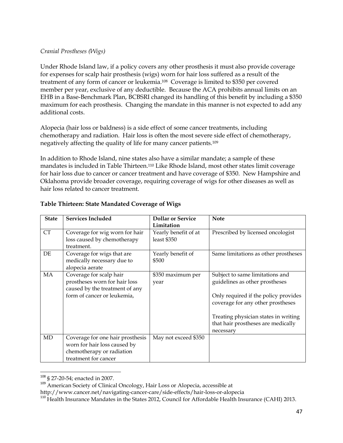## *Cranial Prostheses (Wigs)*

Under Rhode Island law, if a policy covers any other prosthesis it must also provide coverage for expenses for scalp hair prosthesis (wigs) worn for hair loss suffered as a result of the treatment of any form of cancer or leukemia. <sup>108</sup> Coverage is limited to \$350 per covered member per year, exclusive of any deductible. Because the ACA prohibits annual limits on an EHB in a Base-Benchmark Plan, BCBSRI changed its handling of this benefit by including a \$350 maximum for each prosthesis. Changing the mandate in this manner is not expected to add any additional costs.

Alopecia (hair loss or baldness) is a side effect of some cancer treatments, including chemotherapy and radiation. Hair loss is often the most severe side effect of chemotherapy, negatively affecting the quality of life for many cancer patients.<sup>109</sup>

In addition to Rhode Island, nine states also have a similar mandate; a sample of these mandates is included in Table Thirteen. <sup>110</sup> Like Rhode Island, most other states limit coverage for hair loss due to cancer or cancer treatment and have coverage of \$350. New Hampshire and Oklahoma provide broader coverage, requiring coverage of wigs for other diseases as well as hair loss related to cancer treatment.

| <b>State</b> | <b>Services Included</b>                                                                                                  | <b>Dollar or Service</b><br>Limitation | <b>Note</b>                                                                                                                                                                                                                               |
|--------------|---------------------------------------------------------------------------------------------------------------------------|----------------------------------------|-------------------------------------------------------------------------------------------------------------------------------------------------------------------------------------------------------------------------------------------|
| <b>CT</b>    | Coverage for wig worn for hair<br>loss caused by chemotherapy<br>treatment.                                               | Yearly benefit of at<br>least $$350$   | Prescribed by licensed oncologist                                                                                                                                                                                                         |
| DE           | Coverage for wigs that are<br>medically necessary due to<br>alopecia aerate                                               | Yearly benefit of<br>\$500             | Same limitations as other prostheses                                                                                                                                                                                                      |
| <b>MA</b>    | Coverage for scalp hair<br>prostheses worn for hair loss<br>caused by the treatment of any<br>form of cancer or leukemia, | \$350 maximum per<br>year              | Subject to same limitations and<br>guidelines as other prostheses<br>Only required if the policy provides<br>coverage for any other prostheses<br>Treating physician states in writing<br>that hair prostheses are medically<br>necessary |
| MD           | Coverage for one hair prosthesis<br>worn for hair loss caused by<br>chemotherapy or radiation<br>treatment for cancer     | May not exceed \$350                   |                                                                                                                                                                                                                                           |

## **Table Thirteen: State Mandated Coverage of Wigs**

<sup>&</sup>lt;sup>108</sup> § 27-20-54; enacted in 2007.

<sup>109</sup> American Society of Clinical Oncology, Hair Loss or Alopecia, accessible at

http://www.cancer.net/navigating-cancer-care/side-effects/hair-loss-or-alopecia

<sup>&</sup>lt;sup>110</sup> Health Insurance Mandates in the States 2012, Council for Affordable Health Insurance (CAHI) 2013.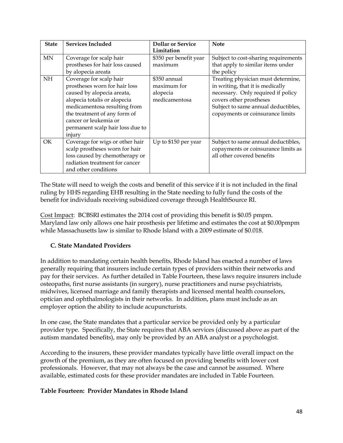| <b>State</b> | <b>Services Included</b>         | <b>Dollar or Service</b> | <b>Note</b>                          |
|--------------|----------------------------------|--------------------------|--------------------------------------|
|              |                                  | Limitation               |                                      |
| MN           | Coverage for scalp hair          | \$350 per benefit year   | Subject to cost-sharing requirements |
|              | prostheses for hair loss caused  | maximum                  | that apply to similar items under    |
|              | by alopecia areata               |                          | the policy                           |
| <b>NH</b>    | Coverage for scalp hair          | \$350 annual             | Treating physician must determine,   |
|              | prostheses worn for hair loss    | maximum for              | in writing, that it is medically     |
|              | caused by alopecia areata,       | alopecia                 | necessary. Only required if policy   |
|              | alopecia totalis or alopecia     | medicamentosa            | covers other prostheses              |
|              | medicamentosa resulting from     |                          | Subject to same annual deductibles,  |
|              | the treatment of any form of     |                          | copayments or coinsurance limits     |
|              | cancer or leukemia or            |                          |                                      |
|              | permanent scalp hair loss due to |                          |                                      |
|              | injury                           |                          |                                      |
| OK.          | Coverage for wigs or other hair  | Up to \$150 per year     | Subject to same annual deductibles,  |
|              | scalp prostheses worn for hair   |                          | copayments or coinsurance limits as  |
|              | loss caused by chemotherapy or   |                          | all other covered benefits           |
|              | radiation treatment for cancer   |                          |                                      |
|              | and other conditions             |                          |                                      |

The State will need to weigh the costs and benefit of this service if it is not included in the final ruling by HHS regarding EHB resulting in the State needing to fully fund the costs of the benefit for individuals receiving subsidized coverage through HealthSource RI.

Cost Impact: BCBSRI estimates the 2014 cost of providing this benefit is \$0.05 pmpm. Maryland law only allows one hair prosthesis per lifetime and estimates the cost at \$0.00pmpm while Massachusetts law is similar to Rhode Island with a 2009 estimate of \$0.018.

# **C. State Mandated Providers**

In addition to mandating certain health benefits, Rhode Island has enacted a number of laws generally requiring that insurers include certain types of providers within their networks and pay for their services. As further detailed in Table Fourteen, these laws require insurers include osteopaths, first nurse assistants (in surgery), nurse practitioners and nurse psychiatrists, midwives, licensed marriage and family therapists and licensed mental health counselors, optician and ophthalmologists in their networks. In addition, plans must include as an employer option the ability to include acupuncturists.

In one case, the State mandates that a particular service be provided only by a particular provider type. Specifically, the State requires that ABA services (discussed above as part of the autism mandated benefits), may only be provided by an ABA analyst or a psychologist.

According to the insurers, these provider mandates typically have little overall impact on the growth of the premium, as they are often focused on providing benefits with lower cost professionals. However, that may not always be the case and cannot be assumed. Where available, estimated costs for these provider mandates are included in Table Fourteen.

# **Table Fourteen: Provider Mandates in Rhode Island**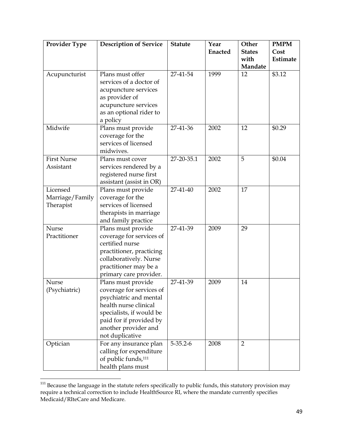| Provider Type                            | <b>Description of Service</b>                                                                                                                                                                       | <b>Statute</b> | Year<br>Enacted | Other<br><b>States</b><br>with<br>Mandate | <b>PMPM</b><br>Cost<br>Estimate |
|------------------------------------------|-----------------------------------------------------------------------------------------------------------------------------------------------------------------------------------------------------|----------------|-----------------|-------------------------------------------|---------------------------------|
| Acupuncturist                            | Plans must offer<br>services of a doctor of<br>acupuncture services<br>as provider of<br>acupuncture services<br>as an optional rider to<br>a policy                                                | 27-41-54       | 1999            | 12                                        | \$3.12                          |
| Midwife                                  | Plans must provide<br>coverage for the<br>services of licensed<br>midwives.                                                                                                                         | 27-41-36       | 2002            | 12                                        | \$0.29                          |
| <b>First Nurse</b><br>Assistant          | Plans must cover<br>services rendered by a<br>registered nurse first<br>assistant (assist in OR)                                                                                                    | 27-20-35.1     | 2002            | 5                                         | \$0.04                          |
| Licensed<br>Marriage/Family<br>Therapist | Plans must provide<br>coverage for the<br>services of licensed<br>therapists in marriage<br>and family practice                                                                                     | 27-41-40       | 2002            | 17                                        |                                 |
| Nurse<br>Practitioner                    | Plans must provide<br>coverage for services of<br>certified nurse<br>practitioner, practicing<br>collaboratively. Nurse<br>practitioner may be a<br>primary care provider.                          | 27-41-39       | 2009            | 29                                        |                                 |
| <b>Nurse</b><br>(Psychiatric)            | Plans must provide<br>coverage for services of<br>psychiatric and mental<br>health nurse clinical<br>specialists, if would be<br>paid for if provided by<br>another provider and<br>not duplicative | 27-41-39       | 2009            | 14                                        |                                 |
| Optician                                 | For any insurance plan<br>calling for expenditure<br>of public funds, <sup>111</sup><br>health plans must                                                                                           | $5 - 35.2 - 6$ | 2008            | $\overline{2}$                            |                                 |

 $\overline{\phantom{a}}$  $111$  Because the language in the statute refers specifically to public funds, this statutory provision may require a technical correction to include HealthSource RI, where the mandate currently specifies Medicaid/RIteCare and Medicare.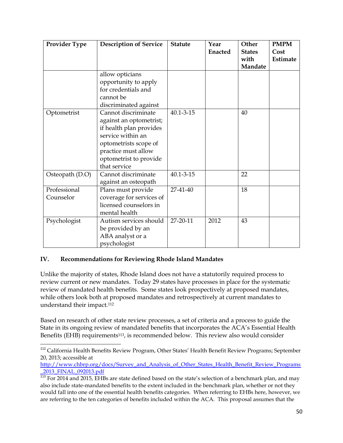| <b>Provider Type</b>      | <b>Description of Service</b>                                                                                                                                                            | <b>Statute</b>  | Year<br><b>Enacted</b> | Other<br><b>States</b><br>with<br>Mandate | <b>PMPM</b><br>Cost<br>Estimate |
|---------------------------|------------------------------------------------------------------------------------------------------------------------------------------------------------------------------------------|-----------------|------------------------|-------------------------------------------|---------------------------------|
|                           | allow opticians<br>opportunity to apply<br>for credentials and<br>cannot be<br>discriminated against                                                                                     |                 |                        |                                           |                                 |
| Optometrist               | Cannot discriminate<br>against an optometrist;<br>if health plan provides<br>service within an<br>optometrists scope of<br>practice must allow<br>optometrist to provide<br>that service | $40.1 - 3 - 15$ |                        | 40                                        |                                 |
| Osteopath (D.O)           | Cannot discriminate<br>against an osteopath                                                                                                                                              | $40.1 - 3 - 15$ |                        | 22                                        |                                 |
| Professional<br>Counselor | Plans must provide<br>coverage for services of<br>licensed counselors in<br>mental health                                                                                                | 27-41-40        |                        | 18                                        |                                 |
| Psychologist              | Autism services should<br>be provided by an<br>ABA analyst or a<br>psychologist                                                                                                          | 27-20-11        | 2012                   | 43                                        |                                 |

# **IV. Recommendations for Reviewing Rhode Island Mandates**

Unlike the majority of states, Rhode Island does not have a statutorily required process to review current or new mandates. Today 29 states have processes in place for the systematic review of mandated health benefits. Some states look prospectively at proposed mandates, while others look both at proposed mandates and retrospectively at current mandates to understand their impact.<sup>112</sup>

Based on research of other state review processes, a set of criteria and a process to guide the State in its ongoing review of mandated benefits that incorporates the ACA's Essential Health Benefits (EHB) requirements113, is recommended below. This review also would consider

l <sup>112</sup> California Health Benefits Review Program, Other States' Health Benefit Review Programs; September 20, 2013; accessible at

[http://www.chbrp.org/docs/Survey\\_and\\_Analysis\\_of\\_Other\\_States\\_Health\\_Benefit\\_Review\\_Programs](http://www.chbrp.org/docs/Survey_and_Analysis_of_Other_States_Health_Benefit_Review_Programs_2013_FINAL_092013.pdf) [\\_2013\\_FINAL\\_092013.pdf](http://www.chbrp.org/docs/Survey_and_Analysis_of_Other_States_Health_Benefit_Review_Programs_2013_FINAL_092013.pdf)

<sup>113</sup> For 2014 and 2015, EHBs are state defined based on the state's selection of a benchmark plan, and may also include state-mandated benefits to the extent included in the benchmark plan, whether or not they would fall into one of the essential health benefits categories. When referring to EHBs here, however, we are referring to the ten categories of benefits included within the ACA. This proposal assumes that the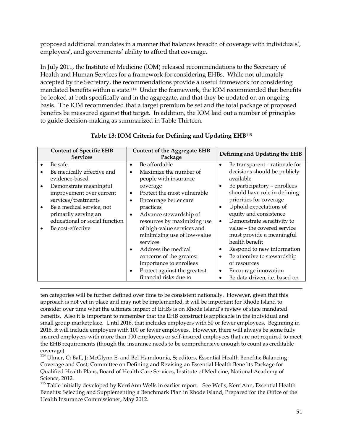proposed additional mandates in a manner that balances breadth of coverage with individuals', employers', and governments' ability to afford that coverage.

In July 2011, the Institute of Medicine (IOM) released recommendations to the Secretary of Health and Human Services for a framework for considering EHBs. While not ultimately accepted by the Secretary, the recommendations provide a useful framework for considering mandated benefits within a state.114 Under the framework, the IOM recommended that benefits be looked at both specifically and in the aggregate, and that they be updated on an ongoing basis. The IOM recommended that a target premium be set and the total package of proposed benefits be measured against that target. In addition, the IOM laid out a number of principles to guide decision-making as summarized in Table Thirteen.

| <b>Content of Specific EHB</b><br><b>Services</b>                                                                                                                                                                                                                               | <b>Content of the Aggregate EHB</b><br>Package                                                                                                                                                                                                                              | Defining and Updating the EHB                                                                                                                                                                                                                                                      |  |
|---------------------------------------------------------------------------------------------------------------------------------------------------------------------------------------------------------------------------------------------------------------------------------|-----------------------------------------------------------------------------------------------------------------------------------------------------------------------------------------------------------------------------------------------------------------------------|------------------------------------------------------------------------------------------------------------------------------------------------------------------------------------------------------------------------------------------------------------------------------------|--|
| Be safe<br>$\bullet$<br>Be medically effective and<br>$\bullet$<br>evidence-based<br>Demonstrate meaningful<br>$\bullet$<br>improvement over current<br>services/treatments<br>Be a medical service, not<br>$\bullet$<br>primarily serving an<br>educational or social function | Be affordable<br>$\bullet$<br>Maximize the number of<br>$\bullet$<br>people with insurance<br>coverage<br>Protect the most vulnerable<br>$\bullet$<br>Encourage better care<br>$\bullet$<br>practices<br>Advance stewardship of<br>$\bullet$<br>resources by maximizing use | Be transparent - rationale for<br>$\bullet$<br>decisions should be publicly<br>available<br>Be participatory - enrollees<br>should have role in defining<br>priorities for coverage<br>Uphold expectations of<br>equity and consistence<br>Demonstrate sensitivity to<br>$\bullet$ |  |
| Be cost-effective<br>٠                                                                                                                                                                                                                                                          | of high-value services and<br>minimizing use of low-value<br>services<br>Address the medical<br>$\bullet$<br>concerns of the greatest<br>importance to enrollees<br>Protect against the greatest<br>٠<br>financial risks due to                                             | value - the covered service<br>must provide a meaningful<br>health benefit<br>Respond to new information<br>Be attentive to stewardship<br>$\bullet$<br>of resources<br>Encourage innovation<br>٠<br>Be data driven, <i>i.e.</i> based on<br>$\bullet$                             |  |

# **Table 13: IOM Criteria for Defining and Updating EHB<sup>115</sup>**

 $\overline{\phantom{a}}$ ten categories will be further defined over time to be consistent nationally. However, given that this approach is not yet in place and may not be implemented, it will be important for Rhode Island to consider over time what the ultimate impact of EHBs is on Rhode Island's review of state mandated benefits. Also it is important to remember that the EHB construct is applicable in the individual and small group marketplace. Until 2016, that includes employers with 50 or fewer employees. Beginning in 2016, it will include employers with 100 or fewer employees. However, there will always be some fully insured employers with more than 100 employees or self-insured employees that are not required to meet the EHB requirements (though the insurance needs to be comprehensive enough to count as creditable coverage).

<sup>114</sup> Ulmer, C; Ball, J; McGlynn E, and Bel Hamdounia, S; editors, Essential Health Benefits: Balancing Coverage and Cost; Committee on Defining and Revising an Essential Health Benefits Package for Qualified Health Plans, Board of Health Care Services, Institute of Medicine, National Academy of Science, 2012.

<sup>115</sup> Table initially developed by KerriAnn Wells in earlier report. See Wells, KerriAnn, Essential Health Benefits: Selecting and Supplementing a Benchmark Plan in Rhode Island, Prepared for the Office of the Health Insurance Commissioner, May 2012.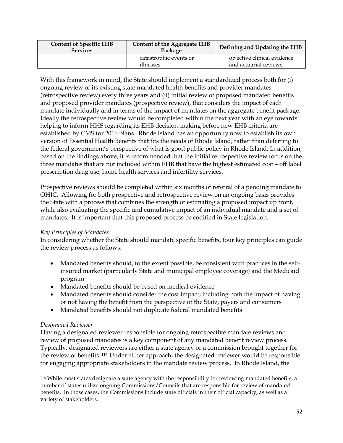| <b>Content of Specific EHB</b><br><b>Services</b> | <b>Content of the Aggregate EHB</b><br>Package | Defining and Updating the EHB                        |  |
|---------------------------------------------------|------------------------------------------------|------------------------------------------------------|--|
|                                                   | catastrophic events or<br>illnesses            | objective clinical evidence<br>and actuarial reviews |  |

With this framework in mind, the State should implement a standardized process both for (i) ongoing review of its existing state mandated health benefits and provider mandates (retrospective review) every three years and (ii) initial review of proposed mandated benefits and proposed provider mandates (prospective review), that considers the impact of each mandate individually and in terms of the impact of mandates on the aggregate benefit package. Ideally the retrospective review would be completed within the next year with an eye towards helping to inform HHS regarding its EHB decision-making before new EHB criteria are established by CMS for 2016 plans. Rhode Island has an opportunity now to establish its own version of Essential Health Benefits that fits the needs of Rhode Island, rather than deferring to the federal government's perspective of what is good public policy in Rhode Island. In addition, based on the findings above, it is recommended that the initial retrospective review focus on the three mandates that are not included within EHB that have the highest estimated cost – off label prescription drug use, home health services and infertility services.

Prospective reviews should be completed within six months of referral of a pending mandate to OHIC. Allowing for both prospective and retrospective review on an ongoing basis provides the State with a process that combines the strength of estimating a proposed impact up front, while also evaluating the specific and cumulative impact of an individual mandate and a set of mandates. It is important that this proposed process be codified in State legislation.

# *Key Principles of Mandates*

In considering whether the State should mandate specific benefits, four key principles can guide the review process as follows:

- Mandated benefits should, to the extent possible, be consistent with practices in the selfinsured market (particularly State and municipal employee coverage) and the Medicaid program
- Mandated benefits should be based on medical evidence
- Mandated benefits should consider the cost impact; including both the impact of having or not having the benefit from the perspective of the State, payers and consumers
- Mandated benefits should not duplicate federal mandated benefits

# *Designated Reviewer*

 $\overline{\phantom{a}}$ 

Having a designated reviewer responsible for ongoing retrospective mandate reviews and review of proposed mandates is a key component of any mandated benefit review process. Typically, designated reviewers are either a state agency or a commission brought together for the review of benefits.<sup>116</sup> Under either approach, the designated reviewer would be responsible for engaging appropriate stakeholders in the mandate review process. In Rhode Island, the

<sup>116</sup> While most states designate a state agency with the responsibility for reviewing mandated benefits, a number of states utilize ongoing Commissions/Councils that are responsible for review of mandated benefits. In those cases, the Commissions include state officials in their official capacity, as well as a variety of stakeholders.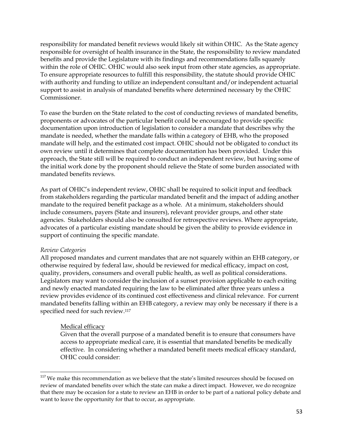responsibility for mandated benefit reviews would likely sit within OHIC. As the State agency responsible for oversight of health insurance in the State, the responsibility to review mandated benefits and provide the Legislature with its findings and recommendations falls squarely within the role of OHIC. OHIC would also seek input from other state agencies, as appropriate. To ensure appropriate resources to fulfill this responsibility, the statute should provide OHIC with authority and funding to utilize an independent consultant and/or independent actuarial support to assist in analysis of mandated benefits where determined necessary by the OHIC Commissioner.

To ease the burden on the State related to the cost of conducting reviews of mandated benefits, proponents or advocates of the particular benefit could be encouraged to provide specific documentation upon introduction of legislation to consider a mandate that describes why the mandate is needed, whether the mandate falls within a category of EHB, who the proposed mandate will help, and the estimated cost impact. OHIC should not be obligated to conduct its own review until it determines that complete documentation has been provided. Under this approach, the State still will be required to conduct an independent review, but having some of the initial work done by the proponent should relieve the State of some burden associated with mandated benefits reviews.

As part of OHIC's independent review, OHIC shall be required to solicit input and feedback from stakeholders regarding the particular mandated benefit and the impact of adding another mandate to the required benefit package as a whole. At a minimum, stakeholders should include consumers, payers (State and insurers), relevant provider groups, and other state agencies. Stakeholders should also be consulted for retrospective reviews. Where appropriate, advocates of a particular existing mandate should be given the ability to provide evidence in support of continuing the specific mandate.

## *Review Categories*

 $\overline{\phantom{a}}$ 

All proposed mandates and current mandates that are not squarely within an EHB category, or otherwise required by federal law, should be reviewed for medical efficacy, impact on cost, quality, providers, consumers and overall public health, as well as political considerations. Legislators may want to consider the inclusion of a sunset provision applicable to each exiting and newly enacted mandated requiring the law to be eliminated after three years unless a review provides evidence of its continued cost effectiveness and clinical relevance. For current mandated benefits falling within an EHB category, a review may only be necessary if there is a specified need for such review.<sup>117</sup>

## Medical efficacy

Given that the overall purpose of a mandated benefit is to ensure that consumers have access to appropriate medical care, it is essential that mandated benefits be medically effective. In considering whether a mandated benefit meets medical efficacy standard, OHIC could consider:

 $117$  We make this recommendation as we believe that the state's limited resources should be focused on review of mandated benefits over which the state can make a direct impact. However, we do recognize that there may be occasion for a state to review an EHB in order to be part of a national policy debate and want to leave the opportunity for that to occur, as appropriate.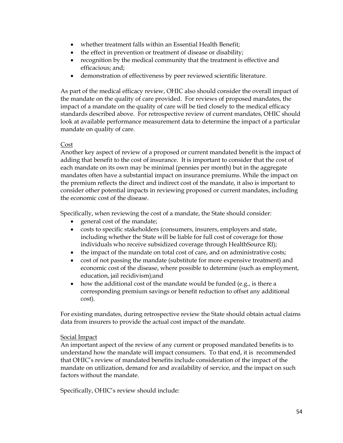- whether treatment falls within an Essential Health Benefit;
- the effect in prevention or treatment of disease or disability;
- recognition by the medical community that the treatment is effective and efficacious; and;
- demonstration of effectiveness by peer reviewed scientific literature.

As part of the medical efficacy review, OHIC also should consider the overall impact of the mandate on the quality of care provided. For reviews of proposed mandates, the impact of a mandate on the quality of care will be tied closely to the medical efficacy standards described above. For retrospective review of current mandates, OHIC should look at available performance measurement data to determine the impact of a particular mandate on quality of care.

## Cost

Another key aspect of review of a proposed or current mandated benefit is the impact of adding that benefit to the cost of insurance. It is important to consider that the cost of each mandate on its own may be minimal (pennies per month) but in the aggregate mandates often have a substantial impact on insurance premiums. While the impact on the premium reflects the direct and indirect cost of the mandate, it also is important to consider other potential impacts in reviewing proposed or current mandates, including the economic cost of the disease.

Specifically, when reviewing the cost of a mandate, the State should consider:

- general cost of the mandate;
- costs to specific stakeholders (consumers, insurers, employers and state, including whether the State will be liable for full cost of coverage for those individuals who receive subsidized coverage through HealthSource RI);
- the impact of the mandate on total cost of care, and on administrative costs;
- cost of not passing the mandate (substitute for more expensive treatment) and economic cost of the disease, where possible to determine (such as employment, education, jail recidivism);and
- $\bullet$  how the additional cost of the mandate would be funded (e.g., is there a corresponding premium savings or benefit reduction to offset any additional cost).

For existing mandates, during retrospective review the State should obtain actual claims data from insurers to provide the actual cost impact of the mandate.

## Social Impact

An important aspect of the review of any current or proposed mandated benefits is to understand how the mandate will impact consumers. To that end, it is recommended that OHIC's review of mandated benefits include consideration of the impact of the mandate on utilization, demand for and availability of service, and the impact on such factors without the mandate.

Specifically, OHIC's review should include: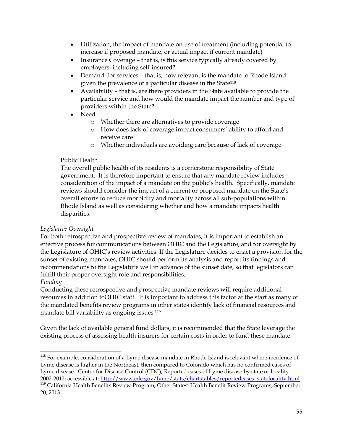- Utilization, the impact of mandate on use of treatment (including potential to increase if proposed mandate, or actual impact if current mandate)
- Insurance Coverage that is, is this service typically already covered by employers, including self-insured?
- Demand for services that is, how relevant is the mandate to Rhode Island given the prevalence of a particular disease in the State<sup>118</sup>
- Availability that is, are there providers in the State available to provide the particular service and how would the mandate impact the number and type of providers within the State?
- Need
	- o Whether there are alternatives to provide coverage
	- o How does lack of coverage impact consumers' ability to afford and receive care
	- o Whether individuals are avoiding care because of lack of coverage

## Public Health

The overall public health of its residents is a cornerstone responsibility of State government. It is therefore important to ensure that any mandate review includes consideration of the impact of a mandate on the public's health. Specifically, mandate reviews should consider the impact of a current or proposed mandate on the State's overall efforts to reduce morbidity and mortality across all sub-populations within Rhode Island as well as considering whether and how a mandate impacts health disparities.

# *Legislative Oversight*

For both retrospective and prospective review of mandates, it is important to establish an effective process for communications between OHIC and the Legislature, and for oversight by the Legislature of OHIC's review activities. If the Legislature decides to enact a provision for the sunset of existing mandates, OHIC should perform its analysis and report its findings and recommendations to the Legislature well in advance of the sunset date, so that legislators can fulfill their proper oversight role and responsibilities.

# *Funding*

 $\overline{\phantom{a}}$ 

Conducting these retrospective and prospective mandate reviews will require additional resources in addition toOHIC staff. It is important to address this factor at the start as many of the mandated benefits review programs in other states identify lack of financial resources and mandate bill variability as ongoing issues.<sup>119</sup>

Given the lack of available general fund dollars, it is recommended that the State leverage the existing process of assessing health insurers for certain costs in order to fund these mandate

 $118$  For example, consideration of a Lyme disease mandate in Rhode Island is relevant where incidence of Lyme disease is higher in the Northeast, then compared to Colorado which has no confirmed cases of Lyme disease. Center for Disease Control (CDC), Reported cases of Lyme disease by state or locality2002-2012; accessible at: [http://www.cdc.gov/lyme/stats/chartstables/reportedcases\\_statelocality.html](http://www.cdc.gov/lyme/stats/chartstables/reportedcases_statelocality.html) <sup>119</sup> California Health Benefits Review Program, Other States' Health Benefit Review Programs; September 20, 2013.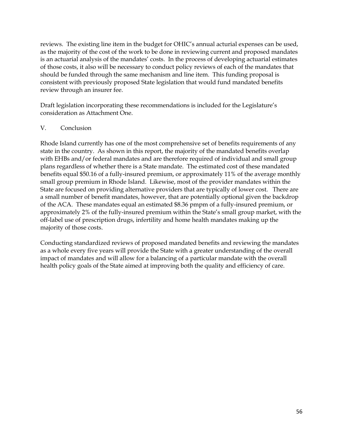reviews. The existing line item in the budget for OHIC's annual acturial expenses can be used, as the majority of the cost of the work to be done in reviewing current and proposed mandates is an actuarial analysis of the mandates' costs. In the process of developing actuarial estimates of those costs, it also will be necessary to conduct policy reviews of each of the mandates that should be funded through the same mechanism and line item. This funding proposal is consistent with previously proposed State legislation that would fund mandated benefits review through an insurer fee.

Draft legislation incorporating these recommendations is included for the Legislature's consideration as Attachment One.

## V. Conclusion

Rhode Island currently has one of the most comprehensive set of benefits requirements of any state in the country. As shown in this report, the majority of the mandated benefits overlap with EHBs and/or federal mandates and are therefore required of individual and small group plans regardless of whether there is a State mandate. The estimated cost of these mandated benefits equal \$50.16 of a fully-insured premium, or approximately 11% of the average monthly small group premium in Rhode Island. Likewise, most of the provider mandates within the State are focused on providing alternative providers that are typically of lower cost. There are a small number of benefit mandates, however, that are potentially optional given the backdrop of the ACA. These mandates equal an estimated \$8.36 pmpm of a fully-insured premium, or approximately 2% of the fully-insured premium within the State's small group market, with the off-label use of prescription drugs, infertility and home health mandates making up the majority of those costs.

Conducting standardized reviews of proposed mandated benefits and reviewing the mandates as a whole every five years will provide the State with a greater understanding of the overall impact of mandates and will allow for a balancing of a particular mandate with the overall health policy goals of the State aimed at improving both the quality and efficiency of care.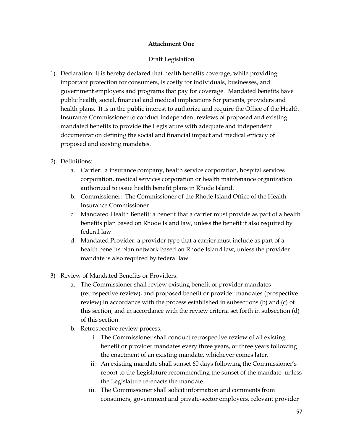## **Attachment One**

## Draft Legislation

1) Declaration: It is hereby declared that health benefits coverage, while providing important protection for consumers, is costly for individuals, businesses, and government employers and programs that pay for coverage. Mandated benefits have public health, social, financial and medical implications for patients, providers and health plans. It is in the public interest to authorize and require the Office of the Health Insurance Commissioner to conduct independent reviews of proposed and existing mandated benefits to provide the Legislature with adequate and independent documentation defining the social and financial impact and medical efficacy of proposed and existing mandates.

# 2) Definitions:

- a. Carrier: a insurance company, health service corporation, hospital services corporation, medical services corporation or health maintenance organization authorized to issue health benefit plans in Rhode Island.
- b. Commissioner: The Commissioner of the Rhode Island Office of the Health Insurance Commissioner
- c. Mandated Health Benefit: a benefit that a carrier must provide as part of a health benefits plan based on Rhode Island law, unless the benefit it also required by federal law
- d. Mandated Provider: a provider type that a carrier must include as part of a health benefits plan network based on Rhode Island law, unless the provider mandate is also required by federal law
- 3) Review of Mandated Benefits or Providers.
	- a. The Commissioner shall review existing benefit or provider mandates (retrospective review), and proposed benefit or provider mandates (prospective review) in accordance with the process established in subsections (b) and (c) of this section, and in accordance with the review criteria set forth in subsection (d) of this section.
	- b. Retrospective review process.
		- i. The Commissioner shall conduct retrospective review of all existing benefit or provider mandates every three years, or three years following the enactment of an existing mandate, whichever comes later.
		- ii. An existing mandate shall sunset 60 days following the Commissioner's report to the Legislature recommending the sunset of the mandate, unless the Legislature re-enacts the mandate.
		- iii. The Commissioner shall solicit information and comments from consumers, government and private-sector employers, relevant provider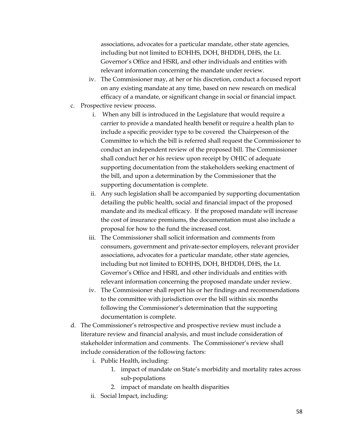associations, advocates for a particular mandate, other state agencies, including but not limited to EOHHS, DOH, BHDDH, DHS, the Lt. Governor's Office and HSRI, and other individuals and entities with relevant information concerning the mandate under review.

- iv. The Commissioner may, at her or his discretion, conduct a focused report on any existing mandate at any time, based on new research on medical efficacy of a mandate, or significant change in social or financial impact.
- c. Prospective review process.
	- i. When any bill is introduced in the Legislature that would require a carrier to provide a mandated health benefit or require a health plan to include a specific provider type to be covered the Chairperson of the Committee to which the bill is referred shall request the Commissioner to conduct an independent review of the proposed bill. The Commissioner shall conduct her or his review upon receipt by OHIC of adequate supporting documentation from the stakeholders seeking enactment of the bill, and upon a determination by the Commissioner that the supporting documentation is complete.
	- ii. Any such legislation shall be accompanied by supporting documentation detailing the public health, social and financial impact of the proposed mandate and its medical efficacy. If the proposed mandate will increase the cost of insurance premiums, the documentation must also include a proposal for how to the fund the increased cost.
	- iii. The Commissioner shall solicit information and comments from consumers, government and private-sector employers, relevant provider associations, advocates for a particular mandate, other state agencies, including but not limited to EOHHS, DOH, BHDDH, DHS, the Lt. Governor's Office and HSRI, and other individuals and entities with relevant information concerning the proposed mandate under review.
	- iv. The Commissioner shall report his or her findings and recommendations to the committee with jurisdiction over the bill within six months following the Commissioner's determination that the supporting documentation is complete.
- d. The Commissioner's retrospective and prospective review must include a literature review and financial analysis, and must include consideration of stakeholder information and comments. The Commissioner's review shall include consideration of the following factors:
	- i. Public Health, including:
		- 1. impact of mandate on State's morbidity and mortality rates across sub-populations
		- 2. impact of mandate on health disparities
	- ii. Social Impact, including: